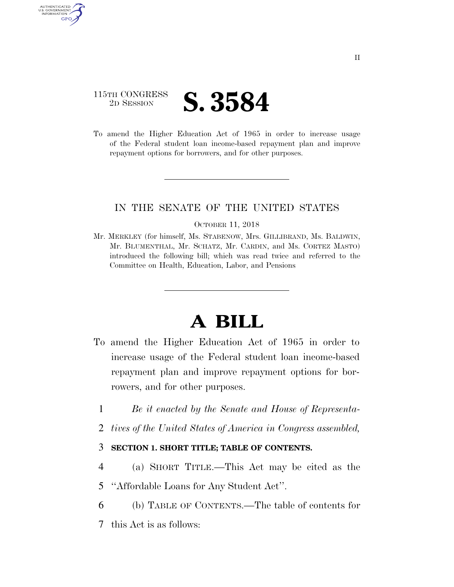## 115TH CONGRESS <sup>2D SESSION</sup> **S. 3584**

AUTHENTICATED U.S. GOVERNMENT GPO

> To amend the Higher Education Act of 1965 in order to increase usage of the Federal student loan income-based repayment plan and improve repayment options for borrowers, and for other purposes.

## IN THE SENATE OF THE UNITED STATES

#### OCTOBER 11, 2018

Mr. MERKLEY (for himself, Ms. STABENOW, Mrs. GILLIBRAND, Ms. BALDWIN, Mr. BLUMENTHAL, Mr. SCHATZ, Mr. CARDIN, and Ms. CORTEZ MASTO) introduced the following bill; which was read twice and referred to the Committee on Health, Education, Labor, and Pensions

# **A BILL**

- To amend the Higher Education Act of 1965 in order to increase usage of the Federal student loan income-based repayment plan and improve repayment options for borrowers, and for other purposes.
	- 1 *Be it enacted by the Senate and House of Representa-*
	- 2 *tives of the United States of America in Congress assembled,*

## 3 **SECTION 1. SHORT TITLE; TABLE OF CONTENTS.**

- 4 (a) SHORT TITLE.—This Act may be cited as the
- 5 ''Affordable Loans for Any Student Act''.
- 6 (b) TABLE OF CONTENTS.—The table of contents for
- 7 this Act is as follows: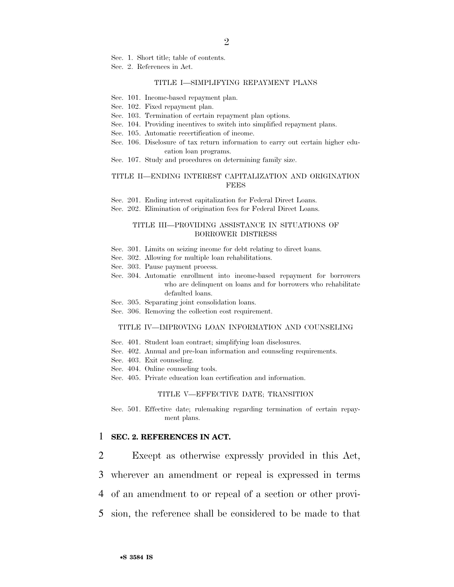Sec. 1. Short title; table of contents.

Sec. 2. References in Act.

#### TITLE I—SIMPLIFYING REPAYMENT PLANS

- Sec. 101. Income-based repayment plan.
- Sec. 102. Fixed repayment plan.
- Sec. 103. Termination of certain repayment plan options.
- Sec. 104. Providing incentives to switch into simplified repayment plans.
- Sec. 105. Automatic recertification of income.
- Sec. 106. Disclosure of tax return information to carry out certain higher education loan programs.
- Sec. 107. Study and procedures on determining family size.

#### TITLE II—ENDING INTEREST CAPITALIZATION AND ORIGINATION **FEES**

Sec. 201. Ending interest capitalization for Federal Direct Loans.

Sec. 202. Elimination of origination fees for Federal Direct Loans.

#### TITLE III—PROVIDING ASSISTANCE IN SITUATIONS OF BORROWER DISTRESS

- Sec. 301. Limits on seizing income for debt relating to direct loans.
- Sec. 302. Allowing for multiple loan rehabilitations.
- Sec. 303. Pause payment process.
- Sec. 304. Automatic enrollment into income-based repayment for borrowers who are delinquent on loans and for borrowers who rehabilitate defaulted loans.
- Sec. 305. Separating joint consolidation loans.
- Sec. 306. Removing the collection cost requirement.

#### TITLE IV—IMPROVING LOAN INFORMATION AND COUNSELING

- Sec. 401. Student loan contract; simplifying loan disclosures.
- Sec. 402. Annual and pre-loan information and counseling requirements.
- Sec. 403. Exit counseling.
- Sec. 404. Online counseling tools.
- Sec. 405. Private education loan certification and information.

#### TITLE V—EFFECTIVE DATE; TRANSITION

Sec. 501. Effective date; rulemaking regarding termination of certain repayment plans.

#### 1 **SEC. 2. REFERENCES IN ACT.**

2 Except as otherwise expressly provided in this Act,

- 3 wherever an amendment or repeal is expressed in terms
- 4 of an amendment to or repeal of a section or other provi-
- 5 sion, the reference shall be considered to be made to that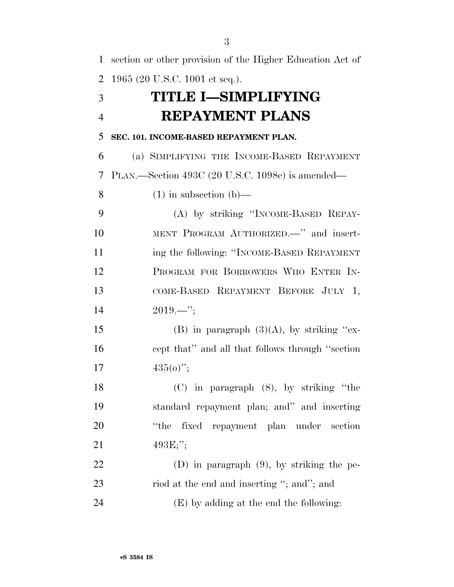| $\mathbf{1}$   | section or other provision of the Higher Education Act of |
|----------------|-----------------------------------------------------------|
| $\overline{2}$ | 1965 (20 U.S.C. 1001 et seq.).                            |
| 3              | <b>TITLE I-SIMPLIFYING</b>                                |
| $\overline{4}$ | <b>REPAYMENT PLANS</b>                                    |
| 5              | SEC. 101. INCOME-BASED REPAYMENT PLAN.                    |
| 6              | (a) SIMPLIFYING THE INCOME-BASED REPAYMENT                |
| 7              | PLAN.—Section 493C (20 U.S.C. 1098e) is amended—          |
| 8              | $(1)$ in subsection $(b)$ —                               |
| 9              | (A) by striking "INCOME-BASED REPAY-                      |
| 10             | MENT PROGRAM AUTHORIZED. " and insert-                    |
| 11             | ing the following: "INCOME-BASED REPAYMENT                |
| 12             | PROGRAM FOR BORROWERS WHO ENTER IN-                       |
| 13             | COME-BASED REPAYMENT BEFORE JULY 1,                       |
| 14             | $2019$ ";                                                 |
| 15             | (B) in paragraph $(3)(A)$ , by striking "ex-              |
| 16             | cept that" and all that follows through "section"         |
| 17             | $435(0)$ ";                                               |
| 18             | $(C)$ in paragraph $(8)$ , by striking "the               |
| 19             | standard repayment plan; and" and inserting               |
| 20             | "the<br>fixed repayment plan under section                |
| 21             | $493E$ ;";                                                |
| 22             | (D) in paragraph $(9)$ , by striking the pe-              |
| 23             | riod at the end and inserting "; and"; and                |
| 24             | (E) by adding at the end the following:                   |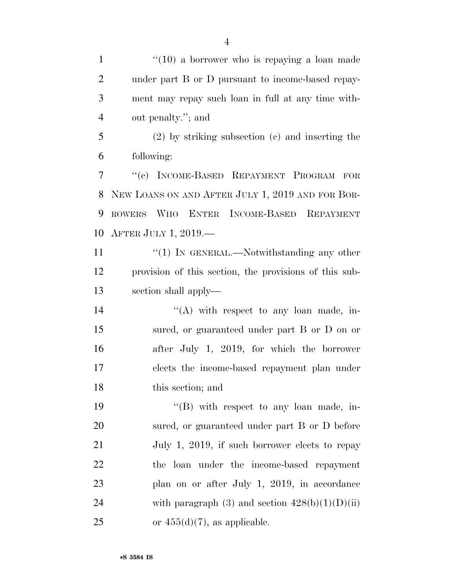1 ''(10) a borrower who is repaying a loan made under part B or D pursuant to income-based repay- ment may repay such loan in full at any time with-out penalty.''; and

 (2) by striking subsection (c) and inserting the following:

 ''(c) INCOME-BASED REPAYMENT PROGRAM FOR NEW LOANS ON AND AFTER JULY 1, 2019 AND FOR BOR- ROWERS WHO ENTER INCOME-BASED REPAYMENT AFTER JULY 1, 2019.—

11 ''(1) IN GENERAL.—Notwithstanding any other provision of this section, the provisions of this sub-section shall apply—

14 ''(A) with respect to any loan made, in- sured, or guaranteed under part B or D on or after July 1, 2019, for which the borrower elects the income-based repayment plan under this section; and

19 "'(B) with respect to any loan made, in- sured, or guaranteed under part B or D before 21 July 1, 2019, if such borrower elects to repay the loan under the income-based repayment plan on or after July 1, 2019, in accordance 24 with paragraph  $(3)$  and section  $428(b)(1)(D)(ii)$ 25 or  $455(d)(7)$ , as applicable.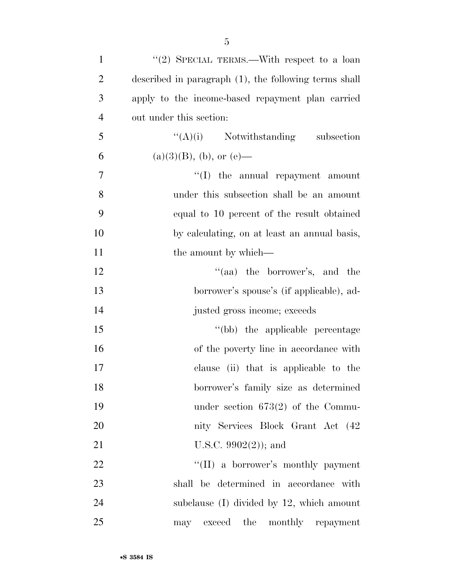| $\mathbf{1}$   | "(2) SPECIAL TERMS.—With respect to a loan               |
|----------------|----------------------------------------------------------|
| $\overline{2}$ | described in paragraph $(1)$ , the following terms shall |
| 3              | apply to the income-based repayment plan carried         |
| $\overline{4}$ | out under this section:                                  |
| 5              | $\lq\lq(A)(i)$ Notwithstanding subsection                |
| 6              | $(a)(3)(B)$ , (b), or (e)—                               |
| $\tau$         | $\lq\lq$ the annual repayment amount                     |
| 8              | under this subsection shall be an amount                 |
| 9              | equal to 10 percent of the result obtained               |
| 10             | by calculating, on at least an annual basis,             |
| 11             | the amount by which—                                     |
| 12             | "(aa) the borrower's, and the                            |
| 13             | borrower's spouse's (if applicable), ad-                 |
| 14             | justed gross income; exceeds                             |
| 15             | "(bb) the applicable percentage                          |
| 16             | of the poverty line in accordance with                   |
| 17             | clause (ii) that is applicable to the                    |
| 18             | borrower's family size as determined                     |
| 19             | under section $673(2)$ of the Commu-                     |
| 20             | nity Services Block Grant Act (42)                       |
| 21             | U.S.C. $9902(2)$ ; and                                   |
| 22             | "(II) a borrower's monthly payment                       |
| 23             | shall be determined in accordance with                   |
| 24             | subclause $(I)$ divided by 12, which amount              |
| 25             | exceed the monthly repayment<br>may                      |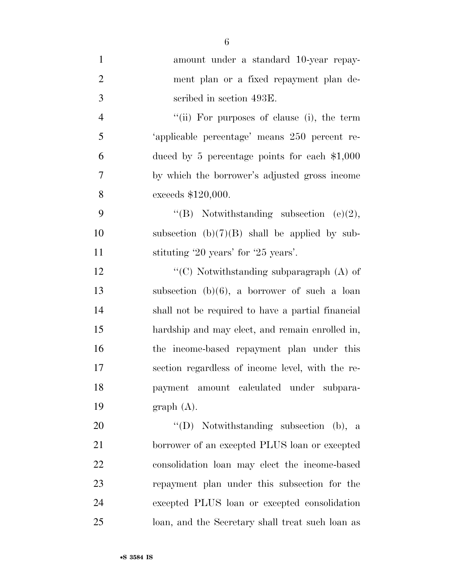| $\mathbf{1}$   | amount under a standard 10-year repay-            |
|----------------|---------------------------------------------------|
| $\overline{2}$ | ment plan or a fixed repayment plan de-           |
| 3              | scribed in section 493E.                          |
| $\overline{4}$ | "(ii) For purposes of clause (i), the term        |
| 5              | 'applicable percentage' means 250 percent re-     |
| 6              | duced by 5 percentage points for each $\$1,000$   |
| 7              | by which the borrower's adjusted gross income     |
| 8              | exceeds \$120,000.                                |
| 9              | "(B) Notwithstanding subsection $(e)(2)$ ,        |
| 10             | subsection $(b)(7)(B)$ shall be applied by sub-   |
| 11             | stituting '20 years' for '25 years'.              |
| 12             | " $(C)$ Notwithstanding subparagraph $(A)$ of     |
| 13             | subsection $(b)(6)$ , a borrower of such a loan   |
| 14             | shall not be required to have a partial financial |
| 15             | hardship and may elect, and remain enrolled in,   |
| 16             | the income-based repayment plan under this        |
| 17             | section regardless of income level, with the re-  |
| 18             | payment amount calculated under subpara-          |
| 19             | graph(A).                                         |
| 20             | "(D) Notwithstanding subsection (b), a            |
| 21             | borrower of an excepted PLUS loan or excepted     |
| 22             | consolidation loan may elect the income-based     |
| 23             | repayment plan under this subsection for the      |
| 24             | excepted PLUS loan or excepted consolidation      |
| 25             | loan, and the Secretary shall treat such loan as  |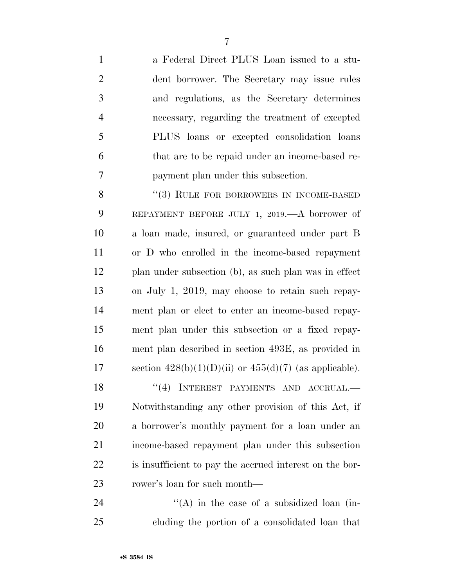a Federal Direct PLUS Loan issued to a stu- dent borrower. The Secretary may issue rules and regulations, as the Secretary determines necessary, regarding the treatment of excepted PLUS loans or excepted consolidation loans that are to be repaid under an income-based re-payment plan under this subsection.

8 "(3) RULE FOR BORROWERS IN INCOME-BASED REPAYMENT BEFORE JULY 1, 2019.—A borrower of a loan made, insured, or guaranteed under part B or D who enrolled in the income-based repayment plan under subsection (b), as such plan was in effect on July 1, 2019, may choose to retain such repay- ment plan or elect to enter an income-based repay- ment plan under this subsection or a fixed repay- ment plan described in section 493E, as provided in 17 section  $428(b)(1)(D)(ii)$  or  $455(d)(7)$  (as applicable). 18 "(4) INTEREST PAYMENTS AND ACCRUAL.— Notwithstanding any other provision of this Act, if a borrower's monthly payment for a loan under an income-based repayment plan under this subsection is insufficient to pay the accrued interest on the bor-

  $\text{``(A)}$  in the case of a subsidized loan (in-cluding the portion of a consolidated loan that

rower's loan for such month—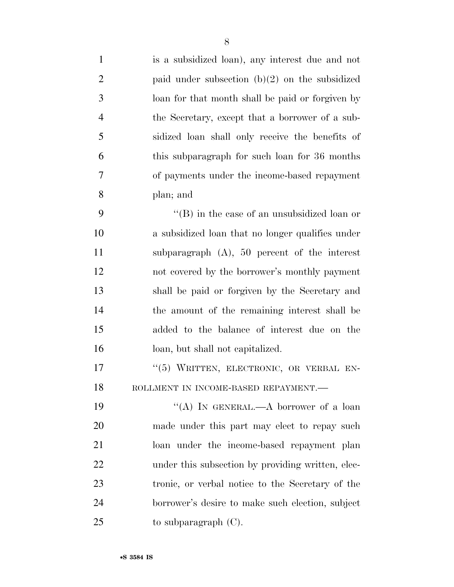| $\mathbf{1}$   | is a subsidized loan), any interest due and not     |
|----------------|-----------------------------------------------------|
| $\overline{2}$ | paid under subsection $(b)(2)$ on the subsidized    |
| 3              | loan for that month shall be paid or forgiven by    |
| $\overline{4}$ | the Secretary, except that a borrower of a sub-     |
| 5              | sidized loan shall only receive the benefits of     |
| 6              | this subparagraph for such loan for 36 months       |
| 7              | of payments under the income-based repayment        |
| 8              | plan; and                                           |
| 9              | $\lq\lq$ (B) in the case of an unsubsidized loan or |
| 10             | a subsidized loan that no longer qualifies under    |
| 11             | subparagraph $(A)$ , 50 percent of the interest     |
| 12             | not covered by the borrower's monthly payment       |
| 13             | shall be paid or forgiven by the Secretary and      |
| 14             | the amount of the remaining interest shall be       |
| 15             | added to the balance of interest due on the         |
| 16             | loan, but shall not capitalized.                    |
| 17             | "(5) WRITTEN, ELECTRONIC, OR VERBAL EN-             |
| 18             | ROLLMENT IN INCOME-BASED REPAYMENT.-                |
| 19             | "(A) IN GENERAL.—A borrower of a loan               |
| 20             | made under this part may elect to repay such        |
| 21             | loan under the income-based repayment plan          |
| 22             | under this subsection by providing written, elec-   |
| 23             | tronic, or verbal notice to the Secretary of the    |
| 24             | borrower's desire to make such election, subject    |
| 25             | to subparagraph $(C)$ .                             |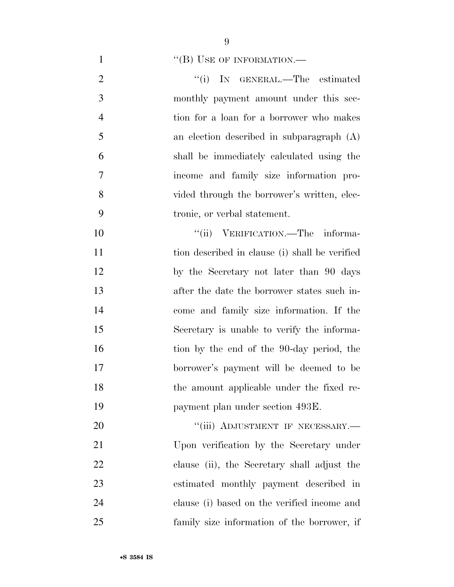1 "(B) USE OF INFORMATION.—

2 "(i) IN GENERAL.—The estimated monthly payment amount under this sec- tion for a loan for a borrower who makes an election described in subparagraph (A) shall be immediately calculated using the income and family size information pro- vided through the borrower's written, elec-tronic, or verbal statement.

 $"$ (ii) VERIFICATION.—The informa- tion described in clause (i) shall be verified by the Secretary not later than 90 days after the date the borrower states such in- come and family size information. If the Secretary is unable to verify the informa-16 tion by the end of the 90-day period, the borrower's payment will be deemed to be the amount applicable under the fixed re-payment plan under section 493E.

20 "'(iii) ADJUSTMENT IF NECESSARY.— Upon verification by the Secretary under clause (ii), the Secretary shall adjust the estimated monthly payment described in clause (i) based on the verified income and family size information of the borrower, if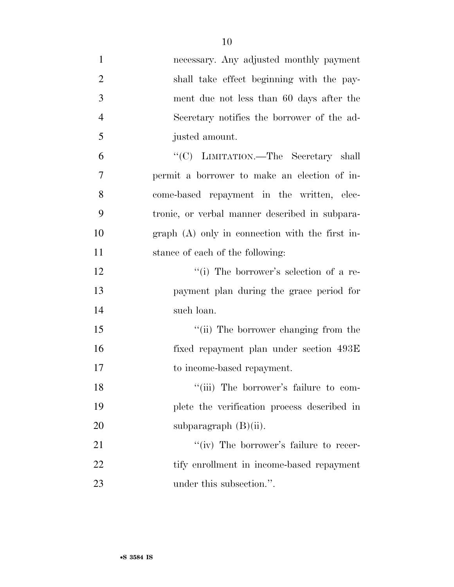| $\mathbf{1}$   | necessary. Any adjusted monthly payment          |
|----------------|--------------------------------------------------|
| $\overline{2}$ | shall take effect beginning with the pay-        |
| 3              | ment due not less than 60 days after the         |
| $\overline{4}$ | Secretary notifies the borrower of the ad-       |
| 5              | justed amount.                                   |
| 6              | "(C) LIMITATION.—The Secretary shall             |
| 7              | permit a borrower to make an election of in-     |
| 8              | come-based repayment in the written, elec-       |
| 9              | tronic, or verbal manner described in subpara-   |
| 10             | $graph(A)$ only in connection with the first in- |
| 11             | stance of each of the following:                 |
| 12             | "(i) The borrower's selection of a re-           |
| 13             | payment plan during the grace period for         |
| 14             | such loan.                                       |
| 15             | "(ii) The borrower changing from the             |
| 16             | fixed repayment plan under section 493E          |
| 17             | to income-based repayment.                       |
| 18             | "(iii) The borrower's failure to com-            |
| 19             | plete the verification process described in      |
| 20             | subparagraph $(B)(ii)$ .                         |
| 21             | "(iv) The borrower's failure to recer-           |
| 22             | tify enrollment in income-based repayment        |
| 23             | under this subsection.".                         |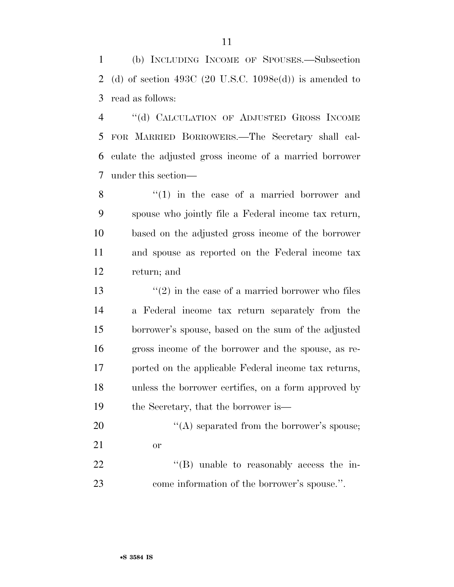(b) INCLUDING INCOME OF SPOUSES.—Subsection (d) of section 493C (20 U.S.C. 1098e(d)) is amended to read as follows:

 ''(d) CALCULATION OF ADJUSTED GROSS INCOME FOR MARRIED BORROWERS.—The Secretary shall cal- culate the adjusted gross income of a married borrower under this section—

8 ''(1) in the case of a married borrower and spouse who jointly file a Federal income tax return, based on the adjusted gross income of the borrower and spouse as reported on the Federal income tax return; and

 $\frac{13}{2}$  in the case of a married borrower who files a Federal income tax return separately from the borrower's spouse, based on the sum of the adjusted gross income of the borrower and the spouse, as re- ported on the applicable Federal income tax returns, unless the borrower certifies, on a form approved by 19 the Secretary, that the borrower is—

- 20  $\langle (A)$  separated from the borrower's spouse; or 22  $\text{``(B)}$  unable to reasonably access the in-
- come information of the borrower's spouse.''.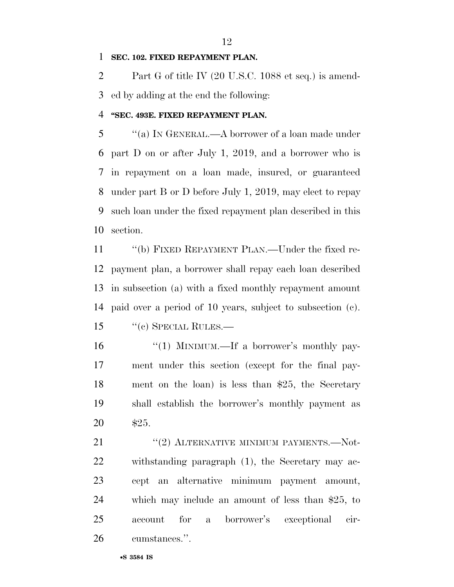## **SEC. 102. FIXED REPAYMENT PLAN.**

 Part G of title IV (20 U.S.C. 1088 et seq.) is amend-ed by adding at the end the following:

## **''SEC. 493E. FIXED REPAYMENT PLAN.**

 ''(a) IN GENERAL.—A borrower of a loan made under part D on or after July 1, 2019, and a borrower who is in repayment on a loan made, insured, or guaranteed under part B or D before July 1, 2019, may elect to repay such loan under the fixed repayment plan described in this section.

 ''(b) FIXED REPAYMENT PLAN.—Under the fixed re- payment plan, a borrower shall repay each loan described in subsection (a) with a fixed monthly repayment amount paid over a period of 10 years, subject to subsection (c). ''(c) SPECIAL RULES.—

16 "(1) MINIMUM.—If a borrower's monthly pay- ment under this section (except for the final pay- ment on the loan) is less than \$25, the Secretary shall establish the borrower's monthly payment as \$25.

21 ''(2) ALTERNATIVE MINIMUM PAYMENTS.—Not- withstanding paragraph (1), the Secretary may ac- cept an alternative minimum payment amount, which may include an amount of less than \$25, to account for a borrower's exceptional cir-cumstances.''.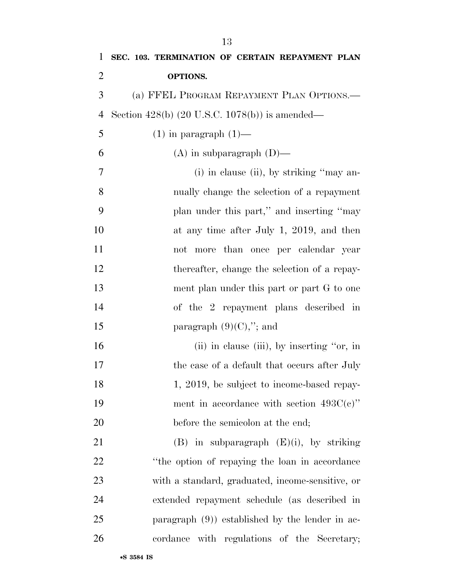| 1              | SEC. 103. TERMINATION OF CERTAIN REPAYMENT PLAN           |
|----------------|-----------------------------------------------------------|
| $\overline{2}$ | OPTIONS.                                                  |
| 3              | (a) FFEL PROGRAM REPAYMENT PLAN OPTIONS.—                 |
| $\overline{4}$ | Section 428(b) $(20 \text{ U.S.C. } 1078(b))$ is amended— |
| 5              | $(1)$ in paragraph $(1)$ —                                |
| 6              | $(A)$ in subparagraph $(D)$ —                             |
| 7              | (i) in clause (ii), by striking "may an-                  |
| 8              | nually change the selection of a repayment                |
| 9              | plan under this part," and inserting "may                 |
| 10             | at any time after July 1, 2019, and then                  |
| 11             | not more than once per calendar year                      |
| 12             | thereafter, change the selection of a repay-              |
| 13             | ment plan under this part or part G to one                |
| 14             | of the 2 repayment plans described in                     |
| 15             | paragraph $(9)(C)$ ,"; and                                |
| 16             | (ii) in clause (iii), by inserting "or, in                |
| 17             | the case of a default that occurs after July              |
| 18             | 1, 2019, be subject to income-based repay-                |
| 19             | ment in accordance with section $493C(e)$ "               |
| 20             | before the semicolon at the end;                          |
| 21             | $(B)$ in subparagraph $(E)(i)$ , by striking              |
| 22             | "the option of repaying the loan in accordance"           |
| 23             | with a standard, graduated, income-sensitive, or          |
| 24             | extended repayment schedule (as described in              |
| 25             | paragraph $(9)$ ) established by the lender in ac-        |
| 26             | cordance with regulations of the Secretary;               |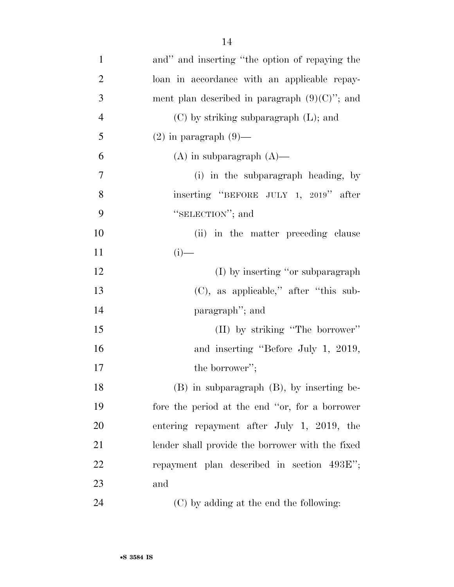| $\mathbf{1}$   | and" and inserting "the option of repaying the   |
|----------------|--------------------------------------------------|
| $\overline{2}$ | loan in accordance with an applicable repay-     |
| 3              | ment plan described in paragraph $(9)(C)$ "; and |
| $\overline{4}$ | $(C)$ by striking subparagraph $(L)$ ; and       |
| 5              | $(2)$ in paragraph $(9)$ —                       |
| 6              | $(A)$ in subparagraph $(A)$ —                    |
| $\overline{7}$ | (i) in the subparagraph heading, by              |
| 8              | inserting "BEFORE JULY 1, 2019" after            |
| 9              | "SELECTION"; and                                 |
| 10             | (ii) in the matter preceding clause              |
| 11             | $(i)$ —                                          |
| 12             | (I) by inserting "or subparagraph"               |
| 13             | $(C)$ , as applicable," after "this sub-         |
| 14             | paragraph"; and                                  |
| 15             | (II) by striking "The borrower"                  |
| 16             | and inserting "Before July 1, 2019,              |
| 17             | the borrower";                                   |
| 18             | $(B)$ in subparagraph $(B)$ , by inserting be-   |
| 19             | fore the period at the end "or, for a borrower   |
| 20             | entering repayment after July 1, 2019, the       |
| 21             | lender shall provide the borrower with the fixed |
| 22             | repayment plan described in section 493E";       |
| 23             | and                                              |
| 24             | (C) by adding at the end the following:          |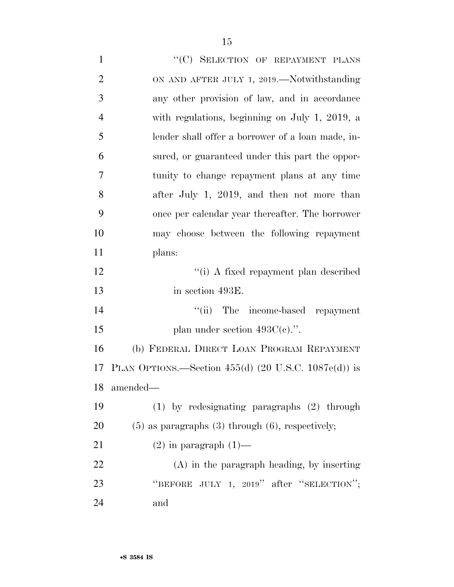1 "
(C) SELECTION OF REPAYMENT PLANS 2 ON AND AFTER JULY 1, 2019.—Notwithstanding any other provision of law, and in accordance with regulations, beginning on July 1, 2019, a lender shall offer a borrower of a loan made, in- sured, or guaranteed under this part the oppor- tunity to change repayment plans at any time after July 1, 2019, and then not more than once per calendar year thereafter. The borrower may choose between the following repayment plans: 12 ''(i) A fixed repayment plan described in section 493E. 14 ''(ii) The income-based repayment 15 plan under section  $493C(e)$ .". (b) FEDERAL DIRECT LOAN PROGRAM REPAYMENT PLAN OPTIONS.—Section 455(d) (20 U.S.C. 1087e(d)) is amended— (1) by redesignating paragraphs (2) through (5) as paragraphs (3) through (6), respectively; 21 (2) in paragraph  $(1)$ — (A) in the paragraph heading, by inserting 23 "BEFORE JULY 1, 2019" after "SELECTION"; and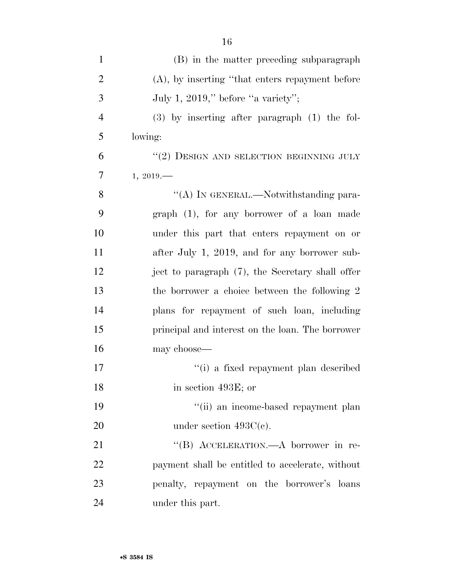| $\mathbf{1}$   | (B) in the matter preceding subparagraph           |
|----------------|----------------------------------------------------|
| $\overline{2}$ | $(A)$ , by inserting "that enters repayment before |
| 3              | July 1, 2019," before "a variety";                 |
| $\overline{4}$ | $(3)$ by inserting after paragraph $(1)$ the fol-  |
| 5              | lowing:                                            |
| 6              | $\lq (2)$ DESIGN AND SELECTION BEGINNING JULY      |
| 7              | 1, 2019                                            |
| 8              | "(A) IN GENERAL.—Notwithstanding para-             |
| 9              | $graph$ (1), for any borrower of a loan made       |
| 10             | under this part that enters repayment on or        |
| 11             | after July 1, 2019, and for any borrower sub-      |
| 12             | ject to paragraph (7), the Secretary shall offer   |
| 13             | the borrower a choice between the following 2      |
| 14             | plans for repayment of such loan, including        |
| 15             | principal and interest on the loan. The borrower   |
| 16             | may choose—                                        |
| 17             | "(i) a fixed repayment plan described              |
| 18             | in section 493E; or                                |
| 19             | "(ii) an income-based repayment plan               |
| 20             | under section $493C(e)$ .                          |
| 21             | "(B) ACCELERATION.—A borrower in re-               |
| 22             | payment shall be entitled to accelerate, without   |
| 23             | penalty, repayment on the borrower's loans         |
| 24             | under this part.                                   |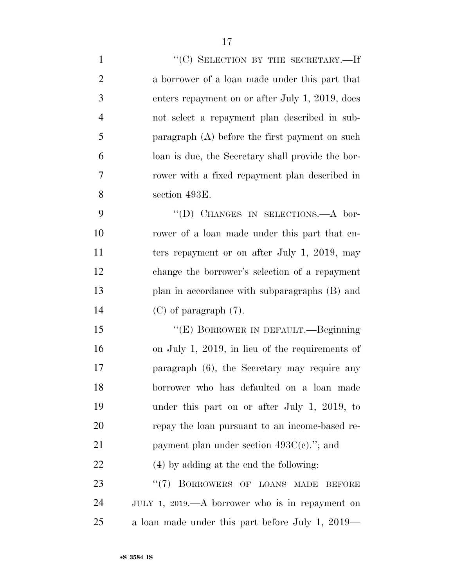$"({\rm C})$  SELECTION BY THE SECRETARY.—If a borrower of a loan made under this part that enters repayment on or after July 1, 2019, does not select a repayment plan described in sub- paragraph (A) before the first payment on such loan is due, the Secretary shall provide the bor- rower with a fixed repayment plan described in section 493E. 9 "(D) CHANGES IN SELECTIONS.—A bor- rower of a loan made under this part that en-11 ters repayment or on after July 1, 2019, may change the borrower's selection of a repayment plan in accordance with subparagraphs (B) and (C) of paragraph (7). 15 "(E) BORROWER IN DEFAULT.—Beginning on July 1, 2019, in lieu of the requirements of

 paragraph (6), the Secretary may require any borrower who has defaulted on a loan made under this part on or after July 1, 2019, to repay the loan pursuant to an income-based re-21 payment plan under section 493C(c)."; and (4) by adding at the end the following:

23 "(7) BORROWERS OF LOANS MADE BEFORE JULY 1, 2019.—A borrower who is in repayment on a loan made under this part before July 1, 2019—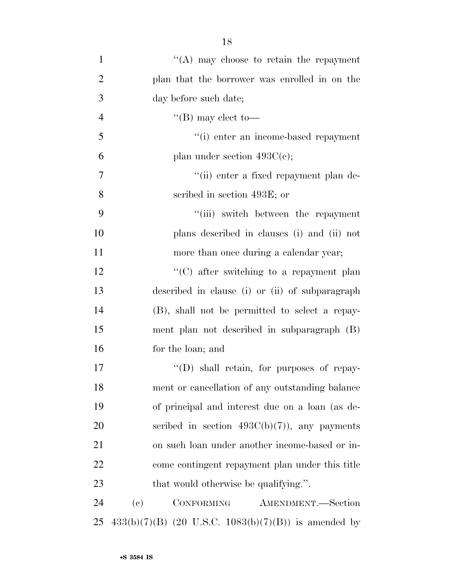| $\mathbf{1}$   | $\lq\lq$ may choose to retain the repayment                    |
|----------------|----------------------------------------------------------------|
| $\overline{2}$ | plan that the borrower was enrolled in on the                  |
| 3              | day before such date;                                          |
| $\overline{4}$ | "(B) may elect to—                                             |
| 5              | "(i) enter an income-based repayment                           |
| 6              | plan under section $493C(c)$ ;                                 |
| $\tau$         | "(ii) enter a fixed repayment plan de-                         |
| 8              | scribed in section 493E; or                                    |
| 9              | "(iii) switch between the repayment                            |
| 10             | plans described in clauses (i) and (ii) not                    |
| 11             | more than once during a calendar year;                         |
| 12             | $\cdot\cdot$ (C) after switching to a repayment plan           |
| 13             | described in clause (i) or (ii) of subparagraph                |
| 14             | (B), shall not be permitted to select a repay-                 |
| 15             | ment plan not described in subparagraph (B)                    |
| 16             | for the loan; and                                              |
| 17             | $\lq\lq$ (D) shall retain, for purposes of repay-              |
| 18             | ment or cancellation of any outstanding balance                |
| 19             | of principal and interest due on a loan (as de-                |
| 20             | scribed in section $493C(b)(7)$ , any payments                 |
| 21             | on such loan under another income-based or in-                 |
| 22             | come contingent repayment plan under this title                |
| 23             | that would otherwise be qualifying.".                          |
| 24             | $\left( \mathrm{e}\right)$<br>CONFORMING<br>AMENDMENT.-Section |
| 25             | $433(b)(7)(B)$ (20 U.S.C. 1083(b)(7)(B)) is amended by         |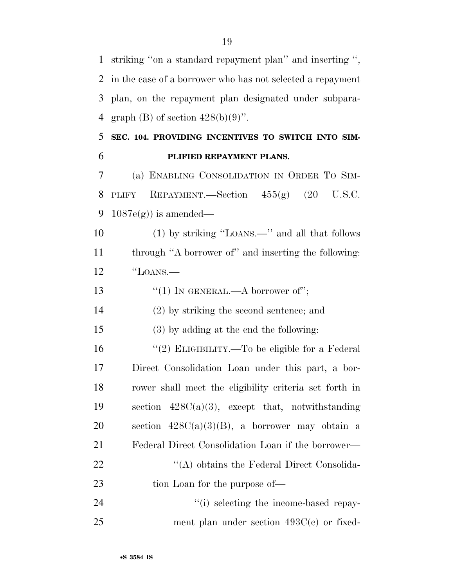striking ''on a standard repayment plan'' and inserting '', in the case of a borrower who has not selected a repayment plan, on the repayment plan designated under subpara-4 graph (B) of section  $428(b)(9)$ ".

## **SEC. 104. PROVIDING INCENTIVES TO SWITCH INTO SIM-PLIFIED REPAYMENT PLANS.**

 (a) ENABLING CONSOLIDATION IN ORDER TO SIM-8 PLIFY REPAYMENT.—Section  $455(g)$   $(20 \text{ U.S.C.})$ 9 1087e $(g)$ ) is amended—

 (1) by striking ''LOANS.—'' and all that follows through ''A borrower of'' and inserting the following: ''LOANS.—

13  $\frac{1}{2}$  (1) In GENERAL.—A borrower of";

(2) by striking the second sentence; and

(3) by adding at the end the following:

16 "(2) ELIGIBILITY.—To be eligible for a Federal Direct Consolidation Loan under this part, a bor- rower shall meet the eligibility criteria set forth in section 428C(a)(3), except that, notwithstanding 20 section  $428C(a)(3)(B)$ , a borrower may obtain a Federal Direct Consolidation Loan if the borrower— 22 ''(A) obtains the Federal Direct Consolida-23 tion Loan for the purpose of—

24  $\gamma$  (i) selecting the income-based repay-ment plan under section 493C(c) or fixed-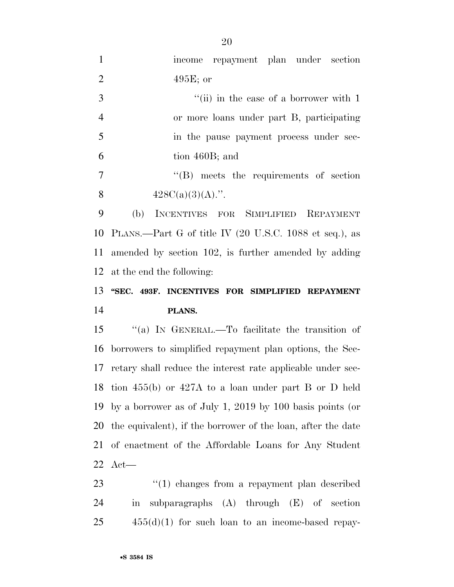| $\mathbf{1}$   | income repayment plan under section                          |
|----------------|--------------------------------------------------------------|
| $\overline{2}$ | $495E$ ; or                                                  |
| 3              | "(ii) in the case of a borrower with $1$                     |
| $\overline{4}$ | or more loans under part B, participating                    |
| 5              | in the pause payment process under sec-                      |
| 6              | tion 460B; and                                               |
| 7              | $\lq\lq$ meets the requirements of section                   |
| 8              | $428C(a)(3)(A)$ .".                                          |
| 9              | INCENTIVES FOR SIMPLIFIED REPAYMENT<br>(b)                   |
| 10             | PLANS.—Part G of title IV (20 U.S.C. 1088 et seq.), as       |
| 11             | amended by section 102, is further amended by adding         |
| 12             | at the end the following:                                    |
| 13             | "SEC. 493F. INCENTIVES FOR SIMPLIFIED REPAYMENT              |
| 14             | PLANS.                                                       |
| 15             | "(a) IN GENERAL.—To facilitate the transition of             |
| 16             | borrowers to simplified repayment plan options, the Sec-     |
| 17             | retary shall reduce the interest rate applicable under sec-  |
| 18             | tion $455(b)$ or $427A$ to a loan under part B or D held     |
| 19             | by a borrower as of July 1, 2019 by 100 basis points (or     |
| 20             | the equivalent), if the borrower of the loan, after the date |
| 21             | of enactment of the Affordable Loans for Any Student         |
| 22             | $Act$ —                                                      |
| 23             |                                                              |

 in subparagraphs (A) through (E) of section 455(d)(1) for such loan to an income-based repay-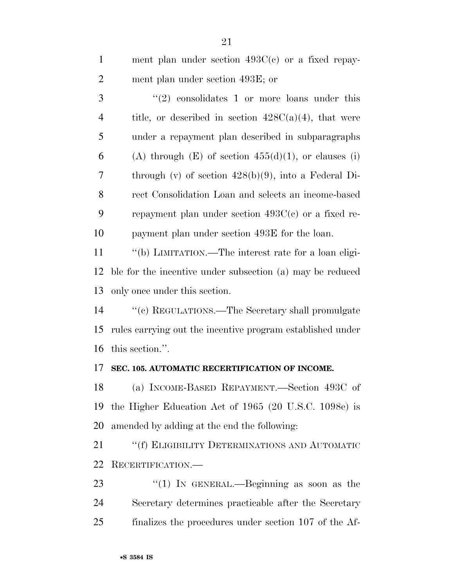| $\mathbf{1}$   | ment plan under section $493C(c)$ or a fixed repay-        |
|----------------|------------------------------------------------------------|
| $\overline{2}$ | ment plan under section 493E; or                           |
| 3              | $(2)$ consolidates 1 or more loans under this              |
| $\overline{4}$ | title, or described in section $428C(a)(4)$ , that were    |
| 5              | under a repayment plan described in subparagraphs          |
| 6              | (A) through $(E)$ of section $455(d)(1)$ , or clauses (i)  |
| 7              | through (v) of section $428(b)(9)$ , into a Federal Di-    |
| 8              | rect Consolidation Loan and selects an income-based        |
| 9              | repayment plan under section $493C(c)$ or a fixed re-      |
| 10             | payment plan under section 493E for the loan.              |
| 11             | "(b) LIMITATION.—The interest rate for a loan eligi-       |
| 12             | ble for the incentive under subsection (a) may be reduced  |
| 13             | only once under this section.                              |
| 14             | "(c) REGULATIONS.—The Secretary shall promulgate           |
| 15             | rules carrying out the incentive program established under |
| 16             | this section.".                                            |
| 17             | SEC. 105. AUTOMATIC RECERTIFICATION OF INCOME.             |
| 18             | (a) INCOME-BASED REPAYMENT.—Section 493C of                |
| 19             | the Higher Education Act of 1965 (20 U.S.C. 1098e) is      |
| 20             | amended by adding at the end the following:                |
| 21             | "(f) ELIGIBILITY DETERMINATIONS AND AUTOMATIC              |
| 22             | RECERTIFICATION.                                           |
| 23             | "(1) IN GENERAL.—Beginning as soon as the                  |
| 24             | Secretary determines practicable after the Secretary       |
| 25             | finalizes the procedures under section 107 of the Af-      |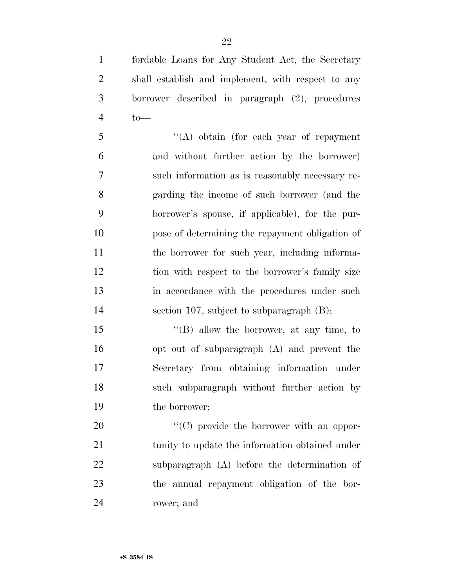fordable Loans for Any Student Act, the Secretary shall establish and implement, with respect to any borrower described in paragraph (2), procedures to—

 ''(A) obtain (for each year of repayment and without further action by the borrower) such information as is reasonably necessary re- garding the income of such borrower (and the borrower's spouse, if applicable), for the pur- pose of determining the repayment obligation of 11 the borrower for such year, including informa- tion with respect to the borrower's family size in accordance with the procedures under such section 107, subject to subparagraph (B);

15 "(B) allow the borrower, at any time, to opt out of subparagraph (A) and prevent the Secretary from obtaining information under such subparagraph without further action by the borrower;

 $\langle ^{\prime}(C) \rangle$  provide the borrower with an oppor-21 tunity to update the information obtained under subparagraph (A) before the determination of the annual repayment obligation of the bor-rower; and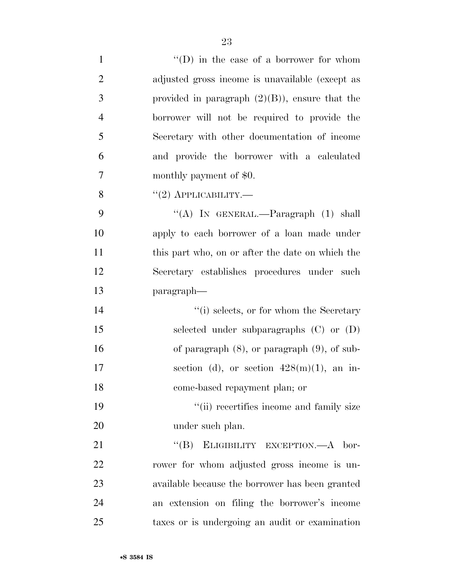| $\mathbf{1}$   | $\lq\lq$ (D) in the case of a borrower for whom   |
|----------------|---------------------------------------------------|
| $\overline{2}$ | adjusted gross income is unavailable (except as   |
| 3              | provided in paragraph $(2)(B)$ , ensure that the  |
| $\overline{4}$ | borrower will not be required to provide the      |
| 5              | Secretary with other documentation of income      |
| 6              | and provide the borrower with a calculated        |
| 7              | monthly payment of \$0.                           |
| 8              | $``(2)$ APPLICABILITY.—                           |
| 9              | "(A) IN GENERAL.—Paragraph $(1)$ shall            |
| 10             | apply to each borrower of a loan made under       |
| 11             | this part who, on or after the date on which the  |
| 12             | Secretary establishes procedures under such       |
| 13             | paragraph—                                        |
| 14             | $``(i)$ selects, or for whom the Secretary        |
| 15             | selected under subparagraphs $(C)$ or $(D)$       |
| 16             | of paragraph $(8)$ , or paragraph $(9)$ , of sub- |
| 17             | section (d), or section $428(m)(1)$ , an in-      |
| 18             | come-based repayment plan; or                     |
| 19             | "(ii) recertifies income and family size          |
| 20             | under such plan.                                  |
| 21             | "(B) ELIGIBILITY EXCEPTION.—A bor-                |
| 22             | rower for whom adjusted gross income is un-       |
| 23             | available because the borrower has been granted   |
| 24             | an extension on filing the borrower's income      |
| 25             | taxes or is undergoing an audit or examination    |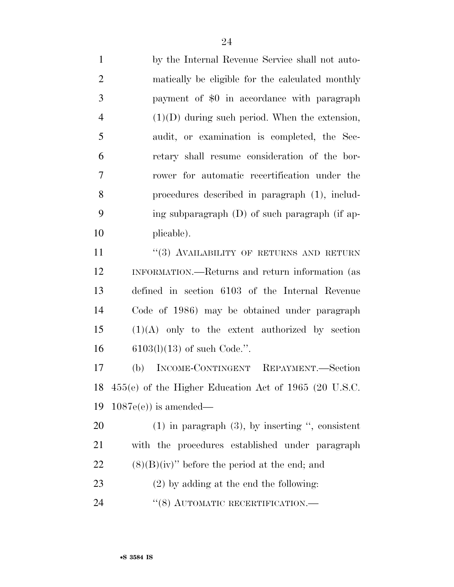by the Internal Revenue Service shall not auto- matically be eligible for the calculated monthly payment of \$0 in accordance with paragraph (1)(D) during such period. When the extension, audit, or examination is completed, the Sec- retary shall resume consideration of the bor- rower for automatic recertification under the procedures described in paragraph (1), includ- ing subparagraph (D) of such paragraph (if ap-plicable).

11 "(3) AVAILABILITY OF RETURNS AND RETURN INFORMATION.—Returns and return information (as defined in section 6103 of the Internal Revenue Code of 1986) may be obtained under paragraph (1)(A) only to the extent authorized by section 6103(l)(13) of such Code.''.

 (b) INCOME-CONTINGENT REPAYMENT.—Section 455(e) of the Higher Education Act of 1965 (20 U.S.C. 1087e(e)) is amended—

 (1) in paragraph (3), by inserting '', consistent with the procedures established under paragraph 22  $(8)(B)(iv)$  before the period at the end; and

(2) by adding at the end the following:

24 "(8) AUTOMATIC RECERTIFICATION.—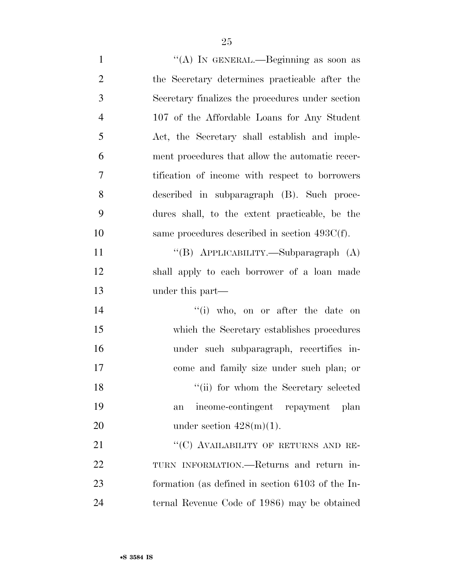| $\mathbf{1}$   | "(A) IN GENERAL.—Beginning as soon as            |
|----------------|--------------------------------------------------|
| $\overline{2}$ | the Secretary determines practicable after the   |
| 3              | Secretary finalizes the procedures under section |
| $\overline{4}$ | 107 of the Affordable Loans for Any Student      |
| 5              | Act, the Secretary shall establish and imple-    |
| 6              | ment procedures that allow the automatic recer-  |
| $\tau$         | tification of income with respect to borrowers   |
| 8              | described in subparagraph (B). Such proce-       |
| 9              | dures shall, to the extent practicable, be the   |
| 10             | same procedures described in section $493C(f)$ . |
| 11             | "(B) APPLICABILITY.—Subparagraph (A)             |
| 12             | shall apply to each borrower of a loan made      |
| 13             | under this part—                                 |
| 14             | "(i) who, on or after the date on                |
| 15             | which the Secretary establishes procedures       |
| 16             | under such subparagraph, recertifies in-         |
| 17             | come and family size under such plan; or         |
| 18             | "(ii) for whom the Secretary selected            |
| 19             | income-contingent repayment plan<br>an           |
| 20             | under section $428(m)(1)$ .                      |
| 21             | "(C) AVAILABILITY OF RETURNS AND RE-             |
| 22             | TURN INFORMATION.—Returns and return in-         |
| 23             | formation (as defined in section 6103 of the In- |
| 24             | ternal Revenue Code of 1986) may be obtained     |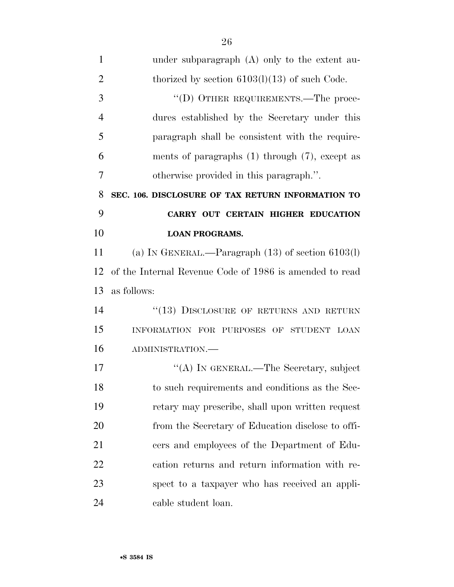| $\mathbf{1}$   | under subparagraph $(A)$ only to the extent au-         |
|----------------|---------------------------------------------------------|
| $\overline{2}$ | thorized by section $6103(1)(13)$ of such Code.         |
| 3              | "(D) OTHER REQUIREMENTS.—The proce-                     |
| $\overline{4}$ | dures established by the Secretary under this           |
| 5              | paragraph shall be consistent with the require-         |
| 6              | ments of paragraphs $(1)$ through $(7)$ , except as     |
| 7              | otherwise provided in this paragraph.".                 |
| 8              | SEC. 106. DISCLOSURE OF TAX RETURN INFORMATION TO       |
| 9              | CARRY OUT CERTAIN HIGHER EDUCATION                      |
| 10             | <b>LOAN PROGRAMS.</b>                                   |
| 11             | (a) IN GENERAL.—Paragraph $(13)$ of section $6103(l)$   |
| 12             | of the Internal Revenue Code of 1986 is amended to read |
| 13             | as follows:                                             |
| 14             | "(13) DISCLOSURE OF RETURNS AND RETURN                  |
| 15             | INFORMATION FOR PURPOSES OF STUDENT LOAN                |
| 16             | ADMINISTRATION.-                                        |
| 17             | "(A) IN GENERAL.—The Secretary, subject                 |
| 18             | to such requirements and conditions as the Sec-         |
| 19             | retary may prescribe, shall upon written request        |
| 20             | from the Secretary of Education disclose to offi-       |
| 21             | cers and employees of the Department of Edu-            |
| 22             | cation returns and return information with re-          |
| 23             | spect to a taxpayer who has received an appli-          |
| 24             | cable student loan.                                     |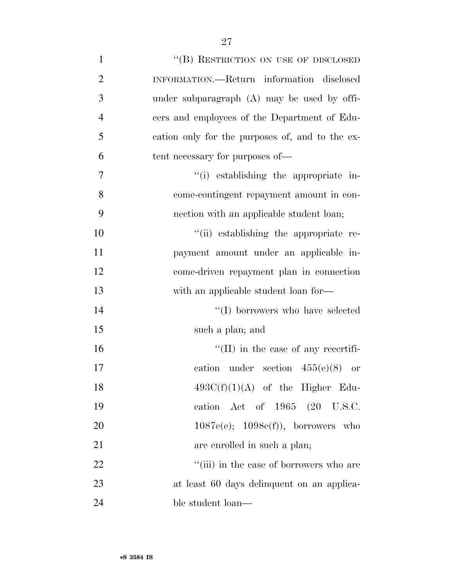| $\mathbf{1}$   | "(B) RESTRICTION ON USE OF DISCLOSED            |
|----------------|-------------------------------------------------|
| $\overline{2}$ | INFORMATION.—Return information disclosed       |
| 3              | under subparagraph (A) may be used by offi-     |
| $\overline{4}$ | cers and employees of the Department of Edu-    |
| 5              | cation only for the purposes of, and to the ex- |
| 6              | tent necessary for purposes of—                 |
| 7              | "(i) establishing the appropriate in-           |
| 8              | come-contingent repayment amount in con-        |
| 9              | nection with an applicable student loan;        |
| 10             | "(ii) establishing the appropriate re-          |
| 11             | payment amount under an applicable in-          |
| 12             | come-driven repayment plan in connection        |
| 13             | with an applicable student loan for—            |
| 14             | "(I) borrowers who have selected                |
| 15             | such a plan; and                                |
| 16             | $\lq\lq$ (II) in the case of any recertifi-     |
| 17             | cation under section $455(e)(8)$ or             |
| 18             | $493C(f)(1)(A)$ of the Higher Edu-              |
| 19             | cation Act of $1965$ $(20 \text{ U.S.C.})$      |
| 20             | $1087e(e); 1098e(f)),$ borrowers who            |
| 21             | are enrolled in such a plan;                    |
| 22             | "(iii) in the case of borrowers who are         |
| 23             | at least 60 days delinquent on an applica-      |
| 24             | ble student loan—                               |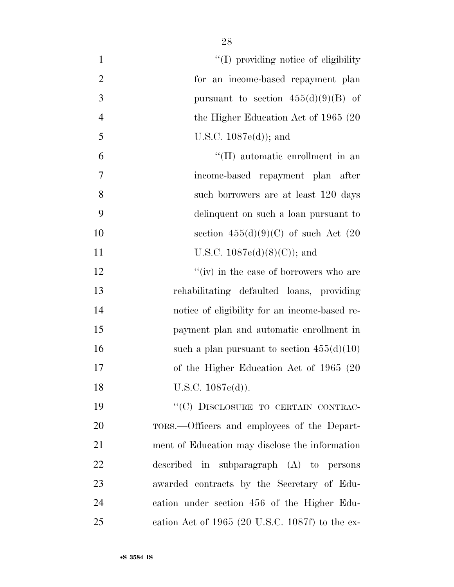| $\mathbf{1}$   | "(I) providing notice of eligibility"           |
|----------------|-------------------------------------------------|
| $\mathbf{2}$   | for an income-based repayment plan              |
| $\overline{3}$ | pursuant to section $455(d)(9)(B)$ of           |
| $\overline{4}$ | the Higher Education Act of $1965(20)$          |
| 5              | U.S.C. $1087e(d)$ ; and                         |
| 6              | "(II) automatic enrollment in an                |
| 7              | income-based repayment plan after               |
| 8              | such borrowers are at least 120 days            |
| 9              | delinquent on such a loan pursuant to           |
| 10             | section $455(d)(9)(C)$ of such Act $(20)$       |
| 11             | U.S.C. $1087e(d)(8)(C)$ ; and                   |
| 12             | "(iv) in the case of borrowers who are          |
| 13             | rehabilitating defaulted loans, providing       |
| 14             | notice of eligibility for an income-based re-   |
| 15             | payment plan and automatic enrollment in        |
| 16             | such a plan pursuant to section $455(d)(10)$    |
| 17             | of the Higher Education Act of 1965 (20         |
| 18             | U.S.C. 1087e(d)).                               |
| 19             | "(C) DISCLOSURE TO CERTAIN CONTRAC-             |
| 20             | TORS.—Officers and employees of the Depart-     |
| 21             | ment of Education may disclose the information  |
| 22             | described in subparagraph (A) to persons        |
| 23             | awarded contracts by the Secretary of Edu-      |
| 24             | cation under section 456 of the Higher Edu-     |
| 25             | cation Act of 1965 (20 U.S.C. 1087f) to the ex- |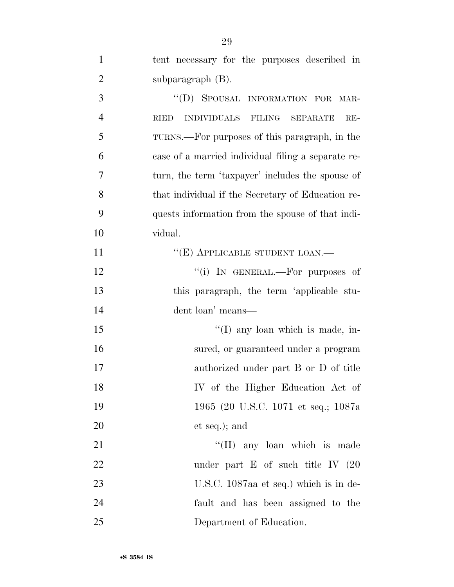| $\mathbf{1}$   | tent necessary for the purposes described in                  |
|----------------|---------------------------------------------------------------|
| $\overline{2}$ | subparagraph $(B)$ .                                          |
| 3              | "(D) SPOUSAL INFORMATION FOR MAR-                             |
| $\overline{4}$ | <b>INDIVIDUALS</b><br><b>RIED</b><br>FILING SEPARATE<br>$RE-$ |
| 5              | TURNS.—For purposes of this paragraph, in the                 |
| 6              | case of a married individual filing a separate re-            |
| 7              | turn, the term 'taxpayer' includes the spouse of              |
| 8              | that individual if the Secretary of Education re-             |
| 9              | quests information from the spouse of that indi-              |
| 10             | vidual.                                                       |
| 11             | "(E) APPLICABLE STUDENT LOAN.—                                |
| 12             | "(i) IN GENERAL.—For purposes of                              |
| 13             | this paragraph, the term 'applicable stu-                     |
| 14             | dent loan' means-                                             |
| 15             | $\lq\lq$ (I) any loan which is made, in-                      |
| 16             | sured, or guaranteed under a program                          |
| 17             | authorized under part B or D of title                         |
| 18             | IV of the Higher Education Act of                             |
| 19             | 1965 (20 U.S.C. 1071 et seq.; 1087a                           |
| 20             | et seq.); and                                                 |
| 21             | $\lq\lq$ (II) any loan which is made                          |
| 22             | under part $E$ of such title IV $(20)$                        |
| 23             | U.S.C. 1087aa et seq.) which is in de-                        |
| 24             | fault and has been assigned to the                            |
| 25             | Department of Education.                                      |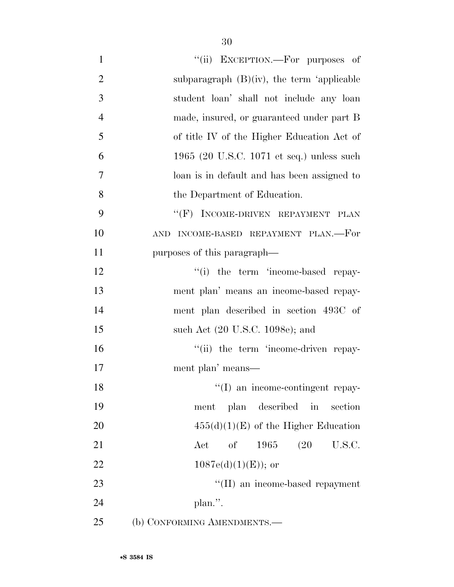| $\mathbf{1}$   | "(ii) EXCEPTION.—For purposes of                             |
|----------------|--------------------------------------------------------------|
| $\overline{2}$ | subparagraph $(B)(iv)$ , the term 'applicable                |
| 3              | student loan' shall not include any loan                     |
| $\overline{4}$ | made, insured, or guaranteed under part B                    |
| 5              | of title IV of the Higher Education Act of                   |
| 6              | 1965 (20 U.S.C. 1071 et seq.) unless such                    |
| 7              | loan is in default and has been assigned to                  |
| 8              | the Department of Education.                                 |
| 9              | "(F) INCOME-DRIVEN REPAYMENT PLAN                            |
| 10             | AND INCOME-BASED REPAYMENT PLAN.—For                         |
| 11             | purposes of this paragraph—                                  |
| 12             | "(i) the term 'income-based repay-                           |
| 13             | ment plan' means an income-based repay-                      |
| 14             | ment plan described in section 493C of                       |
| 15             | such Act (20 U.S.C. 1098e); and                              |
| 16             | "(ii) the term 'income-driven repay-                         |
| 17             | ment plan' means—                                            |
| 18             | "(I) an income-contingent repay-                             |
| 19             | ment plan described in section                               |
| 20             | $455(d)(1)(E)$ of the Higher Education                       |
| 21             | 1965 (20)<br>U.S.C.<br>$\operatorname{Act}$<br><sub>of</sub> |
| 22             | $1087e(d)(1)(E)$ ; or                                        |
| 23             | "(II) an income-based repayment                              |
| 24             | plan.".                                                      |
| 25             | (b) CONFORMING AMENDMENTS.-                                  |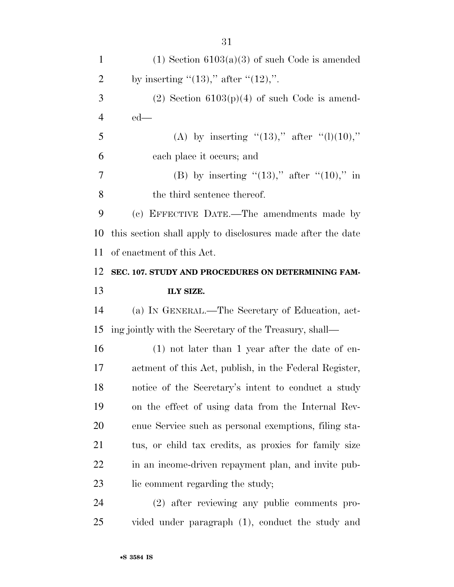1 (1) Section  $6103(a)(3)$  of such Code is amended 2 by inserting " $(13)$ ," after " $(12)$ ,". 3 (2) Section  $6103(p)(4)$  of such Code is amend- ed— 5 (A) by inserting " $(13)$ ," after " $(l)(10)$ ," each place it occurs; and 7 (B) by inserting  $(13)$ ," after  $(10)$ ," in 8 the third sentence thereof. (c) EFFECTIVE DATE.—The amendments made by this section shall apply to disclosures made after the date of enactment of this Act. **SEC. 107. STUDY AND PROCEDURES ON DETERMINING FAM- ILY SIZE.**  (a) IN GENERAL.—The Secretary of Education, act- ing jointly with the Secretary of the Treasury, shall— (1) not later than 1 year after the date of en- actment of this Act, publish, in the Federal Register, notice of the Secretary's intent to conduct a study on the effect of using data from the Internal Rev- enue Service such as personal exemptions, filing sta- tus, or child tax credits, as proxies for family size 22 in an income-driven repayment plan, and invite pub-23 lie comment regarding the study; (2) after reviewing any public comments pro-vided under paragraph (1), conduct the study and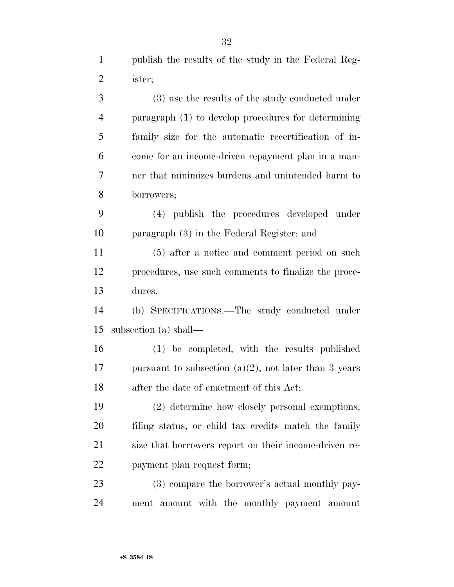publish the results of the study in the Federal Reg-ister;

 (3) use the results of the study conducted under paragraph (1) to develop procedures for determining family size for the automatic recertification of in- come for an income-driven repayment plan in a man- ner that minimizes burdens and unintended harm to borrowers;

 (4) publish the procedures developed under paragraph (3) in the Federal Register; and

 (5) after a notice and comment period on such procedures, use such comments to finalize the proce-dures.

 (b) SPECIFICATIONS.—The study conducted under subsection (a) shall—

 (1) be completed, with the results published 17 pursuant to subsection  $(a)(2)$ , not later than 3 years after the date of enactment of this Act;

 (2) determine how closely personal exemptions, filing status, or child tax credits match the family size that borrowers report on their income-driven re-payment plan request form;

 (3) compare the borrower's actual monthly pay-ment amount with the monthly payment amount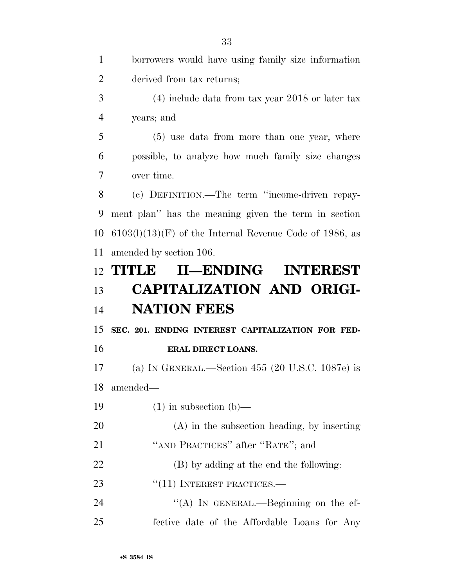borrowers would have using family size information derived from tax returns; (4) include data from tax year 2018 or later tax years; and (5) use data from more than one year, where possible, to analyze how much family size changes over time. (c) DEFINITION.—The term ''income-driven repay- ment plan'' has the meaning given the term in section  $6103(l)(13)(F)$  of the Internal Revenue Code of 1986, as amended by section 106. **TITLE II—ENDING INTEREST CAPITALIZATION AND ORIGI- NATION FEES SEC. 201. ENDING INTEREST CAPITALIZATION FOR FED- ERAL DIRECT LOANS.**  (a) IN GENERAL.—Section 455 (20 U.S.C. 1087e) is amended—  $(1)$  in subsection  $(b)$ — (A) in the subsection heading, by inserting 21 "AND PRACTICES" after "RATE"; and (B) by adding at the end the following: 23 "(11) INTEREST PRACTICES.— 24 "(A) In GENERAL.—Beginning on the ef-fective date of the Affordable Loans for Any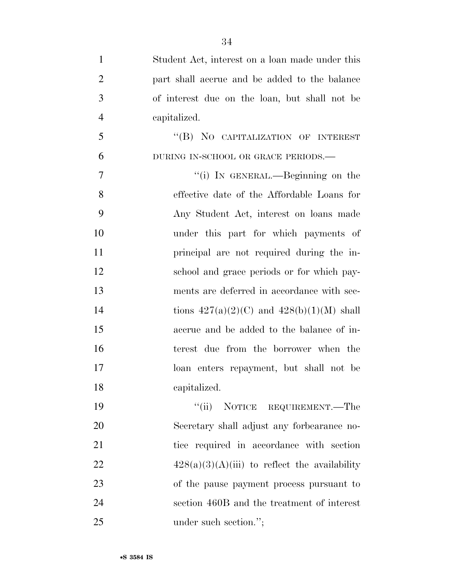Student Act, interest on a loan made under this part shall accrue and be added to the balance of interest due on the loan, but shall not be capitalized. 5 "(B) NO CAPITALIZATION OF INTEREST DURING IN-SCHOOL OR GRACE PERIODS.— 7 "(i) In GENERAL.—Beginning on the effective date of the Affordable Loans for Any Student Act, interest on loans made under this part for which payments of principal are not required during the in- school and grace periods or for which pay- ments are deferred in accordance with sec-14 tions  $427(a)(2)(C)$  and  $428(b)(1)(M)$  shall accrue and be added to the balance of in- terest due from the borrower when the loan enters repayment, but shall not be capitalized. ''(ii) NOTICE REQUIREMENT.—The Secretary shall adjust any forbearance no-21 tice required in accordance with section  $428(a)(3)(A)(iii)$  to reflect the availability of the pause payment process pursuant to

section 460B and the treatment of interest

25 under such section.";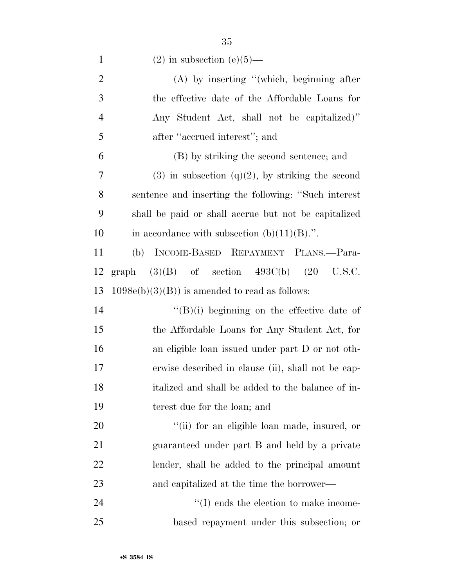| $(2)$ in subsection $(e)(5)$ — |  |
|--------------------------------|--|
|--------------------------------|--|

| $\overline{2}$ | $(A)$ by inserting "(which, beginning after           |
|----------------|-------------------------------------------------------|
| 3              | the effective date of the Affordable Loans for        |
| $\overline{4}$ | Any Student Act, shall not be capitalized)"           |
| 5              | after "accrued interest"; and                         |
| 6              | (B) by striking the second sentence; and              |
| 7              | $(3)$ in subsection $(q)(2)$ , by striking the second |
| 8              | sentence and inserting the following: "Such interest  |
| 9              | shall be paid or shall accrue but not be capitalized  |
| 10             | in accordance with subsection $(b)(11)(B)$ .".        |
| 11             | INCOME-BASED REPAYMENT PLANS.—Para-<br>(b)            |
| 12             | graph $(3)(B)$ of section $493C(b)$ $(20)$<br>U.S.C.  |
| 13             | $1098e(b)(3)(B)$ is amended to read as follows:       |
| 14             | $\lq\lq (B)(i)$ beginning on the effective date of    |
| 15             | the Affordable Loans for Any Student Act, for         |
| 16             | an eligible loan issued under part D or not oth-      |
| 17             | erwise described in clause (ii), shall not be cap-    |
| 18             | italized and shall be added to the balance of in-     |
| 19             | terest due for the loan; and                          |
| 20             | "(ii) for an eligible loan made, insured, or          |
| 21             | guaranteed under part B and held by a private         |
| <u>22</u>      | lender, shall be added to the principal amount        |
| 23             | and capitalized at the time the borrower—             |
| 24             | $\lq\lq$ (I) ends the election to make income-        |
| 25             | based repayment under this subsection; or             |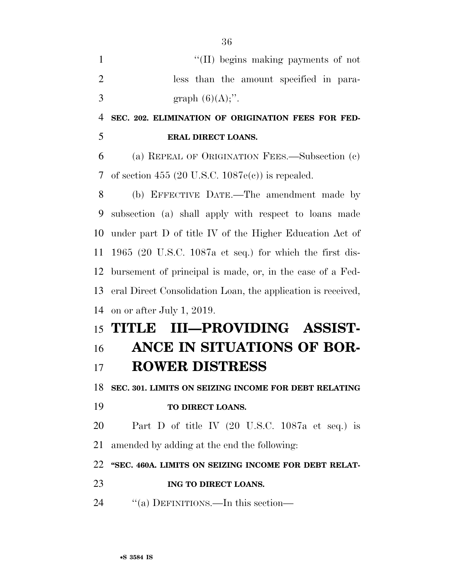| $\mathbf{1}$   | "(II) begins making payments of not                                |
|----------------|--------------------------------------------------------------------|
| $\overline{2}$ | less than the amount specified in para-                            |
| 3              | graph $(6)(A)$ ;".                                                 |
| $\overline{4}$ | SEC. 202. ELIMINATION OF ORIGINATION FEES FOR FED-                 |
| 5              | <b>ERAL DIRECT LOANS.</b>                                          |
| 6              | (a) REPEAL OF ORIGINATION FEES.—Subsection (c)                     |
| 7              | of section 455 (20 U.S.C. $1087e(c)$ ) is repealed.                |
| 8              | (b) EFFECTIVE DATE.—The amendment made by                          |
| 9              | subsection (a) shall apply with respect to loans made              |
| 10             | under part D of title IV of the Higher Education Act of            |
| 11             | 1965 (20 U.S.C. 1087a et seq.) for which the first dis-            |
| 12             | bursement of principal is made, or, in the case of a Fed-          |
| 13             | eral Direct Consolidation Loan, the application is received,       |
| 14             | on or after July 1, 2019.                                          |
|                | III-PROVIDING ASSIST-<br>15 TITLE                                  |
| 16             | ANCE IN SITUATIONS OF BOR-                                         |
| 17             | <b>ROWER DISTRESS</b>                                              |
|                | 18 SEC. 301. LIMITS ON SEIZING INCOME FOR DEBT RELATING            |
| 19             | TO DIRECT LOANS.                                                   |
| 20             | Part D of title IV $(20 \text{ U.S.C. } 1087a \text{ et seq.})$ is |
| 21             | amended by adding at the end the following:                        |
| 22             | "SEC. 460A. LIMITS ON SEIZING INCOME FOR DEBT RELAT-               |
| 23             | ING TO DIRECT LOANS.                                               |
| 24             | "(a) DEFINITIONS.—In this section—                                 |
|                |                                                                    |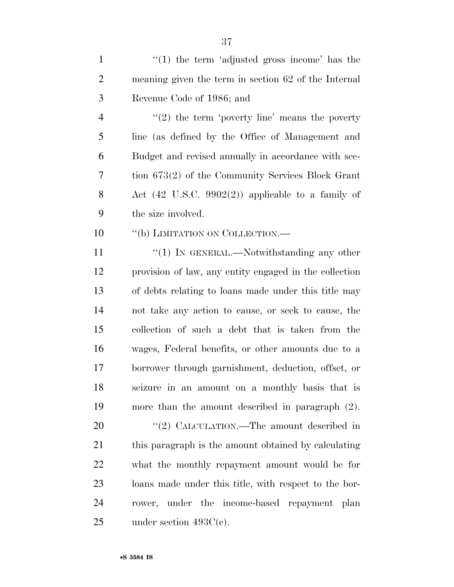1  $\frac{1}{1}$  the term 'adjusted gross income' has the meaning given the term in section 62 of the Internal Revenue Code of 1986; and

 $\frac{4}{2}$  ''(2) the term 'poverty line' means the poverty line (as defined by the Office of Management and Budget and revised annually in accordance with sec- tion 673(2) of the Community Services Block Grant Act (42 U.S.C. 9902(2)) applicable to a family of the size involved.

10 "(b) LIMITATION ON COLLECTION.—

11 "'(1) IN GENERAL.—Notwithstanding any other provision of law, any entity engaged in the collection of debts relating to loans made under this title may not take any action to cause, or seek to cause, the collection of such a debt that is taken from the wages, Federal benefits, or other amounts due to a borrower through garnishment, deduction, offset, or seizure in an amount on a monthly basis that is more than the amount described in paragraph (2).

20 "(2) CALCULATION.—The amount described in this paragraph is the amount obtained by calculating what the monthly repayment amount would be for loans made under this title, with respect to the bor- rower, under the income-based repayment plan under section 493C(c).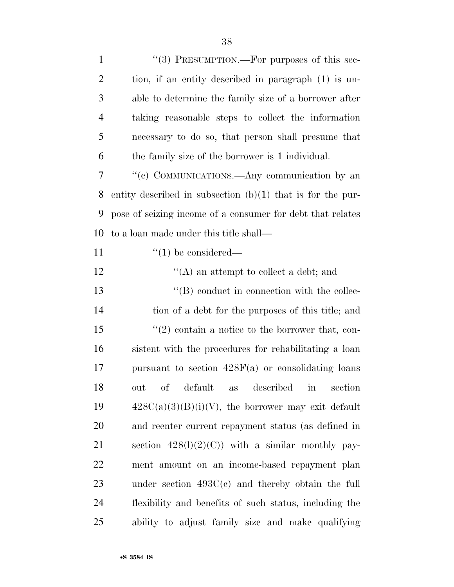| $\mathbf{1}$   | "(3) PRESUMPTION.—For purposes of this sec-                  |
|----------------|--------------------------------------------------------------|
| $\overline{2}$ | tion, if an entity described in paragraph (1) is un-         |
| 3              | able to determine the family size of a borrower after        |
| $\overline{4}$ | taking reasonable steps to collect the information           |
| 5              | necessary to do so, that person shall presume that           |
| 6              | the family size of the borrower is 1 individual.             |
| 7              | "(c) COMMUNICATIONS.—Any communication by an                 |
| 8              | entity described in subsection $(b)(1)$ that is for the pur- |
| 9              | pose of seizing income of a consumer for debt that relates   |
| 10             | to a loan made under this title shall—                       |
| 11             | $\lq(1)$ be considered—                                      |
| 12             | $\lq\lq$ an attempt to collect a debt; and                   |
| 13             | $\lq\lq (B)$ conduct in connection with the collec-          |
| 14             | tion of a debt for the purposes of this title; and           |
| 15             | $(2)$ contain a notice to the borrower that, con-            |
| 16             | sistent with the procedures for rehabilitating a loan        |
| 17             | pursuant to section $428F(a)$ or consolidating loans         |
| 18             | out of default as described in section                       |
| 19             | $428C(a)(3)(B)(i)(V)$ , the borrower may exit default        |
| 20             | and reenter current repayment status (as defined in          |
| 21             | section $428(1)(2)(C)$ with a similar monthly pay-           |
| 22             | ment amount on an income-based repayment plan                |
| 23             | under section $493C(c)$ and thereby obtain the full          |
| 24             | flexibility and benefits of such status, including the       |
| 25             | ability to adjust family size and make qualifying            |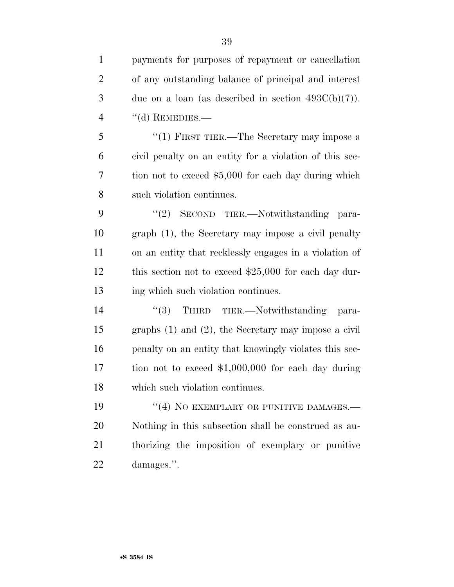payments for purposes of repayment or cancellation of any outstanding balance of principal and interest 3 due on a loan (as described in section  $493C(b)(7)$ ). 4 "(d) REMEDIES.

5 "(1) FIRST TIER.—The Secretary may impose a civil penalty on an entity for a violation of this sec- tion not to exceed \$5,000 for each day during which such violation continues.

9 "(2) SECOND TIER.—Notwithstanding para- graph (1), the Secretary may impose a civil penalty on an entity that recklessly engages in a violation of this section not to exceed \$25,000 for each day dur-13 ing which such violation continues.

14 "(3) THIRD TIER.—Notwithstanding para- graphs (1) and (2), the Secretary may impose a civil penalty on an entity that knowingly violates this sec- tion not to exceed \$1,000,000 for each day during which such violation continues.

19 "(4) NO EXEMPLARY OR PUNITIVE DAMAGES.— Nothing in this subsection shall be construed as au- thorizing the imposition of exemplary or punitive damages.''.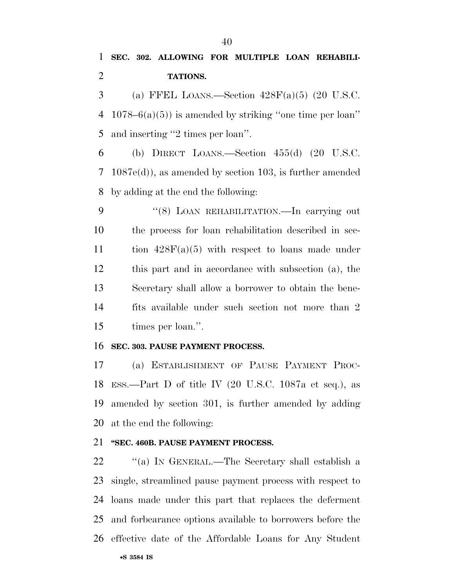## **SEC. 302. ALLOWING FOR MULTIPLE LOAN REHABILI-TATIONS.**

3 (a) FFEL LOANS.—Section  $428F(a)(5)$  (20 U.S.C. 1078–6(a)(5)) is amended by striking ''one time per loan'' and inserting ''2 times per loan''.

6 (b) DIRECT LOANS.—Section  $455(d)$  (20 U.S.C. 1087e(d)), as amended by section 103, is further amended by adding at the end the following:

9 "(8) LOAN REHABILITATION.—In carrying out the process for loan rehabilitation described in sec-11 tion  $428F(a)(5)$  with respect to loans made under this part and in accordance with subsection (a), the Secretary shall allow a borrower to obtain the bene- fits available under such section not more than 2 times per loan.''.

## **SEC. 303. PAUSE PAYMENT PROCESS.**

 (a) ESTABLISHMENT OF PAUSE PAYMENT PROC- ESS.—Part D of title IV (20 U.S.C. 1087a et seq.), as amended by section 301, is further amended by adding at the end the following:

## **''SEC. 460B. PAUSE PAYMENT PROCESS.**

 ''(a) IN GENERAL.—The Secretary shall establish a single, streamlined pause payment process with respect to loans made under this part that replaces the deferment and forbearance options available to borrowers before the effective date of the Affordable Loans for Any Student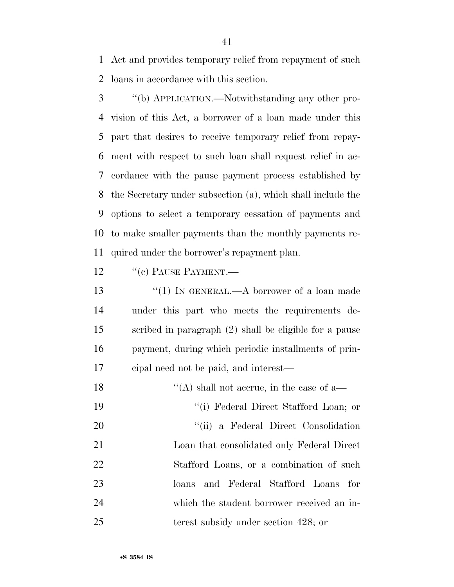Act and provides temporary relief from repayment of such loans in accordance with this section.

 ''(b) APPLICATION.—Notwithstanding any other pro- vision of this Act, a borrower of a loan made under this part that desires to receive temporary relief from repay- ment with respect to such loan shall request relief in ac- cordance with the pause payment process established by the Secretary under subsection (a), which shall include the options to select a temporary cessation of payments and to make smaller payments than the monthly payments re-quired under the borrower's repayment plan.

12 <sup>''</sup>(c) PAUSE PAYMENT.

 ''(1) IN GENERAL.—A borrower of a loan made under this part who meets the requirements de- scribed in paragraph (2) shall be eligible for a pause payment, during which periodic installments of prin-cipal need not be paid, and interest—

 $\langle (A)$  shall not accrue, in the case of a— ''(i) Federal Direct Stafford Loan; or ''(ii) a Federal Direct Consolidation Loan that consolidated only Federal Direct Stafford Loans, or a combination of such loans and Federal Stafford Loans for which the student borrower received an in-25 terest subsidy under section 428; or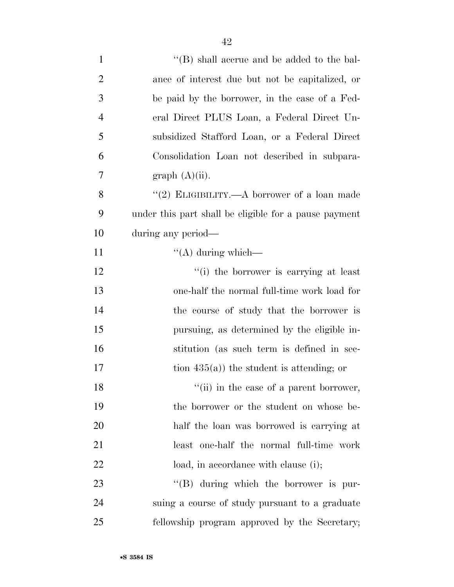| $\mathbf{1}$   | $\lq\lq$ (B) shall accrue and be added to the bal-    |
|----------------|-------------------------------------------------------|
| $\overline{2}$ | ance of interest due but not be capitalized, or       |
| 3              | be paid by the borrower, in the case of a Fed-        |
| $\overline{4}$ | eral Direct PLUS Loan, a Federal Direct Un-           |
| 5              | subsidized Stafford Loan, or a Federal Direct         |
| 6              | Consolidation Loan not described in subpara-          |
| 7              | graph (A)(ii).                                        |
| 8              | "(2) ELIGIBILITY.—A borrower of a loan made           |
| 9              | under this part shall be eligible for a pause payment |
| 10             | during any period-                                    |
| 11             | $\lq\lq$ during which—                                |
| 12             | "(i) the borrower is carrying at least                |
| 13             | one-half the normal full-time work load for           |
| 14             | the course of study that the borrower is              |
| 15             | pursuing, as determined by the eligible in-           |
| 16             | stitution (as such term is defined in sec-            |
| 17             | tion $435(a)$ ) the student is attending; or          |
| 18             | "(ii) in the case of a parent borrower,               |
| 19             | the borrower or the student on whose be-              |
| 20             | half the loan was borrowed is carrying at             |
| 21             | least one-half the normal full-time work              |
| 22             | load, in accordance with clause (i);                  |
| 23             | $\lq\lq (B)$ during which the borrower is pur-        |
| 24             | suing a course of study pursuant to a graduate        |
| 25             | fellowship program approved by the Secretary;         |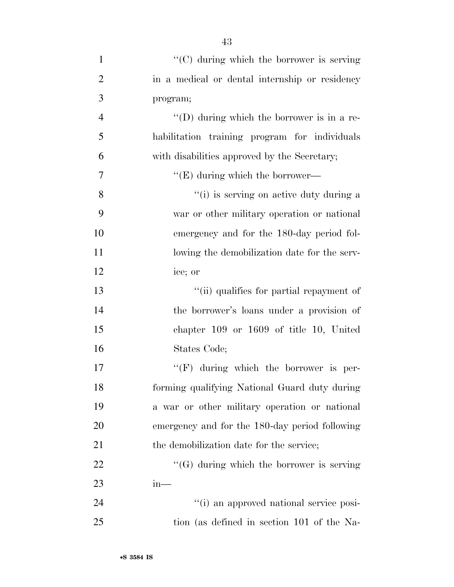| $\mathbf{1}$   | "(C) during which the borrower is serving          |
|----------------|----------------------------------------------------|
| $\overline{2}$ | in a medical or dental internship or residency     |
| 3              | program;                                           |
| $\overline{4}$ | $\lq\lq$ (D) during which the borrower is in a re- |
| 5              | habilitation training program for individuals      |
| 6              | with disabilities approved by the Secretary;       |
| 7              | $\lq\lq$ (E) during which the borrower—            |
| 8              | "(i) is serving on active duty during a            |
| 9              | war or other military operation or national        |
| 10             | emergency and for the 180-day period fol-          |
| 11             | lowing the demobilization date for the serv-       |
| 12             | ice; or                                            |
| 13             | "(ii) qualifies for partial repayment of           |
| 14             | the borrower's loans under a provision of          |
| 15             | chapter $109$ or $1609$ of title 10, United        |
| 16             | States Code;                                       |
| 17             | $\lq\lq(F)$ during which the borrower is per-      |
| 18             | forming qualifying National Guard duty during      |
| 19             | a war or other military operation or national      |
| 20             | emergency and for the 180-day period following     |
| 21             | the demobilization date for the service;           |
| 22             | $\lq\lq(G)$ during which the borrower is serving   |
| 23             | $in-$                                              |
| 24             | "(i) an approved national service posi-            |
| 25             | tion (as defined in section 101 of the Na-         |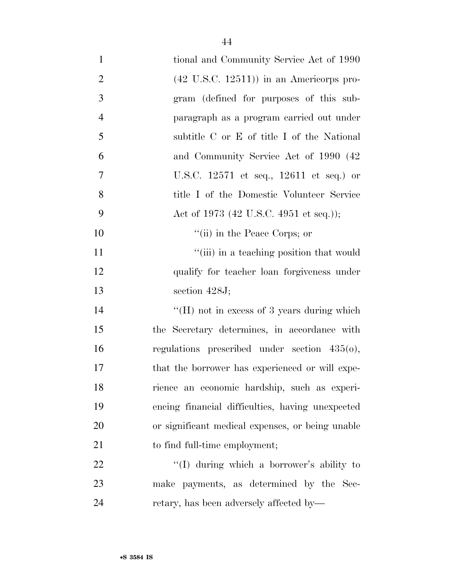| $\mathbf{1}$   | tional and Community Service Act of 1990           |
|----------------|----------------------------------------------------|
| $\overline{2}$ | $(42 \text{ U.S.C. } 12511)$ in an Americorps pro- |
| 3              | gram (defined for purposes of this sub-            |
| $\overline{4}$ | paragraph as a program carried out under           |
| 5              | subtitle C or E of title I of the National         |
| 6              | and Community Service Act of 1990 (42)             |
| 7              | U.S.C. 12571 et seq., 12611 et seq.) or            |
| 8              | title I of the Domestic Volunteer Service          |
| 9              | Act of 1973 (42 U.S.C. 4951 et seq.));             |
| 10             | "(ii) in the Peace Corps; or                       |
| 11             | "(iii) in a teaching position that would           |
| 12             | qualify for teacher loan forgiveness under         |
| 13             | section $428J$ ;                                   |
| 14             | "(H) not in excess of 3 years during which         |
| 15             | the Secretary determines, in accordance with       |
| 16             | regulations prescribed under section $435(0)$ ,    |
| 17             | that the borrower has experienced or will expe-    |
| 18             | rience an economic hardship, such as experi-       |
| 19             | encing financial difficulties, having unexpected   |
| 20             | or significant medical expenses, or being unable   |
| 21             | to find full-time employment;                      |
| 22             | "(I) during which a borrower's ability to          |
| 23             | make payments, as determined by the Sec-           |
| 24             | retary, has been adversely affected by—            |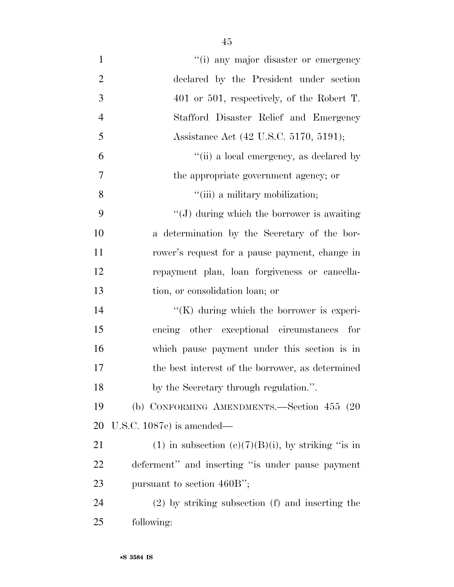| $\mathbf{1}$   | "(i) any major disaster or emergency                 |
|----------------|------------------------------------------------------|
| $\overline{2}$ | declared by the President under section              |
| 3              | $401$ or $501$ , respectively, of the Robert T.      |
| $\overline{4}$ | Stafford Disaster Relief and Emergency               |
| 5              | Assistance Act (42 U.S.C. 5170, 5191);               |
| 6              | "(ii) a local emergency, as declared by              |
| $\overline{7}$ | the appropriate government agency; or                |
| 8              | "(iii) a military mobilization;                      |
| 9              | $\lq\lq$ (J) during which the borrower is awaiting   |
| 10             | a determination by the Secretary of the bor-         |
| 11             | rower's request for a pause payment, change in       |
| 12             | repayment plan, loan forgiveness or cancella-        |
| 13             | tion, or consolidation loan; or                      |
| 14             | $\lq\lq(K)$ during which the borrower is experi-     |
| 15             | encing other exceptional circumstances for           |
| 16             | which pause payment under this section is in         |
| 17             | the best interest of the borrower, as determined     |
| 18             | by the Secretary through regulation.".               |
| 19             | (b) CONFORMING AMENDMENTS.—Section 455 (20           |
| 20             | U.S.C. $1087e$ is amended—                           |
| 21             | (1) in subsection (e)(7)(B)(i), by striking "is in   |
| 22             | deferment" and inserting "is under pause payment     |
| 23             | pursuant to section 460B";                           |
| 24             | $(2)$ by striking subsection $(f)$ and inserting the |
| 25             | following:                                           |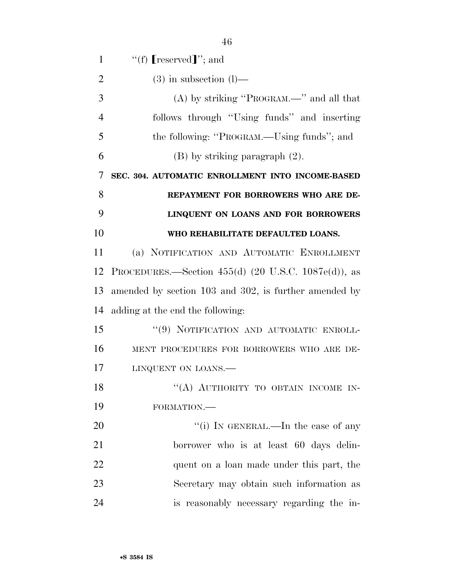| 1              | "(f) $[respect]$ "; and                                               |
|----------------|-----------------------------------------------------------------------|
| $\overline{2}$ | $(3)$ in subsection $(l)$ —                                           |
| 3              | $(A)$ by striking "PROGRAM.—" and all that                            |
| $\overline{4}$ | follows through "Using funds" and inserting                           |
| 5              | the following: "PROGRAM.—Using funds"; and                            |
| 6              | $(B)$ by striking paragraph $(2)$ .                                   |
| 7              | SEC. 304. AUTOMATIC ENROLLMENT INTO INCOME-BASED                      |
| 8              | REPAYMENT FOR BORROWERS WHO ARE DE-                                   |
| 9              | LINQUENT ON LOANS AND FOR BORROWERS                                   |
| 10             | WHO REHABILITATE DEFAULTED LOANS.                                     |
| 11             | (a) NOTIFICATION AND AUTOMATIC ENROLLMENT                             |
| 12             | PROCEDURES.—Section 455(d) $(20 \text{ U.S.C. } 1087\text{e(d)}),$ as |
| 13             | amended by section 103 and 302, is further amended by                 |
| 14             | adding at the end the following:                                      |
| 15             | "(9) NOTIFICATION AND AUTOMATIC ENROLL-                               |
| 16             | MENT PROCEDURES FOR BORROWERS WHO ARE DE-                             |
| 17             | LINQUENT ON LOANS.                                                    |
| 18             | "(A) AUTHORITY TO OBTAIN INCOME IN-                                   |
| 19             | FORMATION.-                                                           |
| 20             | "(i) IN GENERAL.—In the case of any                                   |
| 21             | borrower who is at least 60 days delin-                               |
| 22             | quent on a loan made under this part, the                             |
| 23             | Secretary may obtain such information as                              |
| 24             | is reasonably necessary regarding the in-                             |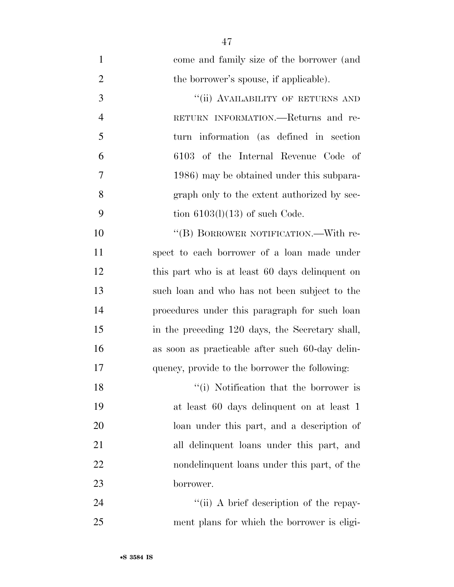| $\mathbf{1}$   | come and family size of the borrower (and       |
|----------------|-------------------------------------------------|
| $\overline{2}$ | the borrower's spouse, if applicable).          |
| 3              | "(ii) AVAILABILITY OF RETURNS AND               |
| $\overline{4}$ | RETURN INFORMATION.—Returns and re-             |
| 5              | turn information (as defined in section)        |
| 6              | 6103 of the Internal Revenue Code of            |
| 7              | 1986) may be obtained under this subpara-       |
| 8              | graph only to the extent authorized by sec-     |
| 9              | tion $6103(l)(13)$ of such Code.                |
| 10             | "(B) BORROWER NOTIFICATION.—With re-            |
| 11             | spect to each borrower of a loan made under     |
| 12             | this part who is at least 60 days delinquent on |
| 13             | such loan and who has not been subject to the   |
| 14             | procedures under this paragraph for such loan   |
| 15             | in the preceding 120 days, the Secretary shall, |
| 16             | as soon as practicable after such 60-day delin- |
| 17             | quency, provide to the borrower the following:  |
| 18             | "(i) Notification that the borrower is          |
| 19             | at least 60 days delinquent on at least 1       |
| 20             | loan under this part, and a description of      |
| 21             | all delinquent loans under this part, and       |
| 22             | nondelinquent loans under this part, of the     |
| 23             | borrower.                                       |
| $2\pi$         | $\frac{1}{2}$ a brief description of the repay  |

24 ''(ii) A brief description of the repay-ment plans for which the borrower is eligi-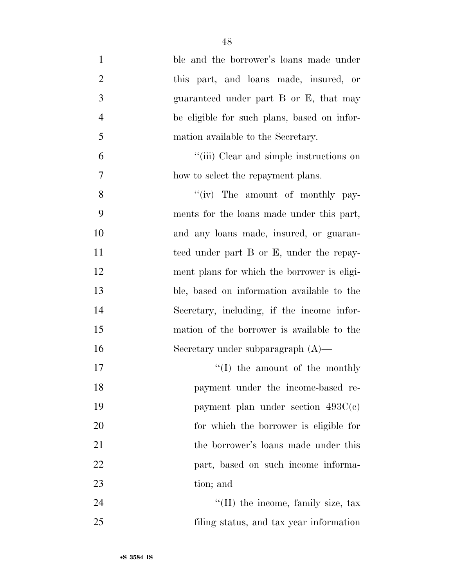| $\mathbf{1}$   | ble and the borrower's loans made under     |
|----------------|---------------------------------------------|
| $\overline{2}$ | this part, and loans made, insured, or      |
| 3              | guaranteed under part B or E, that may      |
| $\overline{4}$ | be eligible for such plans, based on infor- |
| $\mathfrak{S}$ | mation available to the Secretary.          |
| 6              | "(iii) Clear and simple instructions on     |
| $\tau$         | how to select the repayment plans.          |
| 8              | "(iv) The amount of monthly pay-            |
| 9              | ments for the loans made under this part,   |
| 10             | and any loans made, insured, or guaran-     |
| 11             | teed under part B or E, under the repay-    |
| 12             | ment plans for which the borrower is eligi- |
| 13             | ble, based on information available to the  |
| 14             | Secretary, including, if the income infor-  |
| 15             | mation of the borrower is available to the  |
| 16             | Secretary under subparagraph $(A)$ —        |
| 17             | $\lq\lq$ (I) the amount of the monthly      |
| 18             | payment under the income-based re-          |
| 19             | payment plan under section $493C(e)$        |
| 20             | for which the borrower is eligible for      |
| 21             | the borrower's loans made under this        |
| 22             | part, based on such income informa-         |
| 23             | tion; and                                   |
| 24             | "(II) the income, family size, tax          |
| 25             | filing status, and tax year information     |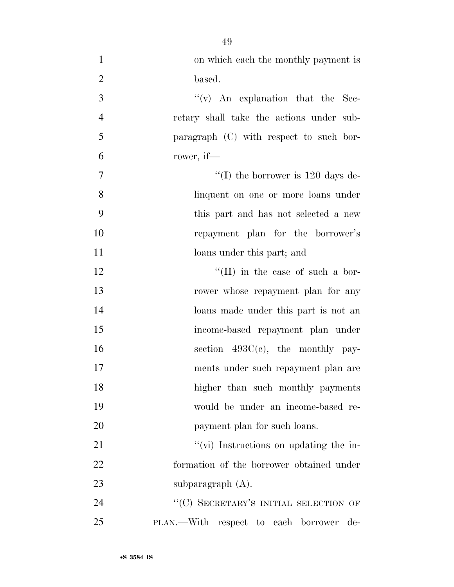| $\mathbf{1}$   | on which each the monthly payment is        |
|----------------|---------------------------------------------|
| $\overline{2}$ | based.                                      |
| 3              | $f'(v)$ An explanation that the Sec-        |
| $\overline{4}$ | retary shall take the actions under sub-    |
| 5              | paragraph (C) with respect to such bor-     |
| 6              | rower, if—                                  |
| $\tau$         | "(I) the borrower is $120 \text{ days}$ de- |
| $8\,$          | linquent on one or more loans under         |
| 9              | this part and has not selected a new        |
| 10             | repayment plan for the borrower's           |
| 11             | loans under this part; and                  |
| 12             | $\lq\lq$ (II) in the case of such a bor-    |
| 13             | rower whose repayment plan for any          |
| 14             | loans made under this part is not an        |
| 15             | income-based repayment plan under           |
| 16             | section $493C(e)$ , the monthly pay-        |
| 17             | ments under such repayment plan are         |
| 18             | higher than such monthly payments           |
| 19             | would be under an income-based re-          |
| 20             | payment plan for such loans.                |
| 21             | "(vi) Instructions on updating the in-      |
| 22             | formation of the borrower obtained under    |
| 23             | subparagraph $(A)$ .                        |
| 24             | "(C) SECRETARY'S INITIAL SELECTION OF       |
| 25             | PLAN.—With respect to each borrower<br>de-  |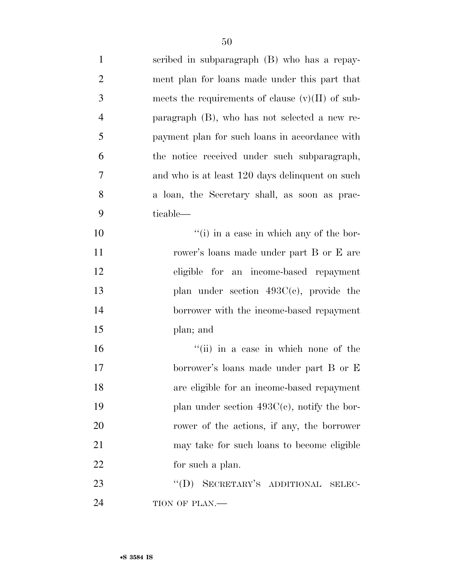| $\mathbf{1}$   | scribed in subparagraph (B) who has a repay-       |
|----------------|----------------------------------------------------|
| $\overline{2}$ | ment plan for loans made under this part that      |
| $\mathfrak{Z}$ | meets the requirements of clause $(v)(II)$ of sub- |
| $\overline{4}$ | paragraph $(B)$ , who has not selected a new re-   |
| 5              | payment plan for such loans in accordance with     |
| 6              | the notice received under such subparagraph,       |
| $\overline{7}$ | and who is at least 120 days delinquent on such    |
| 8              | a loan, the Secretary shall, as soon as prac-      |
| 9              | ticable—                                           |
| 10             | "(i) in a case in which any of the bor-            |
| 11             | rower's loans made under part B or E are           |
| 12             | eligible for an income-based repayment             |
| 13             | plan under section $493C(e)$ , provide the         |
| 14             | borrower with the income-based repayment           |
| 15             | plan; and                                          |
| 16             | "(ii) in a case in which none of the               |
| 17             | borrower's loans made under part B or E            |
| 18             | are eligible for an income-based repayment         |
| 19             | plan under section $493C(e)$ , notify the bor-     |
| 20             | rower of the actions, if any, the borrower         |
| 21             | may take for such loans to become eligible         |
| 22             | for such a plan.                                   |
| 23             | "(D) SECRETARY'S ADDITIONAL<br>SELEC-              |
| 24             | TION OF PLAN.-                                     |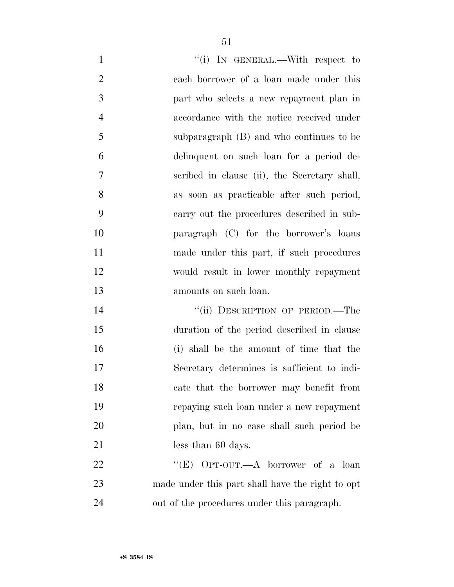| $\mathbf{1}$   | "(i) IN GENERAL.—With respect to                 |
|----------------|--------------------------------------------------|
| $\overline{2}$ | each borrower of a loan made under this          |
| 3              | part who selects a new repayment plan in         |
| $\overline{4}$ | accordance with the notice received under        |
| 5              | subparagraph (B) and who continues to be         |
| 6              | delinquent on such loan for a period de-         |
| 7              | scribed in clause (ii), the Secretary shall,     |
| 8              | as soon as practicable after such period,        |
| 9              | carry out the procedures described in sub-       |
| 10             | paragraph (C) for the borrower's loans           |
| 11             | made under this part, if such procedures         |
| 12             | would result in lower monthly repayment          |
|                |                                                  |
| 13             | amounts on such loan.                            |
| 14             | "(ii) DESCRIPTION OF PERIOD.—The                 |
| 15             | duration of the period described in clause       |
| 16             | (i) shall be the amount of time that the         |
| 17             | Secretary determines is sufficient to indi-      |
| 18             | cate that the borrower may benefit from          |
| 19             | repaying such loan under a new repayment         |
| 20             | plan, but in no case shall such period be        |
| 21             | less than 60 days.                               |
| 22             | "(E) OPT-OUT.—A borrower of a loan               |
| 23             | made under this part shall have the right to opt |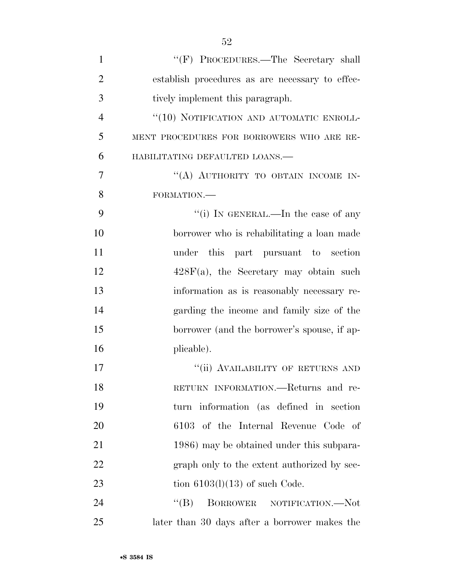| $\mathbf{1}$   | "(F) PROCEDURES.—The Secretary shall            |
|----------------|-------------------------------------------------|
| $\overline{2}$ | establish procedures as are necessary to effec- |
| 3              | tively implement this paragraph.                |
| $\overline{4}$ | "(10) NOTIFICATION AND AUTOMATIC ENROLL-        |
| 5              | MENT PROCEDURES FOR BORROWERS WHO ARE RE-       |
| 6              | HABILITATING DEFAULTED LOANS.-                  |
| 7              | "(A) AUTHORITY TO OBTAIN INCOME IN-             |
| 8              | FORMATION.-                                     |
| 9              | "(i) IN GENERAL.—In the case of any             |
| 10             | borrower who is rehabilitating a loan made      |
| 11             | under this part pursuant to section             |
| 12             | $428F(a)$ , the Secretary may obtain such       |
| 13             | information as is reasonably necessary re-      |
| 14             | garding the income and family size of the       |
| 15             | borrower (and the borrower's spouse, if ap-     |
| 16             | plicable).                                      |
| 17             | "(ii) AVAILABILITY OF RETURNS AND               |
| 18             | RETURN INFORMATION.—Returns and re-             |
| 19             | turn information (as defined in section         |
| 20             | 6103 of the Internal Revenue Code of            |
| 21             | 1986) may be obtained under this subpara-       |
| 22             | graph only to the extent authorized by sec-     |
| 23             | tion $6103(l)(13)$ of such Code.                |
| 24             | $\lq\lq (B)$<br>BORROWER NOTIFICATION.-Not      |
| 25             | later than 30 days after a borrower makes the   |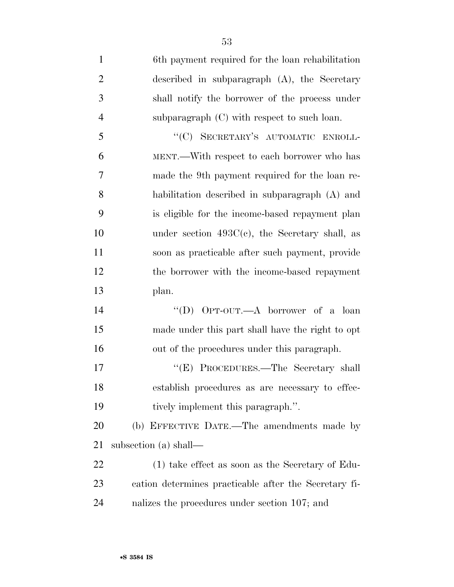6th payment required for the loan rehabilitation described in subparagraph (A), the Secretary shall notify the borrower of the process under subparagraph (C) with respect to such loan. 5 "(C) SECRETARY'S AUTOMATIC ENROLL- MENT.—With respect to each borrower who has made the 9th payment required for the loan re- habilitation described in subparagraph (A) and is eligible for the income-based repayment plan under section 493C(c), the Secretary shall, as soon as practicable after such payment, provide the borrower with the income-based repayment plan. ''(D) OPT-OUT.—A borrower of a loan made under this part shall have the right to opt out of the procedures under this paragraph. 17 ''(E) PROCEDURES.—The Secretary shall establish procedures as are necessary to effec-19 tively implement this paragraph.". (b) EFFECTIVE DATE.—The amendments made by subsection (a) shall— (1) take effect as soon as the Secretary of Edu-cation determines practicable after the Secretary fi-

nalizes the procedures under section 107; and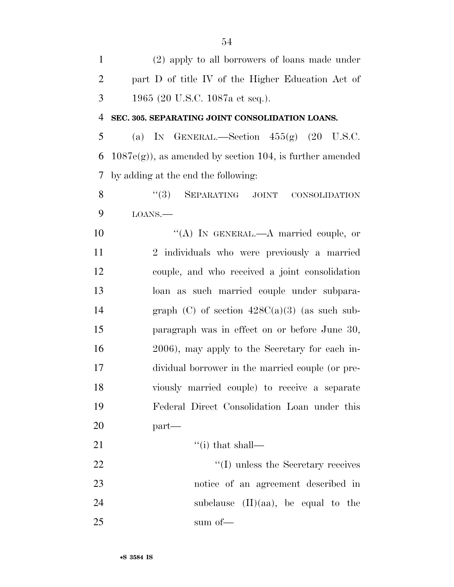(2) apply to all borrowers of loans made under part D of title IV of the Higher Education Act of 1965 (20 U.S.C. 1087a et seq.). **SEC. 305. SEPARATING JOINT CONSOLIDATION LOANS.**  5 (a) IN GENERAL.—Section  $455(g)$  (20 U.S.C. 6 1087e(g)), as amended by section 104, is further amended by adding at the end the following: 8 "(3) SEPARATING JOINT CONSOLIDATION LOANS.— 10 "(A) IN GENERAL.—A married couple, or 2 individuals who were previously a married couple, and who received a joint consolidation loan as such married couple under subpara-14 graph (C) of section  $428C(a)(3)$  (as such sub- paragraph was in effect on or before June 30, 2006), may apply to the Secretary for each in- dividual borrower in the married couple (or pre- viously married couple) to receive a separate Federal Direct Consolidation Loan under this part— 21  $\frac{((i) \text{ that shall}}{(i)}$ 22 ''(I) unless the Secretary receives notice of an agreement described in 24 subclause (II)(aa), be equal to the 25 sum of —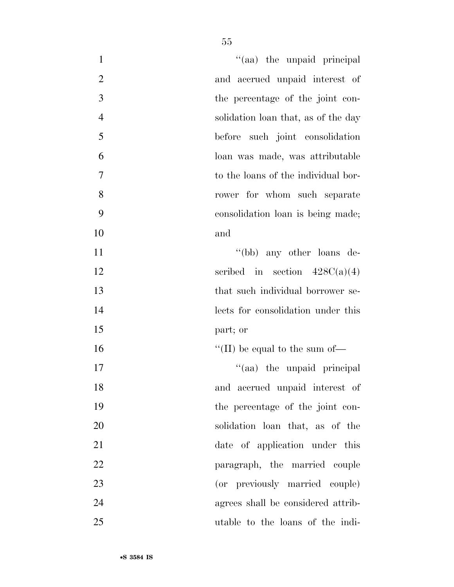| "(aa) the unpaid principal<br>$\mathbf{1}$            |
|-------------------------------------------------------|
| $\mathbf{2}$<br>and accrued unpaid interest of        |
| 3<br>the percentage of the joint con-                 |
| $\overline{4}$<br>solidation loan that, as of the day |
| 5<br>before such joint consolidation                  |
| 6<br>loan was made, was attributable                  |
| $\overline{7}$<br>to the loans of the individual bor- |
| 8<br>rower for whom such separate                     |
| 9<br>consolidation loan is being made;                |
| 10<br>and                                             |
| "(bb) any other loans de-<br>11                       |
| 12<br>scribed in section $428C(a)(4)$                 |
| 13<br>that such individual borrower se-               |
| 14<br>lects for consolidation under this              |
| 15<br>part; or                                        |
| 16<br>"(II) be equal to the sum of $\equiv$           |
| 17<br>"(aa) the unpaid principal                      |
| and accrued unpaid interest of<br>18                  |
| 19<br>the percentage of the joint con-                |
| 20<br>solidation loan that, as of the                 |
| 21<br>date of application under this                  |
| 22<br>paragraph, the married couple                   |
| 23<br>(or previously married couple)                  |
| 24<br>agrees shall be considered attrib-              |
| 25<br>utable to the loans of the indi-                |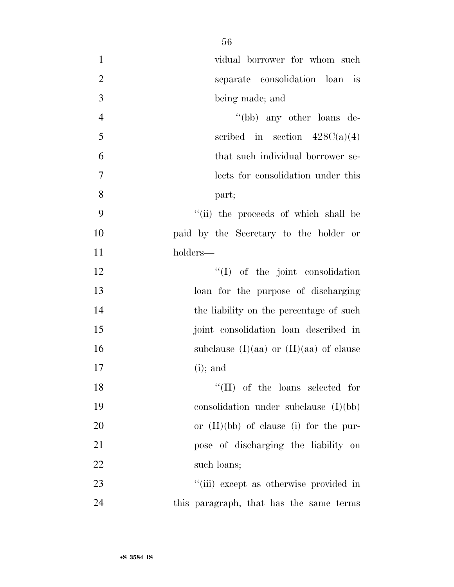| $\mathbf{1}$   | vidual borrower for whom such             |
|----------------|-------------------------------------------|
| $\overline{2}$ | separate consolidation loan is            |
| 3              | being made; and                           |
| $\overline{4}$ | "(bb) any other loans de-                 |
| 5              | scribed in section $428C(a)(4)$           |
| 6              | that such individual borrower se-         |
| $\tau$         | lects for consolidation under this        |
| 8              | part;                                     |
| 9              | "(ii) the proceeds of which shall be      |
| 10             | paid by the Secretary to the holder or    |
| 11             | holders—                                  |
| 12             | $\lq\lq$ of the joint consolidation       |
| 13             | loan for the purpose of discharging       |
| 14             | the liability on the percentage of such   |
| 15             | joint consolidation loan described in     |
| 16             | subclause (I)(aa) or $(II)(aa)$ of clause |
| 17             | $(i)$ ; and                               |
| 18             | $``(II)$ of the loans selected for        |
| 19             | consolidation under subclause $(I)(bb)$   |
| 20             | or $(II)(bb)$ of clause (i) for the pur-  |
| 21             | pose of discharging the liability on      |
| 22             | such loans;                               |
| 23             | "(iii) except as otherwise provided in    |
| 24             | this paragraph, that has the same terms   |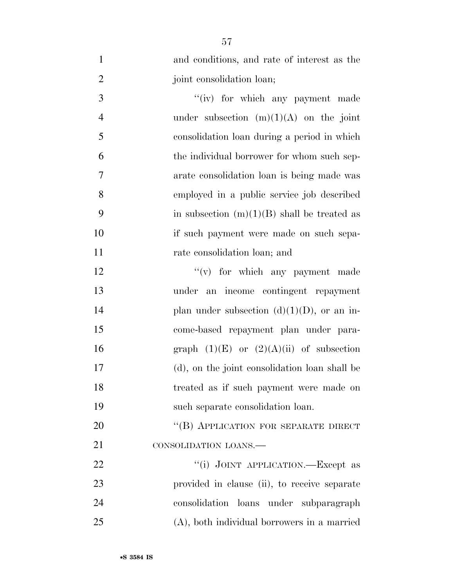| $\mathbf{1}$   | and conditions, and rate of interest as the   |
|----------------|-----------------------------------------------|
| $\overline{2}$ | joint consolidation loan;                     |
| 3              | "(iv) for which any payment made              |
| $\overline{4}$ | under subsection $(m)(1)(A)$ on the joint     |
| 5              | consolidation loan during a period in which   |
| 6              | the individual borrower for whom such sep-    |
| 7              | arate consolidation loan is being made was    |
| 8              | employed in a public service job described    |
| 9              | in subsection $(m)(1)(B)$ shall be treated as |
| 10             | if such payment were made on such sepa-       |
| 11             | rate consolidation loan; and                  |
| 12             | $f'(v)$ for which any payment made            |
| 13             | under an income contingent repayment          |
| 14             | plan under subsection $(d)(1)(D)$ , or an in- |
| 15             | come-based repayment plan under para-         |
| 16             | graph $(1)(E)$ or $(2)(A)(ii)$ of subsection  |
| 17             | (d), on the joint consolidation loan shall be |
| 18             | treated as if such payment were made on       |
| 19             | such separate consolidation loan.             |
| 20             | "(B) APPLICATION FOR SEPARATE DIRECT          |
| 21             | CONSOLIDATION LOANS.                          |
| 22             | "(i) JOINT APPLICATION.—Except as             |
| 23             | provided in clause (ii), to receive separate  |
| 24             | consolidation loans under subparagraph        |
| 25             | (A), both individual borrowers in a married   |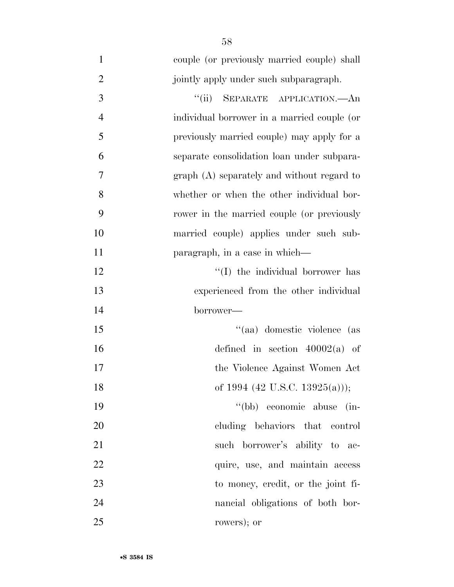| $\mathbf{1}$   | couple (or previously married couple) shall |
|----------------|---------------------------------------------|
| $\overline{2}$ | jointly apply under such subparagraph.      |
| 3              | SEPARATE APPLICATION. An<br>``(ii)          |
| $\overline{4}$ | individual borrower in a married couple (or |
| 5              | previously married couple) may apply for a  |
| 6              | separate consolidation loan under subpara-  |
| 7              | graph (A) separately and without regard to  |
| 8              | whether or when the other individual bor-   |
| 9              | rower in the married couple (or previously  |
| 10             | married couple) applies under such sub-     |
| 11             | paragraph, in a case in which—              |
| 12             | "(I) the individual borrower has            |
| 13             | experienced from the other individual       |
| 14             | borrower—                                   |
| 15             | "(aa) domestic violence (as                 |
| 16             | defined in section $40002(a)$ of            |
| 17             | the Violence Against Women Act              |
| 18             | of 1994 (42 U.S.C. 13925(a)));              |
| 19             | "(bb) economic abuse<br>$\sin$              |
| 20             | cluding behaviors that control              |
| 21             | such borrower's ability to ac-              |
| 22             | quire, use, and maintain access             |
| 23             | to money, credit, or the joint fi-          |
| 24             | nancial obligations of both bor-            |
| 25             | rowers); or                                 |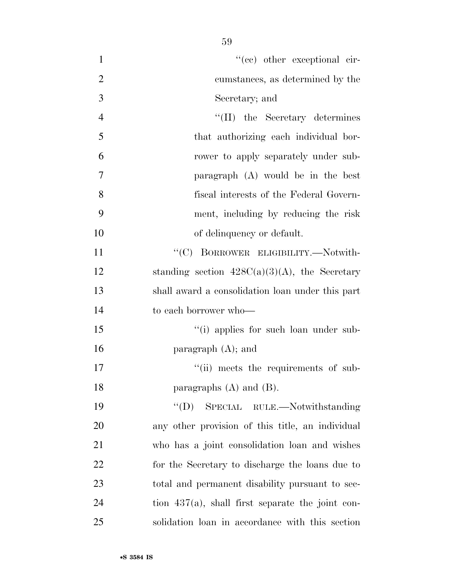| $\mathbf{1}$   | "(cc) other exceptional cir-                        |
|----------------|-----------------------------------------------------|
| $\overline{2}$ | cumstances, as determined by the                    |
| 3              | Secretary; and                                      |
| $\overline{4}$ | "(II) the Secretary determines                      |
| 5              | that authorizing each individual bor-               |
| 6              | rower to apply separately under sub-                |
| 7              | paragraph $(A)$ would be in the best                |
| 8              | fiscal interests of the Federal Govern-             |
| 9              | ment, including by reducing the risk                |
| 10             | of delinquency or default.                          |
| 11             | "(C) BORROWER ELIGIBILITY.-Notwith-                 |
| 12             | standing section $428C(a)(3)(A)$ , the Secretary    |
| 13             | shall award a consolidation loan under this part    |
| 14             | to each borrower who-                               |
| 15             | "(i) applies for such loan under sub-               |
| 16             | paragraph $(A)$ ; and                               |
| 17             | "(ii) meets the requirements of sub-                |
| 18             | paragraphs $(A)$ and $(B)$ .                        |
| 19             | "(D) SPECIAL RULE.—Notwithstanding                  |
| 20             | any other provision of this title, an individual    |
| 21             | who has a joint consolidation loan and wishes       |
| 22             | for the Secretary to discharge the loans due to     |
| 23             | total and permanent disability pursuant to sec-     |
| 24             | tion $437(a)$ , shall first separate the joint con- |
| 25             | solidation loan in accordance with this section     |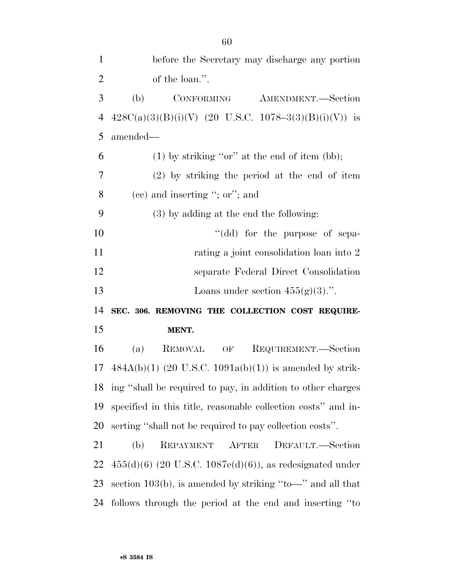| $\mathbf{1}$               | before the Secretary may discharge any portion                 |
|----------------------------|----------------------------------------------------------------|
| $\overline{2}$             | of the loan.".                                                 |
| 3                          | (b)<br>CONFORMING<br>AMENDMENT.-Section                        |
| $\overline{4}$             | $428C(a)(3)(B)(i)(V)$ (20 U.S.C. 1078-3(3)(B)(i)(V)) is        |
| 5                          | amended—                                                       |
| 6                          | $(1)$ by striking "or" at the end of item (bb);                |
| 7                          | $(2)$ by striking the period at the end of item                |
| 8                          | $(ec)$ and inserting "; or"; and                               |
| 9                          | (3) by adding at the end the following:                        |
| 10                         | "(dd) for the purpose of sepa-                                 |
| 11                         | rating a joint consolidation loan into 2                       |
| 12                         | separate Federal Direct Consolidation                          |
|                            |                                                                |
|                            | Loans under section $455(g)(3)$ .".                            |
|                            | SEC. 306. REMOVING THE COLLECTION COST REQUIRE-                |
|                            | MENT.                                                          |
|                            | REQUIREMENT.—Section<br>(a)<br><b>REMOVAL</b><br>OF            |
|                            | $484A(b)(1)$ (20 U.S.C. 1091a(b)(1)) is amended by strik-      |
| 13<br>14<br>15<br>16<br>17 | 18 ing "shall be required to pay, in addition to other charges |
| 19                         | specified in this title, reasonable collection costs" and in-  |
| 20                         | serting "shall not be required to pay collection costs".       |
| 21                         | (b)<br>REPAYMENT AFTER<br>DEFAULT.—Section                     |
| 22                         | $455(d)(6)$ (20 U.S.C. 1087e(d)(6)), as redesignated under     |
| 23                         | section 103(b), is amended by striking "to-" and all that      |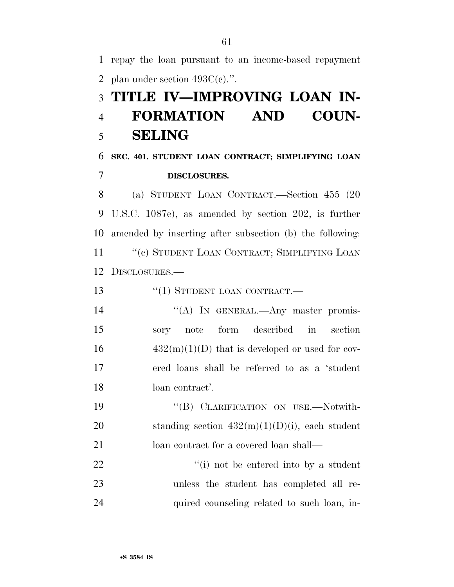1 repay the loan pursuant to an income-based repayment 2 plan under section  $493C(e)$ .". 3 **TITLE IV—IMPROVING LOAN IN-**4 **FORMATION AND COUN-**5 **SELING**  6 **SEC. 401. STUDENT LOAN CONTRACT; SIMPLIFYING LOAN**  7 **DISCLOSURES.**  8 (a) STUDENT LOAN CONTRACT.—Section 455 (20 9 U.S.C. 1087e), as amended by section 202, is further 10 amended by inserting after subsection (b) the following: 11 "(c) STUDENT LOAN CONTRACT; SIMPLIFYING LOAN 12 DISCLOSURES.— 13 "(1) STUDENT LOAN CONTRACT.— 14 "(A) In GENERAL.—Any master promis-15 sory note form described in section  $16 \qquad \qquad 432(m)(1)(D)$  that is developed or used for cov-17 ered loans shall be referred to as a 'student 18 loan contract'. 19 "(B) CLARIFICATION ON USE.—Notwith-20 standing section  $432(m)(1)(D)(i)$ , each student 21 loan contract for a covered loan shall— 22  $\frac{1}{1}$  not be entered into by a student 23 unless the student has completed all re-24 quired counseling related to such loan, in-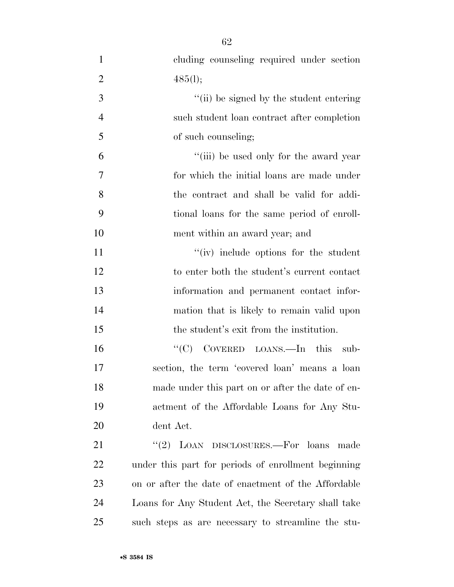| $\mathbf{1}$   | cluding counseling required under section           |
|----------------|-----------------------------------------------------|
| $\overline{2}$ | 485(l);                                             |
| 3              | "(ii) be signed by the student entering             |
| $\overline{4}$ | such student loan contract after completion         |
| 5              | of such counseling;                                 |
| 6              | "(iii) be used only for the award year              |
| $\overline{7}$ | for which the initial loans are made under          |
| 8              | the contract and shall be valid for addi-           |
| 9              | tional loans for the same period of enroll-         |
| 10             | ment within an award year; and                      |
| 11             | "(iv) include options for the student               |
| 12             | to enter both the student's current contact         |
| 13             | information and permanent contact infor-            |
| 14             | mation that is likely to remain valid upon          |
| 15             | the student's exit from the institution.            |
| 16             | COVERED LOANS.—In this sub-<br>``(C)                |
| 17             | section, the term 'covered loan' means a loan       |
| 18             | made under this part on or after the date of en-    |
| 19             | actment of the Affordable Loans for Any Stu-        |
| 20             | dent Act.                                           |
| 21             | "(2) LOAN DISCLOSURES.—For loans<br>made            |
| 22             | under this part for periods of enrollment beginning |
| 23             | on or after the date of enactment of the Affordable |
| 24             | Loans for Any Student Act, the Secretary shall take |
| 25             | such steps as are necessary to streamline the stu-  |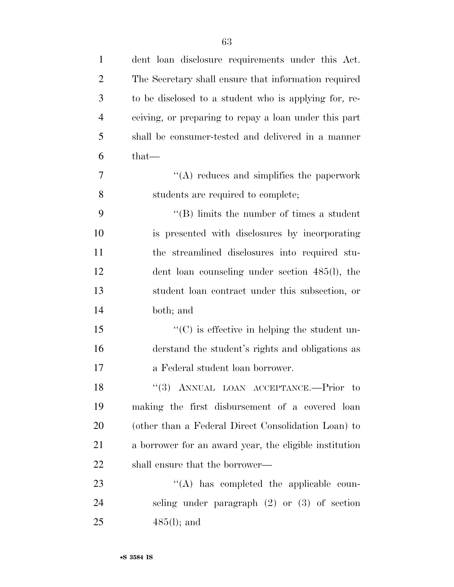| $\mathbf{1}$   | dent loan disclosure requirements under this Act.      |
|----------------|--------------------------------------------------------|
| $\overline{2}$ | The Secretary shall ensure that information required   |
| 3              | to be disclosed to a student who is applying for, re-  |
| $\overline{4}$ | ceiving, or preparing to repay a loan under this part  |
| 5              | shall be consumer-tested and delivered in a manner     |
| 6              | $that-$                                                |
| 7              | $\lq\lq$ reduces and simplifies the paperwork          |
| 8              | students are required to complete;                     |
| 9              | $\lq\lq$ (B) limits the number of times a student      |
| 10             | is presented with disclosures by incorporating         |
| 11             | the streamlined disclosures into required stu-         |
| 12             | dent loan counseling under section 485(l), the         |
| 13             | student loan contract under this subsection, or        |
| 14             | both; and                                              |
| 15             | $\lq\lq$ (C) is effective in helping the student un-   |
| 16             | derstand the student's rights and obligations as       |
| 17             | a Federal student loan borrower.                       |
| 18             | "(3) ANNUAL LOAN ACCEPTANCE.--- Prior to               |
| 19             | making the first disbursement of a covered loan        |
| 20             | (other than a Federal Direct Consolidation Loan) to    |
| 21             | a borrower for an award year, the eligible institution |
| <u>22</u>      | shall ensure that the borrower—                        |
| 23             | $\lq\lq$ has completed the applicable coun-            |
| 24             | seling under paragraph $(2)$ or $(3)$ of section       |
| 25             | $485(l)$ ; and                                         |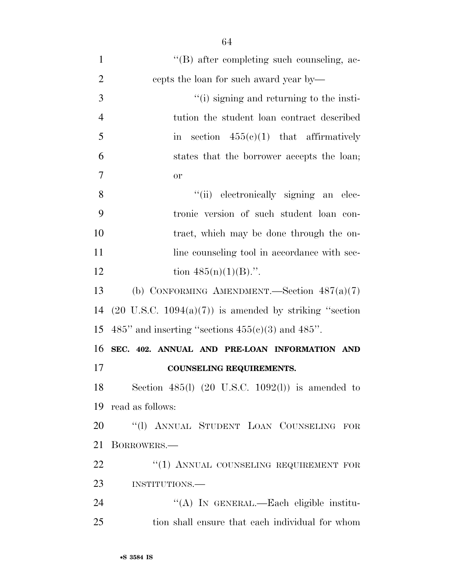| $\mathbf{1}$   | $\lq\lq (B)$ after completing such counseling, ac-                 |
|----------------|--------------------------------------------------------------------|
| $\overline{2}$ | cepts the loan for such award year by—                             |
| 3              | "(i) signing and returning to the insti-                           |
| $\overline{4}$ | tution the student loan contract described                         |
| 5              | section $455(e)(1)$ that affirmatively<br>$\operatorname{in}$      |
| 6              | states that the borrower accepts the loan;                         |
| $\overline{7}$ | <b>or</b>                                                          |
| 8              | "(ii) electronically signing an elec-                              |
| 9              | tronic version of such student loan con-                           |
| 10             | tract, which may be done through the on-                           |
| 11             | line counseling tool in accordance with sec-                       |
| 12             | tion $485(n)(1)(B)$ .".                                            |
| 13             | (b) CONFORMING AMENDMENT.—Section $487(a)(7)$                      |
| 14             | $(20 \text{ U.S.C. } 1094(a)(7))$ is amended by striking "section" |
| 15             | 485" and inserting "sections $455(e)(3)$ and $485"$ .              |
| 16             | SEC. 402. ANNUAL AND PRE-LOAN INFORMATION AND                      |
| 17             | <b>COUNSELING REQUIREMENTS.</b>                                    |
| 18             | Section 485(l) $(20 \text{ U.S.C. } 1092(l))$ is amended to        |
| 19             | read as follows:                                                   |
| 20             | "(1) ANNUAL STUDENT LOAN COUNSELING FOR                            |
| 21             | BORROWERS.-                                                        |
| 22             | "(1) ANNUAL COUNSELING REQUIREMENT FOR                             |
| 23             | INSTITUTIONS.                                                      |
| 24             | "(A) IN GENERAL.—Each eligible institu-                            |
| 25             | tion shall ensure that each individual for whom                    |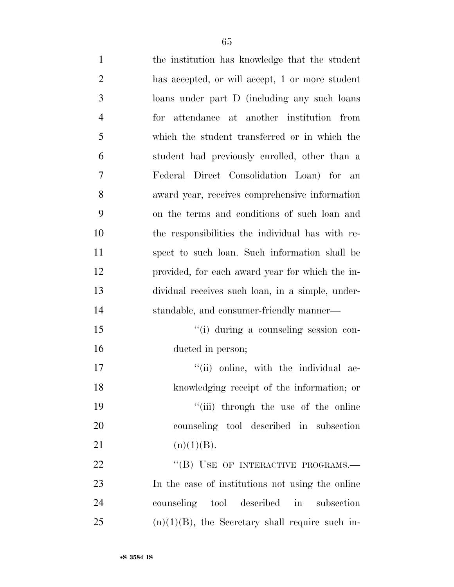| $\mathbf{1}$   | the institution has knowledge that the student     |
|----------------|----------------------------------------------------|
| $\overline{2}$ | has accepted, or will accept, 1 or more student    |
| 3              | loans under part D (including any such loans       |
| $\overline{4}$ | for attendance at another institution from         |
| 5              | which the student transferred or in which the      |
| 6              | student had previously enrolled, other than a      |
| 7              | Federal Direct Consolidation Loan) for an          |
| 8              | award year, receives comprehensive information     |
| 9              | on the terms and conditions of such loan and       |
| 10             | the responsibilities the individual has with re-   |
| 11             | spect to such loan. Such information shall be      |
| 12             | provided, for each award year for which the in-    |
| 13             | dividual receives such loan, in a simple, under-   |
| 14             | standable, and consumer-friendly manner—           |
| 15             | "(i) during a counseling session con-              |
| 16             | ducted in person;                                  |
| 17             | "(ii) online, with the individual ac-              |
| 18             | knowledging receipt of the information; or         |
| 19             | "(iii) through the use of the online               |
| 20             | counseling tool described in subsection            |
| 21             | (n)(1)(B).                                         |
| 22             | "(B) USE OF INTERACTIVE PROGRAMS.-                 |
| 23             | In the case of institutions not using the online   |
| 24             | counseling tool described in<br>subsection         |
| 25             | $(n)(1)(B)$ , the Secretary shall require such in- |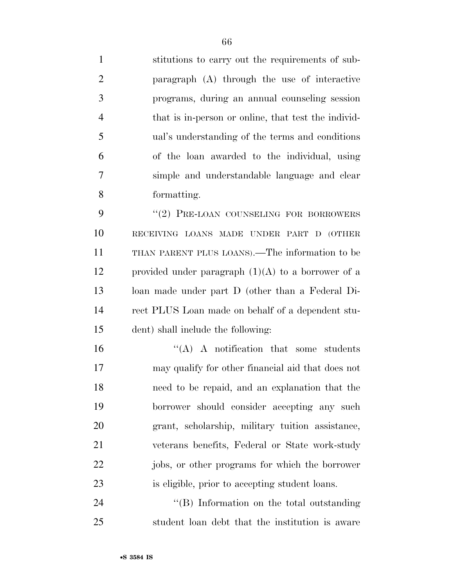stitutions to carry out the requirements of sub- paragraph (A) through the use of interactive programs, during an annual counseling session that is in-person or online, that test the individ- ual's understanding of the terms and conditions of the loan awarded to the individual, using simple and understandable language and clear formatting. 9 "(2) PRE-LOAN COUNSELING FOR BORROWERS RECEIVING LOANS MADE UNDER PART D (OTHER THAN PARENT PLUS LOANS).—The information to be 12 provided under paragraph  $(1)(A)$  to a borrower of a

 loan made under part D (other than a Federal Di- rect PLUS Loan made on behalf of a dependent stu-dent) shall include the following:

 $\langle A \rangle$  A notification that some students may qualify for other financial aid that does not need to be repaid, and an explanation that the borrower should consider accepting any such grant, scholarship, military tuition assistance, veterans benefits, Federal or State work-study jobs, or other programs for which the borrower is eligible, prior to accepting student loans.

24 ''(B) Information on the total outstanding student loan debt that the institution is aware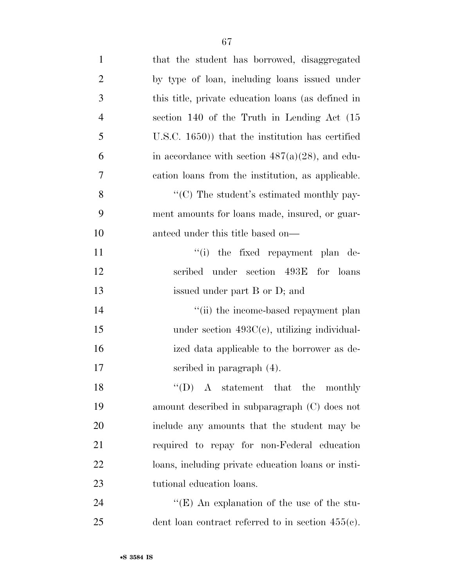| $\mathbf{1}$   | that the student has borrowed, disaggregated         |
|----------------|------------------------------------------------------|
| $\overline{2}$ | by type of loan, including loans issued under        |
| 3              | this title, private education loans (as defined in   |
| $\overline{4}$ | section 140 of the Truth in Lending Act (15)         |
| 5              | $(1.8C, 1650)$ that the institution has certified    |
| 6              | in accordance with section $487(a)(28)$ , and edu-   |
| 7              | cation loans from the institution, as applicable.    |
| 8              | " $(C)$ The student's estimated monthly pay-         |
| 9              | ment amounts for loans made, insured, or guar-       |
| 10             | anteed under this title based on—                    |
| 11             | "(i) the fixed repayment plan de-                    |
| 12             | scribed under section 493E for loans                 |
| 13             | issued under part B or D; and                        |
| 14             | "(ii) the income-based repayment plan                |
| 15             | under section $493C(e)$ , utilizing individual-      |
| 16             | ized data applicable to the borrower as de-          |
| 17             | scribed in paragraph $(4)$ .                         |
| 18             | $\lq\lq$ $\Delta$ statement that the monthly         |
| 19             | amount described in subparagraph (C) does not        |
| 20             | include any amounts that the student may be          |
| 21             | required to repay for non-Federal education          |
| 22             | loans, including private education loans or insti-   |
| 23             | tutional education loans.                            |
| 24             | "(E) An explanation of the use of the stu-           |
| 25             | dent loan contract referred to in section $455(c)$ . |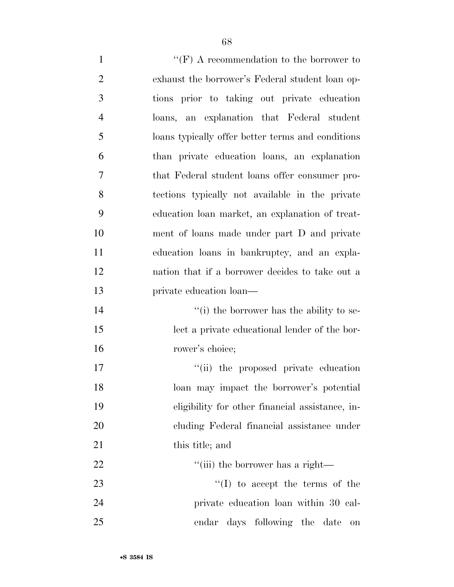| $\mathbf{1}$   | "(F) A recommendation to the borrower to          |
|----------------|---------------------------------------------------|
| $\overline{2}$ | exhaust the borrower's Federal student loan op-   |
| 3              | tions prior to taking out private education       |
| $\overline{4}$ | loans, an explanation that Federal student        |
| 5              | loans typically offer better terms and conditions |
| 6              | than private education loans, an explanation      |
| 7              | that Federal student loans offer consumer pro-    |
| 8              | tections typically not available in the private   |
| 9              | education loan market, an explanation of treat-   |
| 10             | ment of loans made under part D and private       |
| 11             | education loans in bankruptcy, and an expla-      |
| 12             | nation that if a borrower decides to take out a   |
| 13             | private education loan—                           |
| 14             | "(i) the borrower has the ability to se-          |
| 15             | lect a private educational lender of the bor-     |
| 16             | rower's choice;                                   |
| 17             | "(ii) the proposed private education              |
| 18             | loan may impact the borrower's potential          |
| 19             | eligibility for other financial assistance, in-   |
| 20             | cluding Federal financial assistance under        |
| 21             | this title; and                                   |
| 22             | "(iii) the borrower has a right-                  |
| 23             | $\lq\lq$ to accept the terms of the               |
| 24             | private education loan within 30 cal-             |
| 25             | endar days following the date<br>on               |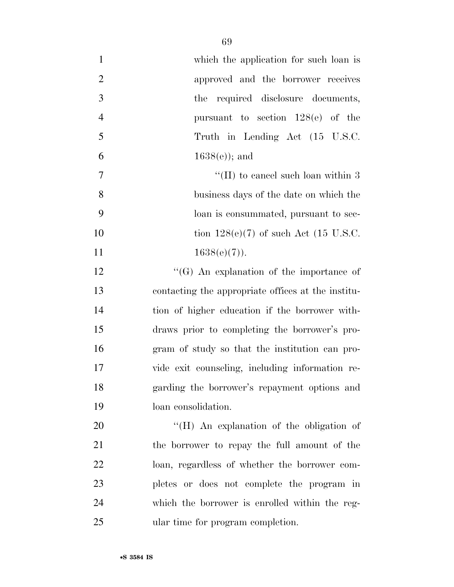| $\mathbf{1}$   | which the application for such loan is             |
|----------------|----------------------------------------------------|
| $\overline{2}$ | approved and the borrower receives                 |
| 3              | the required disclosure documents,                 |
| $\overline{4}$ | pursuant to section $128(e)$ of the                |
| 5              | Truth in Lending Act (15 U.S.C.                    |
| 6              | $1638(e)$ ; and                                    |
| $\tau$         | "(II) to cancel such loan within $3$               |
| 8              | business days of the date on which the             |
| 9              | loan is consummated, pursuant to sec-              |
| 10             | tion $128(e)(7)$ of such Act (15 U.S.C.            |
| 11             | $1638(e)(7)$ ).                                    |
| 12             | $\lq\lq(G)$ An explanation of the importance of    |
| 13             | contacting the appropriate offices at the institu- |
| 14             | tion of higher education if the borrower with-     |
| 15             | draws prior to completing the borrower's pro-      |
| 16             | gram of study so that the institution can pro-     |
| 17             | vide exit counseling, including information re-    |
| 18             | garding the borrower's repayment options and       |
| 19             | loan consolidation.                                |
| 20             | "(H) An explanation of the obligation of           |
| 21             | the borrower to repay the full amount of the       |
| 22             | loan, regardless of whether the borrower com-      |
| 23             | pletes or does not complete the program in         |
| 24             | which the borrower is enrolled within the reg-     |
| 25             | ular time for program completion.                  |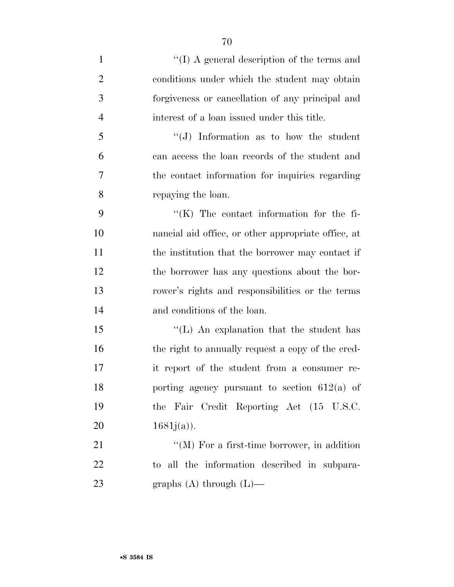| $\mathbf{1}$   | "(I) A general description of the terms and         |
|----------------|-----------------------------------------------------|
| $\overline{2}$ | conditions under which the student may obtain       |
| 3              | forgiveness or cancellation of any principal and    |
| $\overline{4}$ | interest of a loan issued under this title.         |
| 5              | $\lq\lq(J)$ Information as to how the student       |
| 6              | can access the loan records of the student and      |
| 7              | the contact information for inquiries regarding     |
| 8              | repaying the loan.                                  |
| 9              | $\lq\lq$ (K) The contact information for the fi-    |
| 10             | nancial aid office, or other appropriate office, at |
| 11             | the institution that the borrower may contact if    |
| 12             | the borrower has any questions about the bor-       |
| 13             | rower's rights and responsibilities or the terms    |
| 14             | and conditions of the loan.                         |
| 15             | "(L) An explanation that the student has            |
| 16             | the right to annually request a copy of the cred-   |
| 17             | it report of the student from a consumer re-        |
| 18             | porting agency pursuant to section $612(a)$ of      |
| 19             | the Fair Credit Reporting Act (15 U.S.C.            |
| 20             | $1681j(a)$ ).                                       |
| 21             | $\lq\lq (M)$ For a first-time borrower, in addition |
| 22             | to all the information described in subpara-        |
| 23             | graphs $(A)$ through $(L)$ —                        |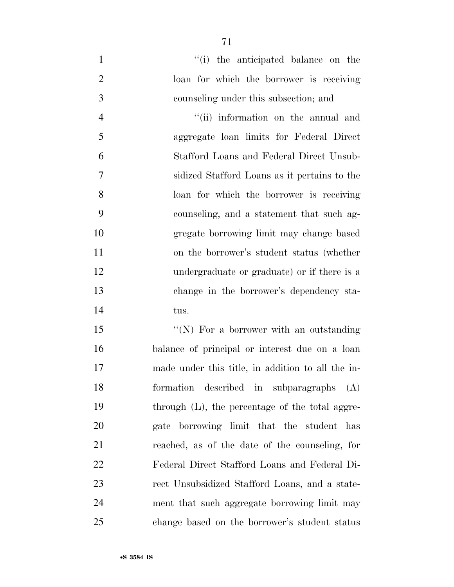1 ''(i) the anticipated balance on the loan for which the borrower is receiving counseling under this subsection; and 4 ''(ii) information on the annual and aggregate loan limits for Federal Direct Stafford Loans and Federal Direct Unsub- sidized Stafford Loans as it pertains to the loan for which the borrower is receiving counseling, and a statement that such ag- gregate borrowing limit may change based on the borrower's student status (whether undergraduate or graduate) or if there is a change in the borrower's dependency sta-tus.

15 "(N) For a borrower with an outstanding balance of principal or interest due on a loan made under this title, in addition to all the in- formation described in subparagraphs (A) 19 through (L), the percentage of the total aggre- gate borrowing limit that the student has reached, as of the date of the counseling, for Federal Direct Stafford Loans and Federal Di- rect Unsubsidized Stafford Loans, and a state- ment that such aggregate borrowing limit may change based on the borrower's student status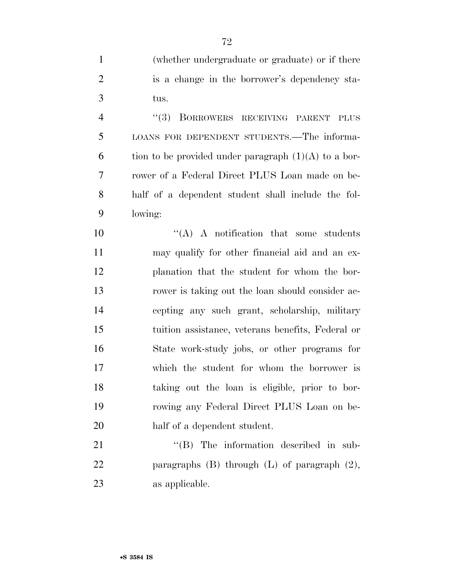(whether undergraduate or graduate) or if there

is a change in the borrower's dependency sta-

| 3              | tus.                                                   |
|----------------|--------------------------------------------------------|
| $\overline{4}$ | ``(3)<br>BORROWERS RECEIVING PARENT PLUS               |
| 5              | LOANS FOR DEPENDENT STUDENTS.—The informa-             |
| 6              | tion to be provided under paragraph $(1)(A)$ to a bor- |
| 7              | rower of a Federal Direct PLUS Loan made on be-        |
| 8              | half of a dependent student shall include the fol-     |
| 9              | lowing:                                                |
| 10             | $\lq\lq$ A notification that some students             |
| 11             | may qualify for other financial aid and an ex-         |
| 12             | planation that the student for whom the bor-           |
| 13             | rower is taking out the loan should consider ac-       |
| 14             | cepting any such grant, scholarship, military          |
| 15             | tuition assistance, veterans benefits, Federal or      |
| 16             | State work-study jobs, or other programs for           |
| 17             | which the student for whom the borrower is             |
| 18             | taking out the loan is eligible, prior to bor-         |
| 19             | rowing any Federal Direct PLUS Loan on be-             |
| 20             | half of a dependent student.                           |
| 21             | $\lq\lq$ (B) The information described in sub-         |
| 22             | paragraphs $(B)$ through $(L)$ of paragraph $(2)$ ,    |
| 23             | as applicable.                                         |
|                |                                                        |
|                |                                                        |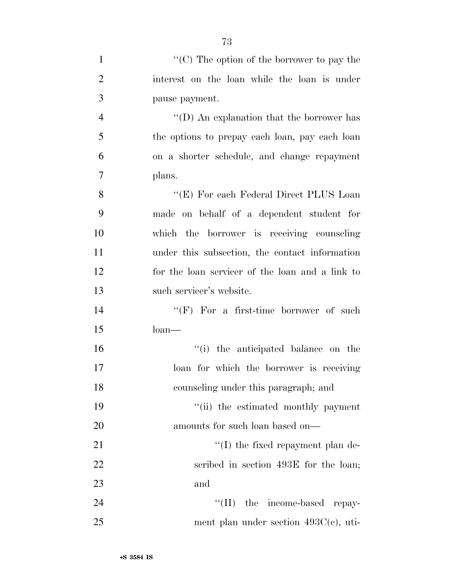| $\mathbf{1}$   | "(C) The option of the borrower to pay the      |
|----------------|-------------------------------------------------|
| $\overline{2}$ | interest on the loan while the loan is under    |
| 3              | pause payment.                                  |
| $\overline{4}$ | "(D) An explanation that the borrower has       |
| 5              | the options to prepay each loan, pay each loan  |
| 6              | on a shorter schedule, and change repayment     |
| 7              | plans.                                          |
| 8              | "(E) For each Federal Direct PLUS Loan          |
| 9              | made on behalf of a dependent student for       |
| 10             | which the borrower is receiving counseling      |
| 11             | under this subsection, the contact information  |
| 12             | for the loan servicer of the loan and a link to |
| 13             | such servicer's website.                        |
| 14             | "(F) For a first-time borrower of such          |
| 15             | $\lambda$ loan                                  |
| 16             | "(i) the anticipated balance on the             |
| 17             | loan for which the borrower is receiving        |
| 18             | counseling under this paragraph; and            |
| 19             | "(ii) the estimated monthly payment             |
| 20             | amounts for such loan based on—                 |
| 21             | $\lq\lq$ (I) the fixed repayment plan de-       |
| 22             | scribed in section 493E for the loan;           |
| 23             | and                                             |
| 24             | "(II) the income-based repay-                   |
| 25             | ment plan under section $493C(c)$ , uti-        |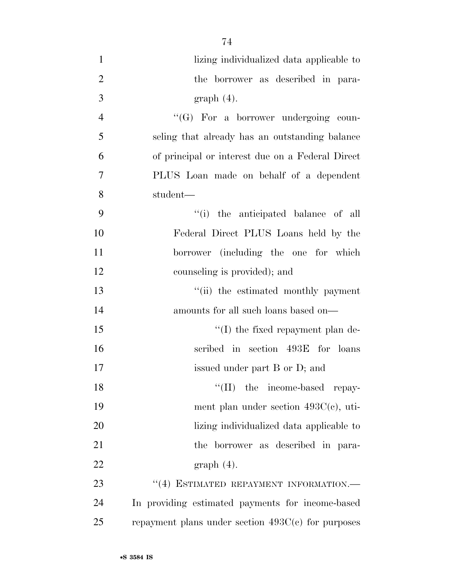| $\mathbf{1}$   | lizing individualized data applicable to             |
|----------------|------------------------------------------------------|
| $\overline{2}$ | the borrower as described in para-                   |
| 3              | $graph(4)$ .                                         |
| $\overline{4}$ | "(G) For a borrower undergoing coun-                 |
| 5              | seling that already has an outstanding balance       |
| 6              | of principal or interest due on a Federal Direct     |
| $\overline{7}$ | PLUS Loan made on behalf of a dependent              |
| 8              | student—                                             |
| 9              | ``(i)<br>the anticipated balance of all              |
| 10             | Federal Direct PLUS Loans held by the                |
| 11             | borrower (including the one for which                |
| 12             | counseling is provided); and                         |
| 13             | "(ii) the estimated monthly payment                  |
| 14             | amounts for all such loans based on—                 |
| 15             | "(I) the fixed repayment plan de-                    |
| 16             | scribed in section 493E for loans                    |
| 17             | issued under part B or D; and                        |
| 18             | "(II) the income-based repay-                        |
| 19             | ment plan under section $493C(e)$ , uti-             |
| 20             | lizing individualized data applicable to             |
| 21             | the borrower as described in para-                   |
| 22             | $graph(4)$ .                                         |
| 23             | $``(4)$ ESTIMATED REPAYMENT INFORMATION.             |
| 24             | In providing estimated payments for income-based     |
| 25             | repayment plans under section $493C(c)$ for purposes |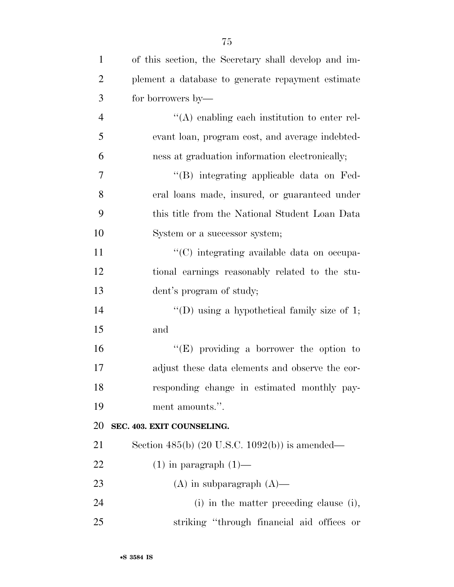| $\mathbf{1}$   | of this section, the Secretary shall develop and im- |
|----------------|------------------------------------------------------|
| $\overline{2}$ | plement a database to generate repayment estimate    |
| 3              | for borrowers by—                                    |
| $\overline{4}$ | $\lq\lq$ enabling each institution to enter rel-     |
| 5              | evant loan, program cost, and average indebted-      |
| 6              | ness at graduation information electronically;       |
| 7              | "(B) integrating applicable data on Fed-             |
| 8              | eral loans made, insured, or guaranteed under        |
| 9              | this title from the National Student Loan Data       |
| 10             | System or a successor system;                        |
| 11             | "(C) integrating available data on occupa-           |
| 12             | tional earnings reasonably related to the stu-       |
| 13             | dent's program of study;                             |
| 14             | "(D) using a hypothetical family size of $1$ ;       |
| 15             | and                                                  |
| 16             | "(E) providing a borrower the option to              |
| 17             | adjust these data elements and observe the cor-      |
| 18             | responding change in estimated monthly pay-          |
| 19             | ment amounts.".                                      |
| 20             | SEC. 403. EXIT COUNSELING.                           |
| 21             | Section 485(b) (20 U.S.C. 1092(b)) is amended—       |
| 22             | $(1)$ in paragraph $(1)$ —                           |
| 23             | $(A)$ in subparagraph $(A)$ —                        |
| 24             | (i) in the matter preceding clause (i),              |
| 25             | striking "through financial aid offices or           |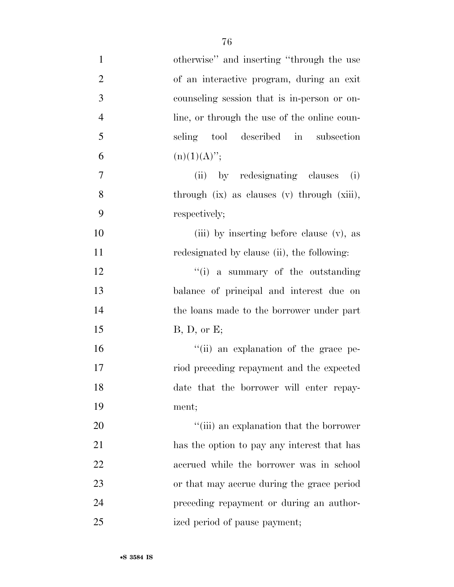| $\mathbf{1}$     | otherwise" and inserting "through the use    |
|------------------|----------------------------------------------|
| $\overline{2}$   | of an interactive program, during an exit    |
| 3                | counseling session that is in-person or on-  |
| $\overline{4}$   | line, or through the use of the online coun- |
| 5                | seling tool described in subsection          |
| 6                | $(n)(1)(A)$ ";                               |
| $\boldsymbol{7}$ | (ii) by redesignating clauses (i)            |
| 8                | through (ix) as clauses (v) through (xiii),  |
| 9                | respectively;                                |
| 10               | (iii) by inserting before clause (v), as     |
| 11               | redesignated by clause (ii), the following:  |
| 12               | $f'(i)$ a summary of the outstanding         |
| 13               | balance of principal and interest due on     |
| 14               | the loans made to the borrower under part    |
| 15               | B, D, or E;                                  |
| 16               | "(ii) an explanation of the grace pe-        |
| 17               | riod preceding repayment and the expected    |
| 18               | date that the borrower will enter repay-     |
| 19               | ment;                                        |
| 20               | "(iii) an explanation that the borrower      |
| 21               | has the option to pay any interest that has  |
| 22               | accrued while the borrower was in school     |
| 23               | or that may accrue during the grace period   |
| 24               | preceding repayment or during an author-     |
| 25               | ized period of pause payment;                |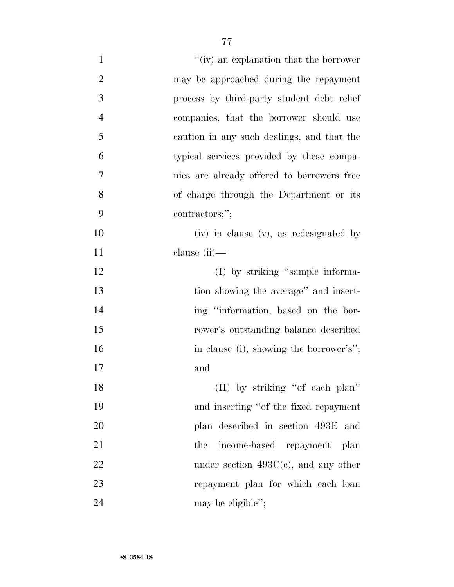| $\mathbf{1}$   | "(iv) an explanation that the borrower     |
|----------------|--------------------------------------------|
| $\overline{2}$ | may be approached during the repayment     |
| 3              | process by third-party student debt relief |
| $\overline{4}$ | companies, that the borrower should use    |
| 5              | caution in any such dealings, and that the |
| 6              | typical services provided by these compa-  |
| 7              | nies are already offered to borrowers free |
| 8              | of charge through the Department or its    |
| 9              | contractors;";                             |
| 10             | (iv) in clause (v), as redesignated by     |
| 11             | clause $(ii)$ —                            |
| 12             | (I) by striking "sample informa-           |
| 13             | tion showing the average" and insert-      |
| 14             | ing "information, based on the bor-        |
| 15             | rower's outstanding balance described      |
| 16             | in clause (i), showing the borrower's";    |
| 17             | and                                        |
| 18             | (II) by striking "of each plan"            |
| 19             | and inserting "of the fixed repayment      |
| 20             | plan described in section 493E and         |
| 21             | income-based repayment plan<br>the         |
| 22             | under section $493C(c)$ , and any other    |
| 23             | repayment plan for which each loan         |
| 24             | may be eligible";                          |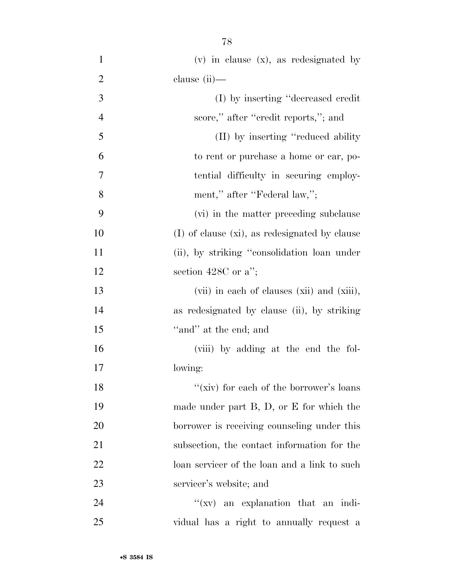(v) in clause (x), as redesignated by clause (ii)— (I) by inserting ''decreased credit 4 score," after "credit reports,"; and (II) by inserting ''reduced ability to rent or purchase a home or car, po- tential difficulty in securing employ-8 ment," after "Federal law,"; (vi) in the matter preceding subclause 10 (I) of clause (xi), as redesignated by clause 11 (ii), by striking "consolidation loan under 12 section 428C or a''; (vii) in each of clauses (xii) and (xiii), as redesignated by clause (ii), by striking 15 "and" at the end; and (viii) by adding at the end the fol- lowing: 18 ''(xiv) for each of the borrower's loans made under part B, D, or E for which the borrower is receiving counseling under this subsection, the contact information for the

 servicer's website; and 24 ''(xv) an explanation that an indi-vidual has a right to annually request a

loan servicer of the loan and a link to such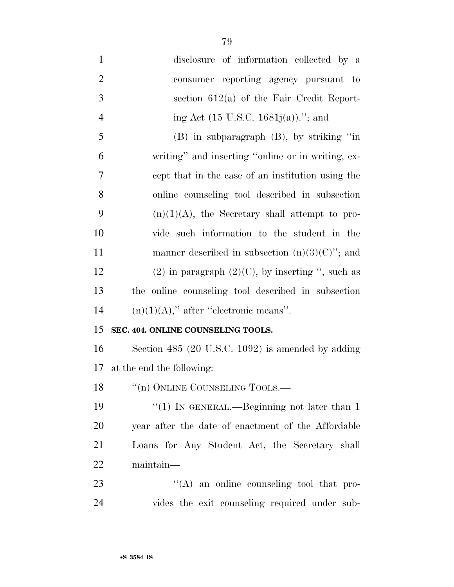disclosure of information collected by a consumer reporting agency pursuant to section 612(a) of the Fair Credit Report-4 ing Act (15 U.S.C. 1681j(a))."; and (B) in subparagraph (B), by striking ''in writing'' and inserting ''online or in writing, ex- cept that in the case of an institution using the online counseling tool described in subsection  $(n)(1)(A)$ , the Secretary shall attempt to pro- vide such information to the student in the 11 manner described in subsection  $(n)(3)(C)$ "; and 12 (2) in paragraph  $(2)(C)$ , by inserting ", such as the online counseling tool described in subsection  $(n)(1)(A)$ ," after "electronic means".

## **SEC. 404. ONLINE COUNSELING TOOLS.**

 Section 485 (20 U.S.C. 1092) is amended by adding at the end the following:

18 "(n) ONLINE COUNSELING TOOLS.—

19 ''(1) IN GENERAL.—Beginning not later than 1 year after the date of enactment of the Affordable Loans for Any Student Act, the Secretary shall maintain—

23  $\cdot$  ''(A) an online counseling tool that pro-vides the exit counseling required under sub-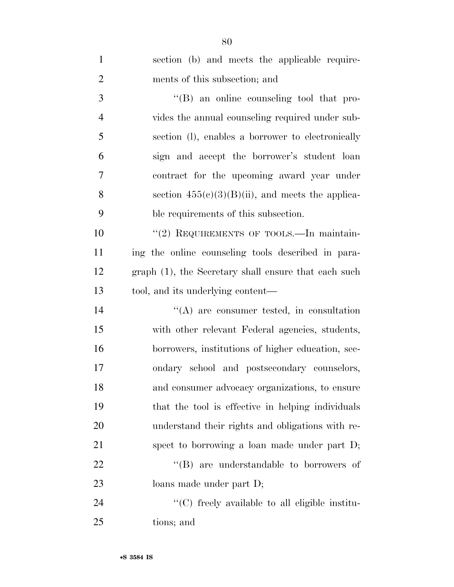| $\mathbf{1}$   | section (b) and meets the applicable require-        |
|----------------|------------------------------------------------------|
| $\overline{2}$ | ments of this subsection; and                        |
| 3              | $\lq\lq (B)$ an online counseling tool that pro-     |
| $\overline{4}$ | vides the annual counseling required under sub-      |
| 5              | section (1), enables a borrower to electronically    |
| 6              | sign and accept the borrower's student loan          |
| $\overline{7}$ | contract for the upcoming award year under           |
| 8              | section $455(e)(3)(B)(ii)$ , and meets the applica-  |
| 9              | ble requirements of this subsection.                 |
| 10             | "(2) REQUIREMENTS OF TOOLS.—In maintain-             |
| 11             | ing the online counseling tools described in para-   |
| 12             | graph (1), the Secretary shall ensure that each such |
| 13             | tool, and its underlying content—                    |
| 14             | $\lq\lq$ are consumer tested, in consultation        |
| 15             | with other relevant Federal agencies, students,      |
| 16             | borrowers, institutions of higher education, sec-    |
| 17             | ondary school and postsecondary counselors,          |
| 18             | and consumer advocacy organizations, to ensure       |
| 19             | that the tool is effective in helping individuals    |
| 20             | understand their rights and obligations with re-     |
| 21             | spect to borrowing a loan made under part D;         |
| 22             | $\lq\lq$ are understandable to borrowers of          |
| 23             | loans made under part D;                             |
| 24             | "(C) freely available to all eligible institu-       |
| 25             | tions; and                                           |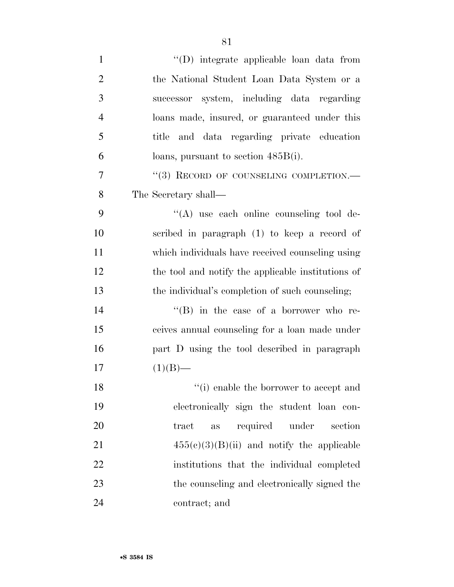| $\mathbf{1}$   | $"$ (D) integrate applicable loan data from        |
|----------------|----------------------------------------------------|
| $\overline{2}$ | the National Student Loan Data System or a         |
| 3              | successor system, including data regarding         |
| $\overline{4}$ | loans made, insured, or guaranteed under this      |
| 5              | and data regarding private education<br>title      |
| 6              | loans, pursuant to section $485B(i)$ .             |
| 7              | "(3) RECORD OF COUNSELING COMPLETION.-             |
| 8              | The Secretary shall—                               |
| 9              | "(A) use each online counseling tool de-           |
| 10             | scribed in paragraph (1) to keep a record of       |
| 11             | which individuals have received counseling using   |
| 12             | the tool and notify the applicable institutions of |
| 13             | the individual's completion of such counseling;    |
| 14             | "(B) in the case of a borrower who re-             |
| 15             | ceives annual counseling for a loan made under     |
| 16             | part D using the tool described in paragraph       |
| 17             | $(1)(B)$ —                                         |
| 18             | $``(i)$ enable the borrower to accept and          |
| 19             | electronically sign the student loan con-          |
| 20             | required under<br>tract<br>section<br>as           |
| 21             | $455(c)(3)(B)(ii)$ and notify the applicable       |
| 22             | institutions that the individual completed         |
| 23             | the counseling and electronically signed the       |
| 24             | contract; and                                      |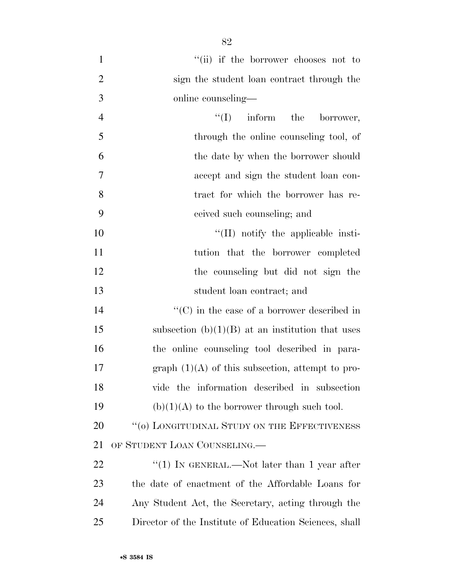1 ''(ii) if the borrower chooses not to sign the student loan contract through the online counseling— 4 ''(I) inform the borrower, through the online counseling tool, of the date by when the borrower should

accept and sign the student loan con-

 tract for which the borrower has re- ceived such counseling; and  $\text{``(II)}$  notify the applicable insti-11 tution that the borrower completed the counseling but did not sign the

student loan contract; and

 $\langle ^{\prime}(C) \rangle$  in the case of a borrower described in 15 subsection  $(b)(1)(B)$  at an institution that uses the online counseling tool described in para- graph (1)(A) of this subsection, attempt to pro- vide the information described in subsection 19 (b)(1)(A) to the borrower through such tool.

20 "(o) LONGITUDINAL STUDY ON THE EFFECTIVENESS OF STUDENT LOAN COUNSELING.—

 $\frac{1}{2}$  (1) IN GENERAL.—Not later than 1 year after the date of enactment of the Affordable Loans for Any Student Act, the Secretary, acting through the Director of the Institute of Education Sciences, shall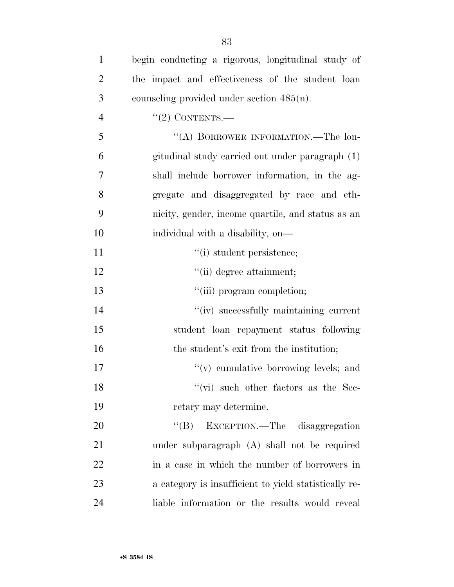| $\mathbf{1}$   | begin conducting a rigorous, longitudinal study of    |
|----------------|-------------------------------------------------------|
| $\overline{2}$ | the impact and effectiveness of the student loan      |
| 3              | counseling provided under section $485(n)$ .          |
| $\overline{4}$ | $"(2)$ CONTENTS.—                                     |
| 5              | "(A) BORROWER INFORMATION.—The lon-                   |
| 6              | gitudinal study carried out under paragraph (1)       |
| 7              | shall include borrower information, in the ag-        |
| 8              | gregate and disaggregated by race and eth-            |
| 9              | nicity, gender, income quartile, and status as an     |
| 10             | individual with a disability, on—                     |
| 11             | "(i) student persistence;                             |
| 12             | "(ii) degree attainment;                              |
| 13             | "(iii) program completion;                            |
| 14             | "(iv) successfully maintaining current                |
| 15             | student loan repayment status following               |
| 16             | the student's exit from the institution;              |
| 17             | $f'(v)$ cumulative borrowing levels; and              |
| 18             | $``$ (vi) such other factors as the Sec-              |
| 19             | retary may determine.                                 |
| 20             | "(B) EXCEPTION.—The disaggregation                    |
| 21             | under subparagraph (A) shall not be required          |
| 22             | in a case in which the number of borrowers in         |
| 23             | a category is insufficient to yield statistically re- |
| 24             | liable information or the results would reveal        |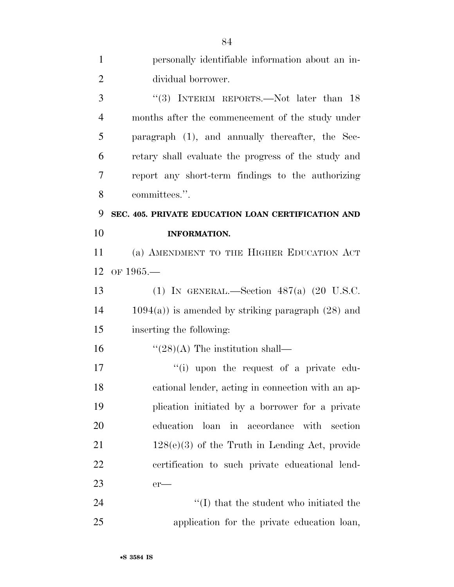| $\mathbf{1}$   | personally identifiable information about an in-        |
|----------------|---------------------------------------------------------|
| $\overline{2}$ | dividual borrower.                                      |
| 3              | "(3) INTERIM REPORTS.—Not later than $18$               |
| $\overline{4}$ | months after the commencement of the study under        |
| 5              | paragraph (1), and annually thereafter, the Sec-        |
| 6              | retary shall evaluate the progress of the study and     |
| $\overline{7}$ | report any short-term findings to the authorizing       |
| 8              | committees.".                                           |
| 9              | SEC. 405. PRIVATE EDUCATION LOAN CERTIFICATION AND      |
| 10             | <b>INFORMATION.</b>                                     |
| 11             | (a) AMENDMENT TO THE HIGHER EDUCATION ACT               |
| 12             | OF $1965-$                                              |
| 13             | (1) IN GENERAL.—Section $487(a)$ (20 U.S.C.             |
| 14             | $1094(a)$ ) is amended by striking paragraph $(28)$ and |
| 15             | inserting the following:                                |
| 16             | $\lq(28)(A)$ The institution shall—                     |
| 17             | "(i) upon the request of a private edu-                 |
| 18             | cational lender, acting in connection with an ap-       |
| 19             | plication initiated by a borrower for a private         |
| 20             | education loan<br>in accordance<br>with<br>section      |
| 21             | $128(e)(3)$ of the Truth in Lending Act, provide        |
| 22             | certification to such private educational lend-         |
| 23             | $er-$                                                   |
| 24             | "(I) that the student who initiated the                 |
| 25             | application for the private education loan,             |

•**S 3584 IS**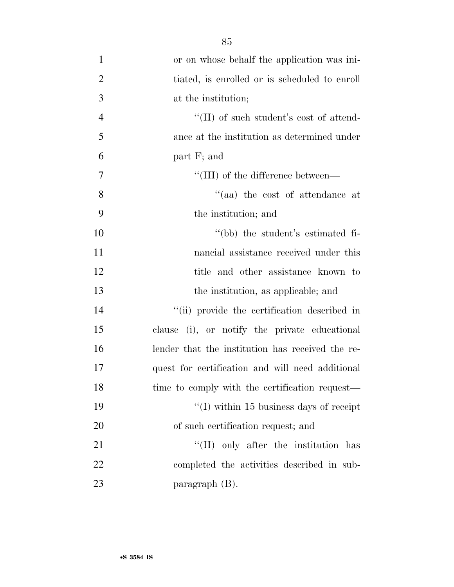| $\mathbf{1}$   | or on whose behalf the application was ini-                 |
|----------------|-------------------------------------------------------------|
| $\overline{c}$ | tiated, is enrolled or is scheduled to enroll               |
| 3              | at the institution;                                         |
| 4              | $\rm ^{\prime\prime}(II)$ of such student's cost of attend- |
| 5              | ance at the institution as determined under                 |
| 6              | part F; and                                                 |
| 7              | $\lq$ (III) of the difference between—                      |
| 8              | $\cdot$ (aa) the cost of attendance at                      |
| 9              | the institution; and                                        |
| 10             | "(bb) the student's estimated fi-                           |
| 11             | nancial assistance received under this                      |
| 12             | title and other assistance known to                         |
| 13             | the institution, as applicable; and                         |
| 14             | "(ii) provide the certification described in                |
| 15             | clause (i), or notify the private educational               |
| 16             | lender that the institution has received the re-            |
| 17             | quest for certification and will need additional            |
| 18             | time to comply with the certification request—              |
| 19             | $\lq$ (I) within 15 business days of receipt                |
| 20             | of such certification request; and                          |
| 21             | "(II) only after the institution has                        |
| 22             | completed the activities described in sub-                  |
| 23             | paragraph (B).                                              |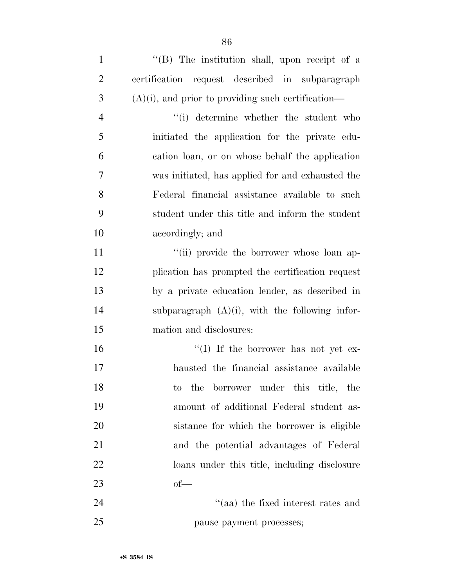1 "(B) The institution shall, upon receipt of a certification request described in subparagraph (A)(i), and prior to providing such certification— ''(i) determine whether the student who initiated the application for the private edu- cation loan, or on whose behalf the application was initiated, has applied for and exhausted the Federal financial assistance available to such student under this title and inform the student accordingly; and  $\frac{1}{10}$  ''(ii) provide the borrower whose loan ap- plication has prompted the certification request by a private education lender, as described in subparagraph (A)(i), with the following infor- mation and disclosures:  $\frac{16}{10}$  If the borrower has not yet ex- hausted the financial assistance available to the borrower under this title, the amount of additional Federal student as- sistance for which the borrower is eligible and the potential advantages of Federal loans under this title, including disclosure of— 24 ''(aa) the fixed interest rates and pause payment processes;

•**S 3584 IS**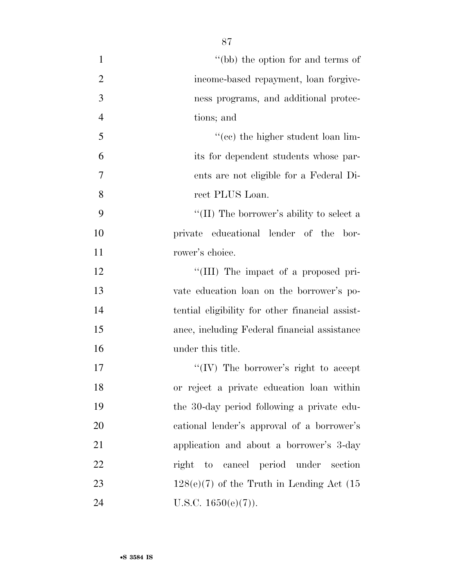| $\mathbf{1}$   | "(bb) the option for and terms of               |
|----------------|-------------------------------------------------|
| $\overline{2}$ | income-based repayment, loan forgive-           |
| 3              | ness programs, and additional protec-           |
| $\overline{4}$ | tions; and                                      |
| 5              | "(cc) the higher student loan lim-              |
| 6              | its for dependent students whose par-           |
| 7              | ents are not eligible for a Federal Di-         |
| 8              | rect PLUS Loan.                                 |
| 9              | "(II) The borrower's ability to select a        |
| 10             | private educational lender of the bor-          |
| 11             | rower's choice.                                 |
| 12             | "(III) The impact of a proposed pri-            |
| 13             | vate education loan on the borrower's po-       |
| 14             | tential eligibility for other financial assist- |
| 15             | ance, including Federal financial assistance    |
| 16             | under this title.                               |
| 17             | "(IV) The borrower's right to accept            |
| 18             | or reject a private education loan within       |
| 19             | the 30-day period following a private edu-      |
| 20             | cational lender's approval of a borrower's      |
| 21             | application and about a borrower's 3-day        |
| 22             | to cancel period under section<br>right         |
| 23             | $128(e)(7)$ of the Truth in Lending Act (15)    |
| 24             | U.S.C. $1650(e)(7)$ ).                          |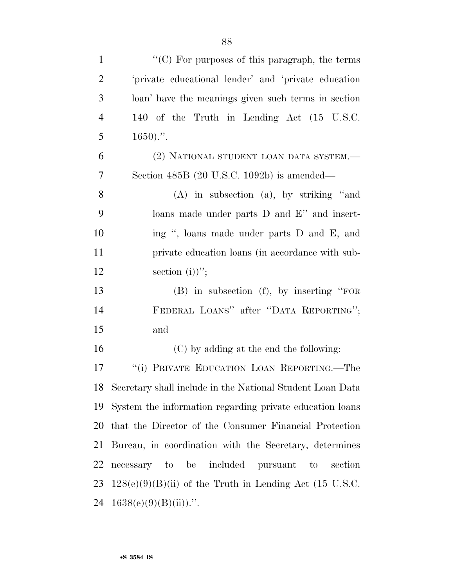| $\mathbf{1}$   | "(C) For purposes of this paragraph, the terms                 |
|----------------|----------------------------------------------------------------|
| $\overline{2}$ | 'private educational lender' and 'private education            |
| 3              | loan' have the meanings given such terms in section            |
| $\overline{4}$ | 140 of the Truth in Lending Act (15 U.S.C.                     |
| 5              | $1650$ .".                                                     |
| 6              | (2) NATIONAL STUDENT LOAN DATA SYSTEM.-                        |
| 7              | Section 485B (20 U.S.C. 1092b) is amended—                     |
| 8              | $(A)$ in subsection $(a)$ , by striking "and                   |
| 9              | loans made under parts D and E" and insert-                    |
| 10             | ing ", loans made under parts D and E, and                     |
| 11             | private education loans (in accordance with sub-               |
| 12             | section $(i)$ ";                                               |
| 13             | $(B)$ in subsection $(f)$ , by inserting "FOR                  |
| 14             | FEDERAL LOANS" after "DATA REPORTING";                         |
| 15             | and                                                            |
| 16             | (C) by adding at the end the following:                        |
| 17             | "(i) PRIVATE EDUCATION LOAN REPORTING.—The                     |
|                | 18 Secretary shall include in the National Student Loan Data   |
| 19             | System the information regarding private education loans       |
| 20             | that the Director of the Consumer Financial Protection         |
| 21             | Bureau, in coordination with the Secretary, determines         |
| 22             | necessary to be included pursuant<br>$\mathbf{t}$ o<br>section |
| 23             | $128(e)(9)(B)(ii)$ of the Truth in Lending Act (15 U.S.C.      |
| 24             | $1638(e)(9)(B)(ii))$ .".                                       |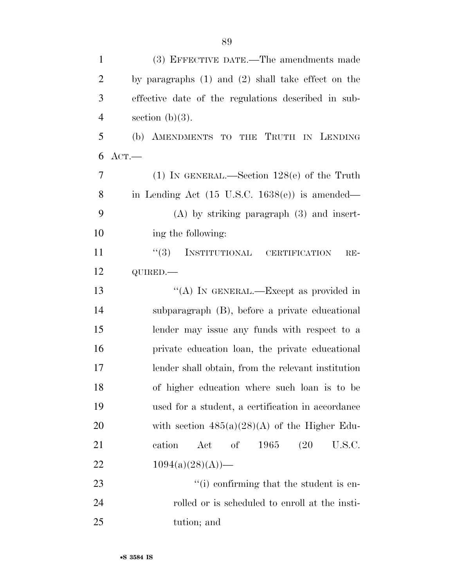| $\mathbf{1}$   | (3) EFFECTIVE DATE.—The amendments made                   |
|----------------|-----------------------------------------------------------|
| $\overline{2}$ | by paragraphs $(1)$ and $(2)$ shall take effect on the    |
| 3              | effective date of the regulations described in sub-       |
| $\overline{4}$ | section $(b)(3)$ .                                        |
| 5              | (b) AMENDMENTS TO THE TRUTH IN LENDING                    |
| 6              | $_{\mathrm{ACT.}}-$                                       |
| $\overline{7}$ | (1) IN GENERAL.—Section $128(e)$ of the Truth             |
| 8              | in Lending Act $(15 \text{ U.S.C. } 1638(e))$ is amended— |
| 9              | $(A)$ by striking paragraph $(3)$ and insert-             |
| 10             | ing the following:                                        |
| 11             | "(3) INSTITUTIONAL CERTIFICATION<br>$RE-$                 |
| 12             | QUIRED.-                                                  |
| 13             | "(A) IN GENERAL.—Except as provided in                    |
| 14             | subparagraph (B), before a private educational            |
| 15             | lender may issue any funds with respect to a              |
| 16             | private education loan, the private educational           |
| 17             | lender shall obtain, from the relevant institution        |
| 18             | of higher education where such loan is to be              |
| 19             | used for a student, a certification in accordance         |
| 20             | with section $485(a)(28)(A)$ of the Higher Edu-           |
| <u>21</u>      | cation<br>of<br><b>1965</b><br>(20)<br>U.S.C.<br>Act      |
| 22             | $1094(a)(28)(A)$ —                                        |
| 23             | "(i) confirming that the student is en-                   |
| 24             | rolled or is scheduled to enroll at the insti-            |
| 25             | tution; and                                               |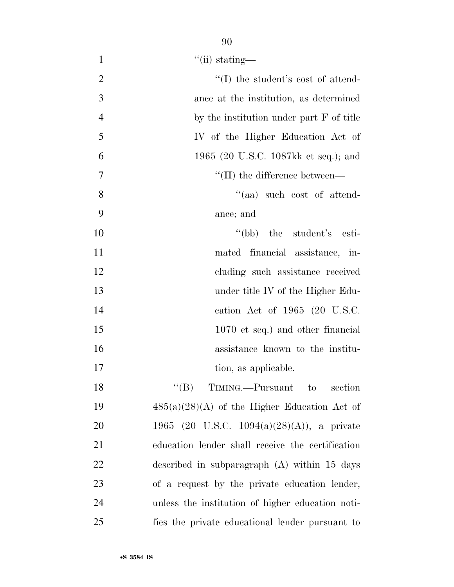| $\mathbf{1}$   | $\lq$ <sup>"</sup> (ii) stating—                 |
|----------------|--------------------------------------------------|
| $\overline{2}$ | $\lq\lq$ the student's cost of attend-           |
| 3              | ance at the institution, as determined           |
| $\overline{4}$ | by the institution under part F of title         |
| 5              | IV of the Higher Education Act of                |
| 6              | 1965 (20 U.S.C. 1087kk et seq.); and             |
| 7              | $\lq\lq$ (II) the difference between—            |
| 8              | "(aa) such cost of attend-                       |
| 9              | ance; and                                        |
| 10             | "(bb) the student's esti-                        |
| 11             | mated financial assistance, in-                  |
| 12             | cluding such assistance received                 |
| 13             | under title IV of the Higher Edu-                |
| 14             | cation Act of 1965 (20 U.S.C.                    |
| 15             | 1070 et seq.) and other financial                |
| 16             | assistance known to the institu-                 |
| 17             | tion, as applicable.                             |
| 18             | $\lq\lq (B)$ TIMING.—Pursuant to<br>section      |
| 19             | $485(a)(28)(A)$ of the Higher Education Act of   |
| 20             | 1965 (20 U.S.C. 1094(a)(28)(A)), a private       |
| 21             | education lender shall receive the certification |
| $22\,$         | described in subparagraph $(A)$ within 15 days   |
| 23             | of a request by the private education lender,    |
| 24             | unless the institution of higher education noti- |
| 25             | fies the private educational lender pursuant to  |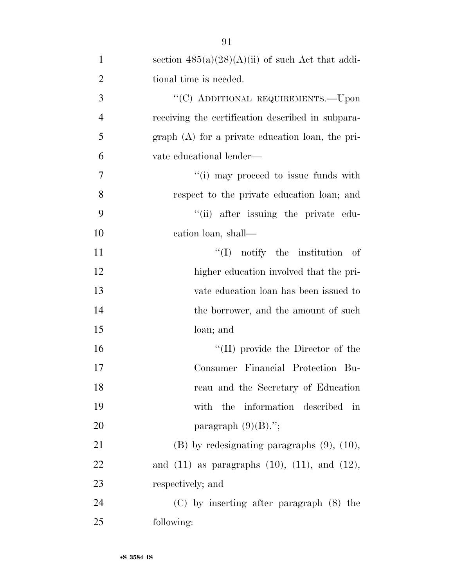| $\mathbf{1}$   | section $485(a)(28)(A)(ii)$ of such Act that addi-      |
|----------------|---------------------------------------------------------|
| $\overline{2}$ | tional time is needed.                                  |
| 3              | "(C) ADDITIONAL REQUIREMENTS.—Upon                      |
| $\overline{4}$ | receiving the certification described in subpara-       |
| 5              | $graph(A)$ for a private education loan, the pri-       |
| 6              | vate educational lender—                                |
| 7              | "(i) may proceed to issue funds with                    |
| 8              | respect to the private education loan; and              |
| 9              | "(ii) after issuing the private edu-                    |
| 10             | cation loan, shall—                                     |
| 11             | $\lq\lq$ notify the institution<br>– of                 |
| 12             | higher education involved that the pri-                 |
| 13             | vate education loan has been issued to                  |
| 14             | the borrower, and the amount of such                    |
| 15             | loan; and                                               |
| 16             | $\lq\lq$ (II) provide the Director of the               |
| 17             | Consumer Financial Protection Bu-                       |
| 18             | reau and the Secretary of Education                     |
| 19             | with the information described<br>in                    |
| 20             | paragraph $(9)(B)$ .";                                  |
| 21             | $(B)$ by redesignating paragraphs $(9)$ , $(10)$ ,      |
| 22             | and $(11)$ as paragraphs $(10)$ , $(11)$ , and $(12)$ , |
| 23             | respectively; and                                       |
| 24             | $(C)$ by inserting after paragraph $(8)$ the            |
| 25             | following:                                              |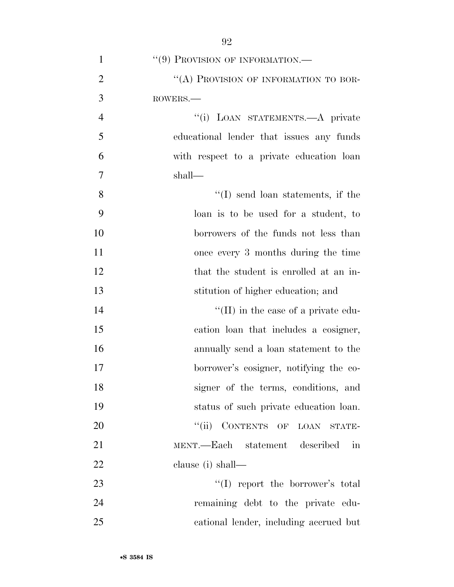| $\mathbf{1}$   | "(9) PROVISION OF INFORMATION.—             |
|----------------|---------------------------------------------|
| $\overline{2}$ | "(A) PROVISION OF INFORMATION TO BOR-       |
| 3              | ROWERS.                                     |
| $\overline{4}$ | "(i) LOAN STATEMENTS.—A private             |
| 5              | educational lender that issues any funds    |
| 6              | with respect to a private education loan    |
| $\overline{7}$ | shall—                                      |
| 8              | $\lq\lq$ send loan statements, if the       |
| 9              | loan is to be used for a student, to        |
| 10             | borrowers of the funds not less than        |
| 11             | once every 3 months during the time         |
| 12             | that the student is enrolled at an in-      |
| 13             | stitution of higher education; and          |
| 14             | $\lq\lq$ (II) in the case of a private edu- |
| 15             | cation loan that includes a cosigner,       |
| 16             | annually send a loan statement to the       |
| 17             | borrower's cosigner, notifying the co-      |
| 18             | signer of the terms, conditions, and        |
| 19             | status of such private education loan.      |
| 20             | "(ii) CONTENTS OF LOAN STATE-               |
| 21             | MENT.—Each statement described<br>in        |
| 22             | clause (i) shall—                           |
| 23             | $\lq\lq$ report the borrower's total        |
| 24             | remaining debt to the private edu-          |
| 25             | cational lender, including accrued but      |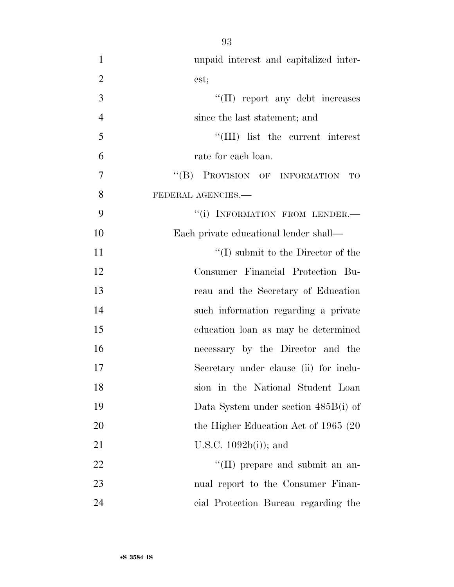| $\mathbf{1}$   | unpaid interest and capitalized inter-     |
|----------------|--------------------------------------------|
| $\overline{2}$ | est;                                       |
| 3              | "(II) report any debt increases            |
| $\overline{4}$ | since the last statement; and              |
| 5              | "(III) list the current interest           |
| 6              | rate for each loan.                        |
| $\overline{7}$ | "(B) PROVISION OF INFORMATION<br><b>TO</b> |
| 8              | FEDERAL AGENCIES.-                         |
| 9              | "(i) INFORMATION FROM LENDER.-             |
| 10             | Each private educational lender shall—     |
| 11             | $\lq\lq$ submit to the Director of the     |
| 12             | Consumer Financial Protection Bu-          |
| 13             | reau and the Secretary of Education        |
| 14             | such information regarding a private       |
| 15             | education loan as may be determined        |
| 16             | necessary by the Director and the          |
| 17             | Secretary under clause (ii) for inclu-     |
| 18             | in the National Student Loan<br>sion       |
| 19             | Data System under section 485B(i) of       |
| 20             | the Higher Education Act of 1965 (20)      |
| 21             | U.S.C. $1092b(i)$ ; and                    |
| 22             | "(II) prepare and submit an an-            |
| 23             | nual report to the Consumer Finan-         |
| 24             | cial Protection Bureau regarding the       |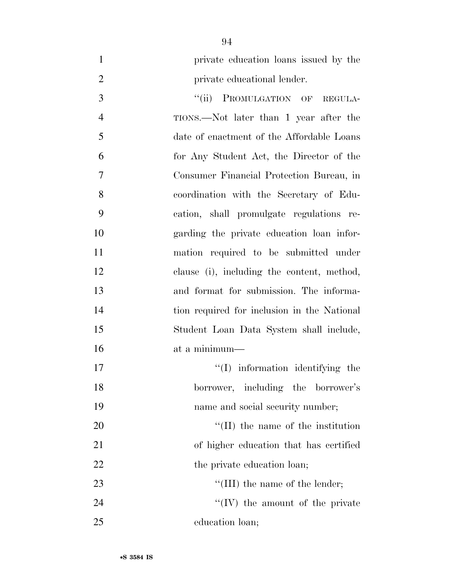- private education loans issued by the **private educational lender.** 3 "(ii) PROMULGATION OF REGULA- TIONS.—Not later than 1 year after the date of enactment of the Affordable Loans for Any Student Act, the Director of the Consumer Financial Protection Bureau, in coordination with the Secretary of Edu-cation, shall promulgate regulations re-
- garding the private education loan infor- mation required to be submitted under clause (i), including the content, method, and format for submission. The informa- tion required for inclusion in the National Student Loan Data System shall include, at a minimum—

 $\text{``(I)}$  information identifying the borrower, including the borrower's 19 name and social security number;  $\frac{1}{20}$  The name of the institution

 of higher education that has certified 22 the private education loan; 23 ''(III) the name of the lender;

  $"$ (IV) the amount of the private education loan;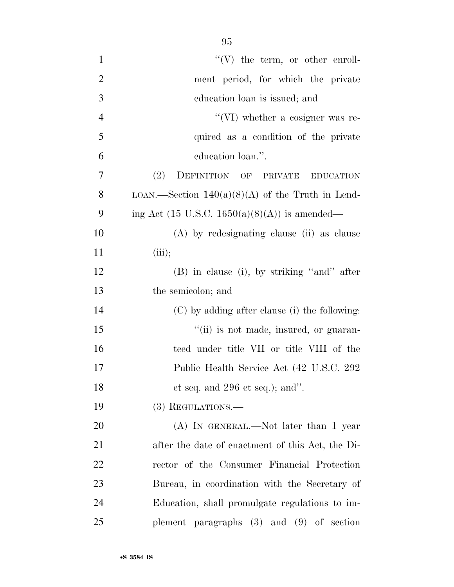| $\mathbf{1}$   | $\lq\lq(V)$ the term, or other enroll-             |
|----------------|----------------------------------------------------|
| $\overline{2}$ | ment period, for which the private                 |
| 3              | education loan is issued; and                      |
| $\overline{4}$ | $\lq\lq$ (VI) whether a cosigner was re-           |
| 5              | quired as a condition of the private               |
| 6              | education loan.".                                  |
| 7              | DEFINITION OF PRIVATE<br>(2)<br><b>EDUCATION</b>   |
| 8              | LOAN.—Section $140(a)(8)(A)$ of the Truth in Lend- |
| 9              | ing Act (15 U.S.C. 1650(a)(8)(A)) is amended—      |
| 10             | (A) by redesignating clause (ii) as clause         |
| 11             | (iii);                                             |
| 12             | (B) in clause (i), by striking "and" after         |
| 13             | the semicolon; and                                 |
| 14             | (C) by adding after clause (i) the following:      |
| 15             | "(ii) is not made, insured, or guaran-             |
| 16             | teed under title VII or title VIII of the          |
| 17             | Public Health Service Act (42 U.S.C. 292)          |
| 18             | et seq. and $296$ et seq.); and".                  |
| 19             | $(3)$ REGULATIONS.—                                |
| 20             | $(A)$ In GENERAL.—Not later than 1 year            |
| 21             | after the date of enactment of this Act, the Di-   |
| 22             | rector of the Consumer Financial Protection        |
| 23             | Bureau, in coordination with the Secretary of      |
| 24             | Education, shall promulgate regulations to im-     |
| 25             | plement paragraphs $(3)$ and $(9)$ of section      |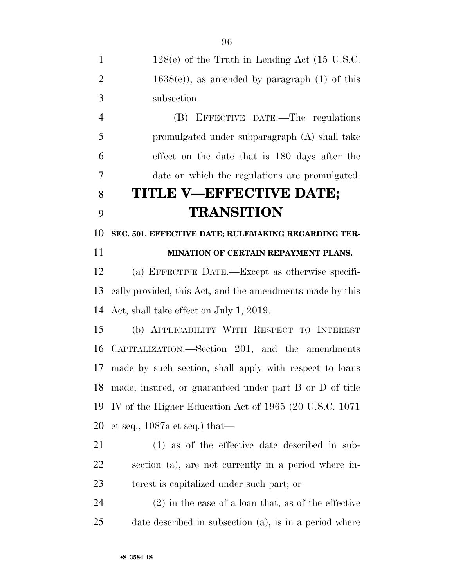| $\mathbf{1}$   | $128(e)$ of the Truth in Lending Act (15 U.S.C.           |
|----------------|-----------------------------------------------------------|
| $\overline{2}$ | $1638(e)$ , as amended by paragraph (1) of this           |
| 3              | subsection.                                               |
| $\overline{4}$ | (B) EFFECTIVE DATE.—The regulations                       |
| 5              | promulgated under subparagraph (A) shall take             |
| 6              | effect on the date that is 180 days after the             |
| $\overline{7}$ | date on which the regulations are promulgated.            |
| 8              | TITLE V—EFFECTIVE DATE;                                   |
| 9              | <b>TRANSITION</b>                                         |
| 10             | SEC. 501. EFFECTIVE DATE; RULEMAKING REGARDING TER-       |
| 11             | MINATION OF CERTAIN REPAYMENT PLANS.                      |
| 12             | (a) EFFECTIVE DATE.—Except as otherwise specifi-          |
| 13             | cally provided, this Act, and the amendments made by this |
| 14             | Act, shall take effect on July 1, 2019.                   |
| 15             | (b) APPLICABILITY WITH RESPECT TO INTEREST                |
| 16             | CAPITALIZATION.—Section 201, and the amendments           |
| 17             | made by such section, shall apply with respect to loans   |
| 18             | made, insured, or guaranteed under part B or D of title   |
| 19             | IV of the Higher Education Act of 1965 (20 U.S.C. 1071)   |
| 20             | et seq., $1087a$ et seq.) that—                           |
| 21             | $(1)$ as of the effective date described in sub-          |
| <u>22</u>      | section (a), are not currently in a period where in-      |
| 23             | terest is capitalized under such part; or                 |
| 24             | $(2)$ in the case of a loan that, as of the effective     |
| 25             | date described in subsection (a), is in a period where    |
|                |                                                           |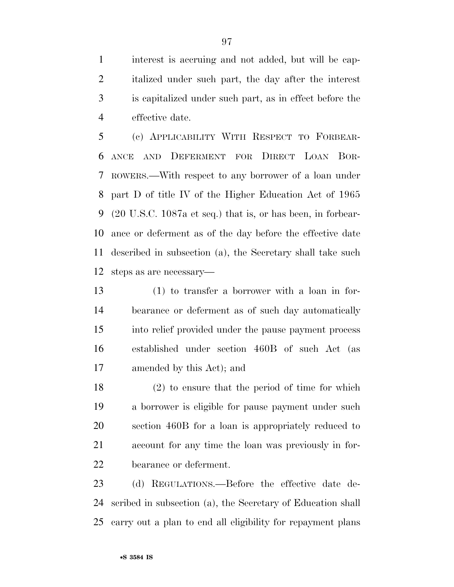interest is accruing and not added, but will be cap- italized under such part, the day after the interest is capitalized under such part, as in effect before the effective date.

 (c) APPLICABILITY WITH RESPECT TO FORBEAR- ANCE AND DEFERMENT FOR DIRECT LOAN BOR- ROWERS.—With respect to any borrower of a loan under part D of title IV of the Higher Education Act of 1965 (20 U.S.C. 1087a et seq.) that is, or has been, in forbear- ance or deferment as of the day before the effective date described in subsection (a), the Secretary shall take such steps as are necessary—

 (1) to transfer a borrower with a loan in for- bearance or deferment as of such day automatically into relief provided under the pause payment process established under section 460B of such Act (as amended by this Act); and

 (2) to ensure that the period of time for which a borrower is eligible for pause payment under such section 460B for a loan is appropriately reduced to account for any time the loan was previously in for-bearance or deferment.

 (d) REGULATIONS.—Before the effective date de- scribed in subsection (a), the Secretary of Education shall carry out a plan to end all eligibility for repayment plans